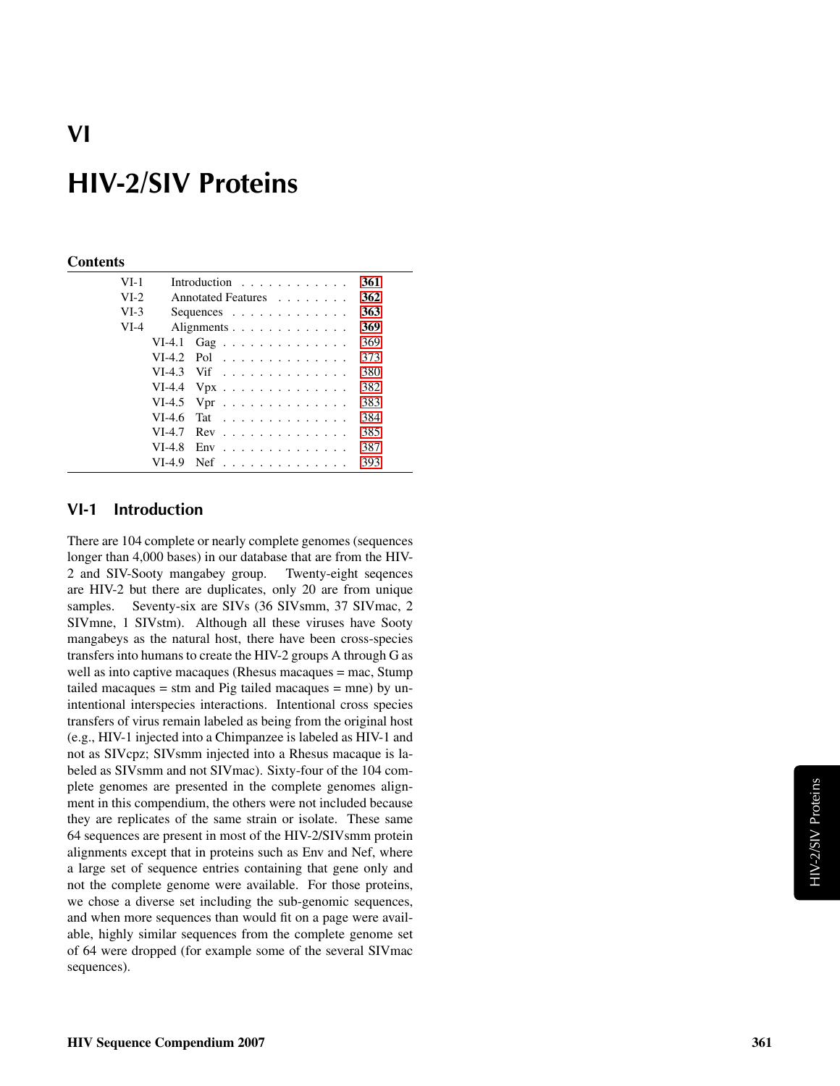#### **Contents**

| $VI-1$ |          | Introduction $\ldots$ ,                       | 361 |
|--------|----------|-----------------------------------------------|-----|
| $VI-2$ |          | Annotated Features                            | 362 |
| $VI-3$ |          | Sequences $\ldots$ $\ldots$ $\ldots$ $\ldots$ | 363 |
| $VI-4$ |          | Alignments                                    | 369 |
|        |          | VI-4.1 Gag                                    | 369 |
|        |          | $VI-4.2$ Pol                                  | 373 |
|        |          | $VI-4.3$ Vif                                  | 380 |
|        |          | VI-4.4 $Vpx$                                  | 382 |
|        |          | VI-4.5 Vpr $\dots \dots \dots \dots \dots$    | 383 |
|        | $VI-4.6$ | Tat                                           | 384 |
|        | $VI-4.7$ | $Rev \dots \dots \dots \dots \dots \dots$     | 385 |
|        | $VI-4.8$ | $Env$ ,,,,,,,,,,,,,,,,,                       | 387 |
|        | VI-4.9   | $Nef$                                         | 393 |

### <span id="page-0-0"></span>VI-1 Introduction

There are 104 complete or nearly complete genomes (sequences longer than 4,000 bases) in our database that are from the HIV-2 and SIV-Sooty mangabey group. Twenty-eight seqences are HIV-2 but there are duplicates, only 20 are from unique samples. Seventy-six are SIVs (36 SIVsmm, 37 SIVmac, 2 SIVmne, 1 SIVstm). Although all these viruses have Sooty mangabeys as the natural host, there have been cross-species transfers into humans to create the HIV-2 groups A through G as well as into captive macaques (Rhesus macaques = mac, Stump tailed macaques = stm and Pig tailed macaques = mne) by unintentional interspecies interactions. Intentional cross species transfers of virus remain labeled as being from the original host (e.g., HIV-1 injected into a Chimpanzee is labeled as HIV-1 and not as SIVcpz; SIVsmm injected into a Rhesus macaque is labeled as SIVsmm and not SIVmac). Sixty-four of the 104 complete genomes are presented in the complete genomes alignment in this compendium, the others were not included because they are replicates of the same strain or isolate. These same 64 sequences are present in most of the HIV-2/SIVsmm protein alignments except that in proteins such as Env and Nef, where a large set of sequence entries containing that gene only and not the complete genome were available. For those proteins, we chose a diverse set including the sub-genomic sequences, and when more sequences than would fit on a page were available, highly similar sequences from the complete genome set of 64 were dropped (for example some of the several SIVmac sequences).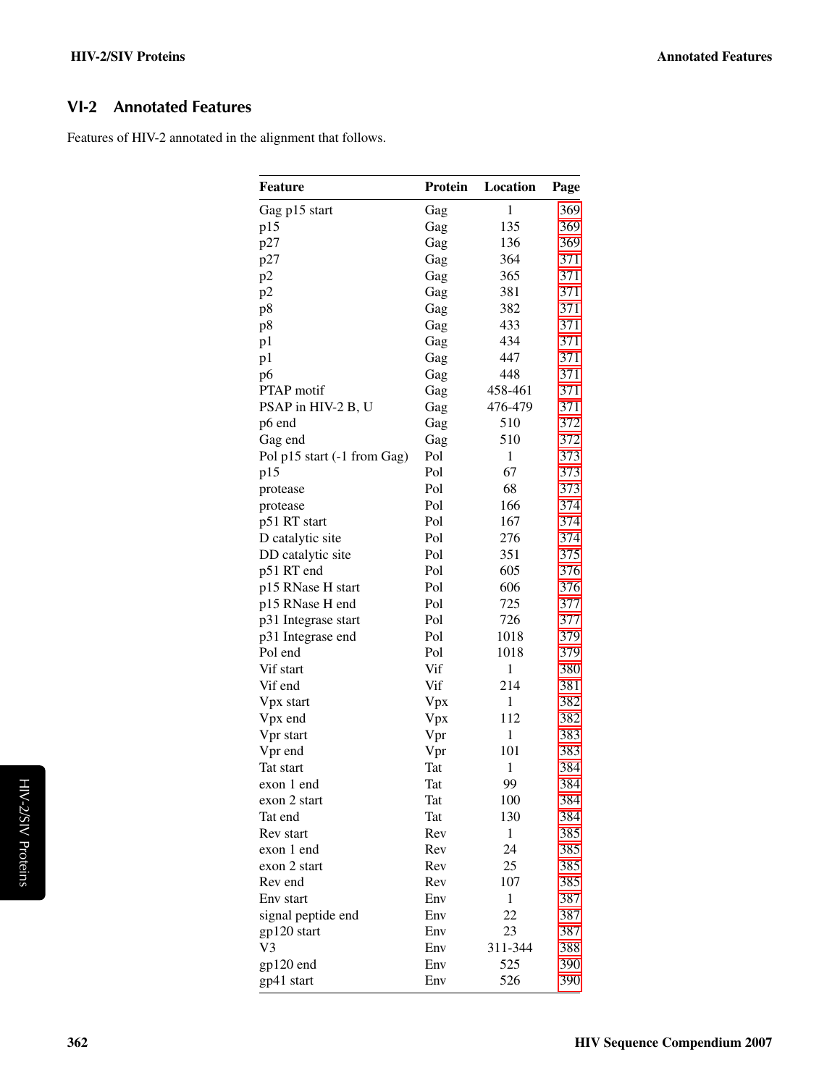## <span id="page-1-0"></span>VI-2 Annotated Features

Features of HIV-2 annotated in the alignment that follows.

| <b>Feature</b>              | Protein | Location     | Page |
|-----------------------------|---------|--------------|------|
| Gag p15 start               | Gag     | $\mathbf{1}$ | 369  |
| p15                         | Gag     | 135          | 369  |
| p27                         | Gag     | 136          | 369  |
| p27                         | Gag     | 364          | 371  |
| p2                          | Gag     | 365          | 371  |
| p2                          | Gag     | 381          | 371  |
| p8                          | Gag     | 382          | 371  |
| p8                          | Gag     | 433          | 371  |
| p1                          | Gag     | 434          | 371  |
| p1                          | Gag     | 447          | 371  |
| p6                          | Gag     | 448          | 371  |
| <b>PTAP</b> motif           | Gag     | 458-461      | 371  |
| PSAP in HIV-2 B, U          | Gag     | 476-479      | 371  |
| p6 end                      | Gag     | 510          | 372  |
| Gag end                     | Gag     | 510          | 372  |
| Pol p15 start (-1 from Gag) | Pol     | 1            | 373  |
| p15                         | Pol     | 67           | 373  |
| protease                    | Pol     | 68           | 373  |
| protease                    | Pol     | 166          | 374  |
| p51 RT start                | Pol     | 167          | 374  |
| D catalytic site            | Pol     | 276          | 374  |
| DD catalytic site           | Pol     | 351          | 375  |
| p51 RT end                  | Pol     | 605          | 376  |
| p15 RNase H start           | Pol     | 606          | 376  |
| p15 RNase H end             | Pol     | 725          | 377  |
| p31 Integrase start         | Pol     | 726          | 377  |
| p31 Integrase end           | Pol     | 1018         | 379  |
| Pol end                     | Pol     | 1018         | 379  |
| Vif start                   | Vif     | $\mathbf{1}$ | 380  |
| Vif end                     | Vif     | 214          | 381  |
| Vpx start                   | Vpx     | 1            | 382  |
| Vpx end                     | Vpx     | 112          | 382  |
| Vpr start                   | Vpr     | 1            | 383  |
| Vpr end                     | Vpr     | 101          | 383  |
| Tat start                   | Tat     | $\mathbf{1}$ | 384  |
| exon 1 end                  | Tat     | 99           | 384  |
| exon 2 start                | Tat     | 100          | 384  |
| Tat end                     | Tat     | 130          | 384  |
| Rev start                   | Rev     | $\mathbf{1}$ | 385  |
| exon 1 end                  | Rev     | 24           | 385  |
| exon 2 start                | Rev     | 25           | 385  |
| Rev end                     | Rev     | 107          | 385  |
| Env start                   | Env     | 1            | 387  |
| signal peptide end          | Env     | 22           | 387  |
| gp120 start                 | Env     | 23           | 387  |
| V3                          | Env     | 311-344      | 388  |
| gp120 end                   | Env     | 525          | 390  |
| gp41 start                  |         | 526          | 390  |
|                             | Env     |              |      |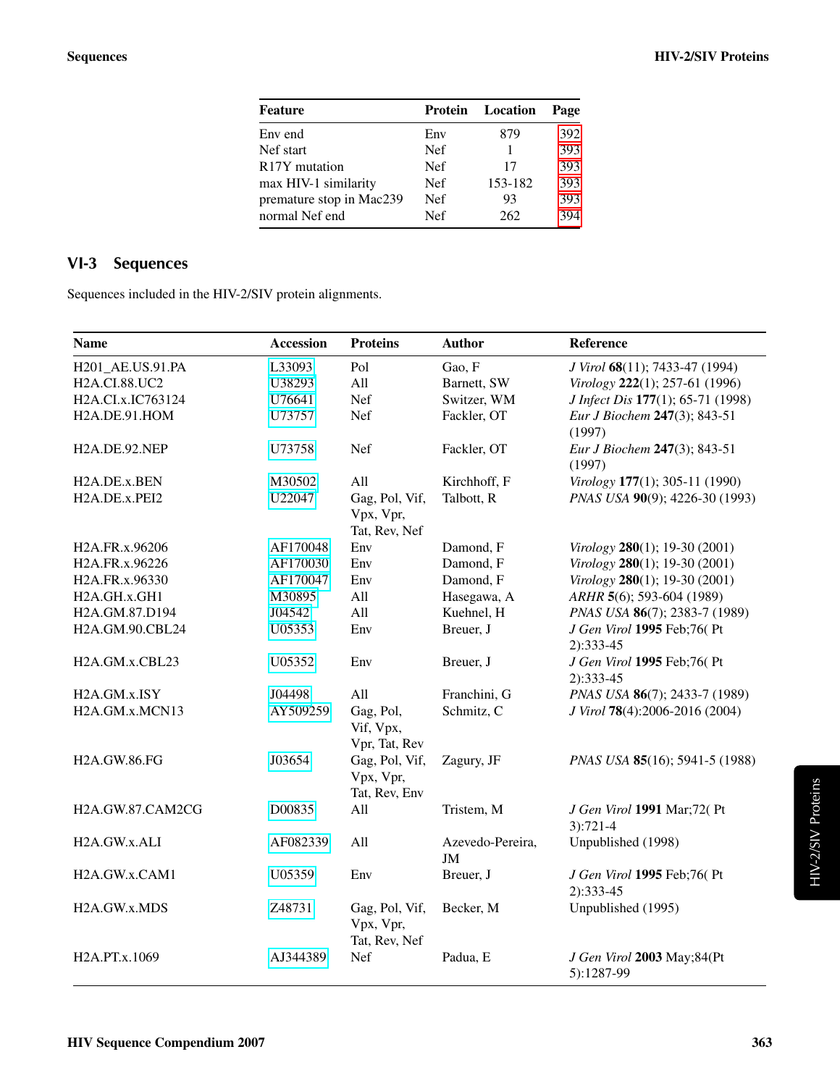| <b>Feature</b>             | Protein    | Location | Page |
|----------------------------|------------|----------|------|
| Env end                    | Env        | 879      | 392  |
| Nef start                  | <b>Nef</b> |          | 393  |
| R <sub>17</sub> Y mutation | <b>Nef</b> | 17       | 393  |
| max HIV-1 similarity       | <b>Nef</b> | 153-182  | 393  |
| premature stop in Mac239   | <b>Nef</b> | 93       | 393  |
| normal Nef end             | <b>Nef</b> | 262      | 394  |

# <span id="page-2-0"></span>VI-3 Sequences

Sequences included in the HIV-2/SIV protein alignments.

| <b>Name</b>                             | <b>Accession</b> | <b>Proteins</b>                              | <b>Author</b>                 | Reference                                 |
|-----------------------------------------|------------------|----------------------------------------------|-------------------------------|-------------------------------------------|
| H201_AE.US.91.PA                        | L33093           | Pol                                          | Gao, F                        | J Virol 68(11); 7433-47 (1994)            |
| H2A.CI.88.UC2                           | U38293           | All                                          | Barnett, SW                   | Virology 222(1); 257-61 (1996)            |
| H2A.CI.x.IC763124                       | U76641           | Nef                                          | Switzer, WM                   | J Infect Dis 177(1); 65-71 (1998)         |
| H2A.DE.91.HOM                           | U73757           | Nef                                          | Fackler, OT                   | Eur J Biochem 247(3); 843-51<br>(1997)    |
| H2A.DE.92.NEP                           | U73758           | Nef                                          | Fackler, OT                   | Eur J Biochem 247(3); 843-51<br>(1997)    |
| H2A.DE.x.BEN                            | M30502           | All                                          | Kirchhoff, F                  | Virology 177(1); 305-11 (1990)            |
| H2A.DE.x.PEI2                           | U22047           | Gag, Pol, Vif,<br>Vpx, Vpr,<br>Tat, Rev, Nef | Talbott, R                    | PNAS USA 90(9); 4226-30 (1993)            |
| H2A.FR.x.96206                          | AF170048         | Env                                          | Damond, F                     | Virology 280(1); 19-30 (2001)             |
| H2A.FR.x.96226                          | AF170030         | Env                                          | Damond, F                     | Virology 280(1); 19-30 (2001)             |
| H2A.FR.x.96330                          | AF170047         | Env                                          | Damond, F                     | Virology 280(1); 19-30 (2001)             |
| H2A.GH.x.GH1                            | M30895           | All                                          | Hasegawa, A                   | ARHR 5(6); 593-604 (1989)                 |
| H2A.GM.87.D194                          | J04542           | All                                          | Kuehnel, H                    | PNAS USA 86(7); 2383-7 (1989)             |
| H2A.GM.90.CBL24                         | U05353           | Env                                          | Breuer, J                     | J Gen Virol 1995 Feb;76(Pt<br>$2):333-45$ |
| H <sub>2</sub> A.GM.x.CBL <sub>23</sub> | U05352           | Env                                          | Breuer, J                     | J Gen Virol 1995 Feb;76(Pt<br>$2):333-45$ |
| H2A.GM.x.ISY                            | J04498           | All                                          | Franchini, G                  | PNAS USA 86(7); 2433-7 (1989)             |
| H2A.GM.x.MCN13                          | AY509259         | Gag, Pol,<br>Vif, Vpx,<br>Vpr, Tat, Rev      | Schmitz, C                    | J Virol 78(4):2006-2016 (2004)            |
| H2A.GW.86.FG                            | J03654           | Gag, Pol, Vif,<br>Vpx, Vpr,<br>Tat, Rev, Env | Zagury, JF                    | PNAS USA 85(16); 5941-5 (1988)            |
| H2A.GW.87.CAM2CG                        | D00835           | All                                          | Tristem, M                    | J Gen Virol 1991 Mar;72(Pt<br>$3):721-4$  |
| H2A.GW.x.ALI                            | AF082339         | All                                          | Azevedo-Pereira,<br><b>JM</b> | Unpublished (1998)                        |
| H <sub>2</sub> A.GW.x.CAM <sub>1</sub>  | U05359           | Env                                          | Breuer, J                     | J Gen Virol 1995 Feb;76(Pt<br>$2):333-45$ |
| H2A.GW.x.MDS                            | Z48731           | Gag, Pol, Vif,<br>Vpx, Vpr,<br>Tat, Rev, Nef | Becker, M                     | Unpublished (1995)                        |
| H2A.PT.x.1069                           | AJ344389         | Nef                                          | Padua, E                      | J Gen Virol 2003 May;84(Pt<br>5):1287-99  |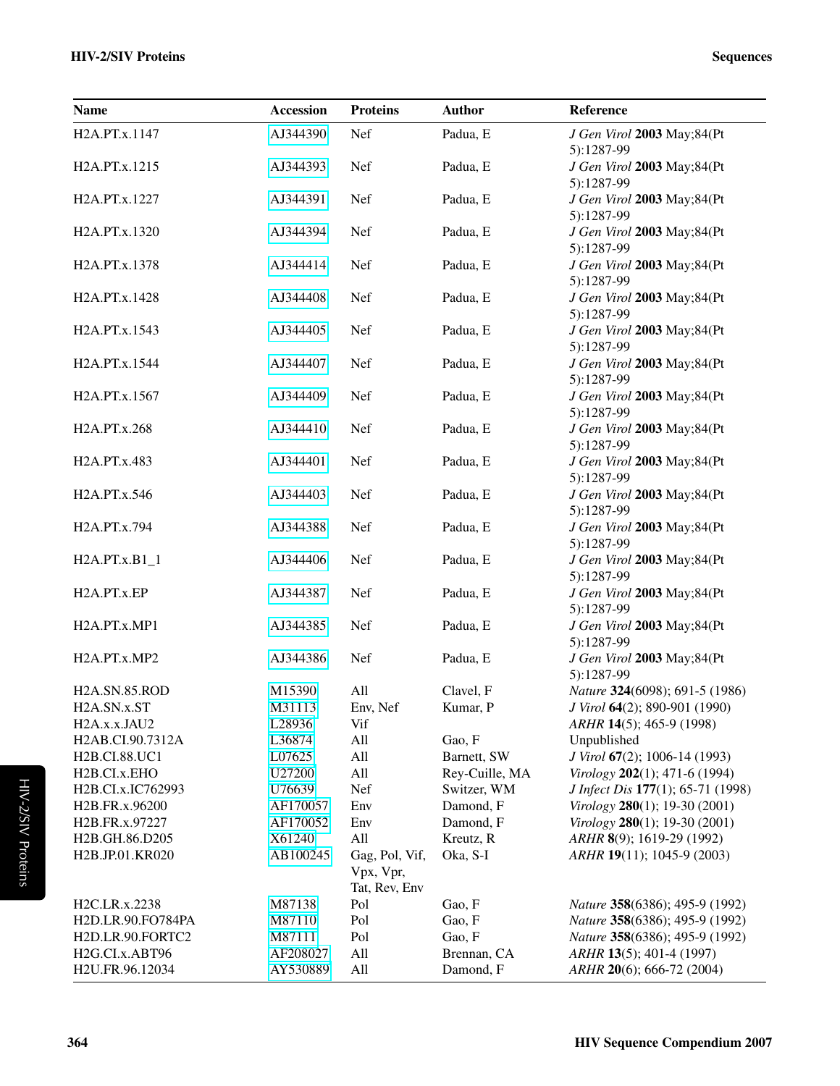| <b>Name</b>                                          | Accession        | <b>Proteins</b> | <b>Author</b>    | Reference                                                        |
|------------------------------------------------------|------------------|-----------------|------------------|------------------------------------------------------------------|
| H2A.PT.x.1147                                        | AJ344390         | Nef             | Padua, E         | J Gen Virol 2003 May;84(Pt                                       |
| H <sub>2</sub> A.PT.x.1215                           | AJ344393         | Nef             | Padua, E         | 5):1287-99<br>J Gen Virol 2003 May;84(Pt                         |
|                                                      |                  |                 |                  | 5):1287-99                                                       |
| H2A.PT.x.1227                                        | AJ344391         | Nef             | Padua, E         | J Gen Virol 2003 May;84(Pt                                       |
|                                                      |                  |                 |                  | 5):1287-99                                                       |
| H2A.PT.x.1320                                        | AJ344394         | Nef             | Padua, E         | J Gen Virol 2003 May;84(Pt                                       |
|                                                      |                  |                 |                  | 5):1287-99                                                       |
| H2A.PT.x.1378                                        | AJ344414         | Nef             | Padua, E         | J Gen Virol 2003 May;84(Pt                                       |
|                                                      |                  |                 |                  | 5):1287-99                                                       |
| H2A.PT.x.1428                                        | AJ344408         | Nef             | Padua, E         | J Gen Virol 2003 May;84(Pt                                       |
|                                                      |                  |                 |                  | 5):1287-99                                                       |
| H <sub>2</sub> A.PT.x.1543                           | AJ344405         | Nef             | Padua, E         | J Gen Virol 2003 May;84(Pt<br>5):1287-99                         |
| H2A.PT.x.1544                                        | AJ344407         | Nef             | Padua, E         | J Gen Virol 2003 May;84(Pt                                       |
|                                                      |                  |                 |                  | 5):1287-99                                                       |
| H2A.PT.x.1567                                        | AJ344409         | Nef             | Padua, E         | J Gen Virol 2003 May;84(Pt                                       |
|                                                      |                  |                 |                  | 5):1287-99                                                       |
| H2A.PT.x.268                                         | AJ344410         | Nef             | Padua, E         | J Gen Virol 2003 May;84(Pt                                       |
|                                                      |                  |                 |                  | 5):1287-99                                                       |
| H <sub>2</sub> A.PT.x.483                            | AJ344401         | Nef             | Padua, E         | J Gen Virol 2003 May;84(Pt                                       |
|                                                      |                  |                 |                  | 5):1287-99                                                       |
| H2A.PT.x.546                                         | AJ344403         | Nef             | Padua, E         | J Gen Virol 2003 May;84(Pt                                       |
|                                                      |                  |                 |                  | 5):1287-99                                                       |
| H2A.PT.x.794                                         | AJ344388         | Nef             | Padua, E         | J Gen Virol 2003 May;84(Pt<br>5):1287-99                         |
| $H2A.PT.x.B1_1$                                      | AJ344406         | Nef             | Padua, E         | J Gen Virol 2003 May;84(Pt                                       |
|                                                      |                  |                 |                  | 5):1287-99                                                       |
| H <sub>2</sub> A.PT.x.EP                             | AJ344387         | Nef             | Padua, E         | J Gen Virol 2003 May;84(Pt                                       |
|                                                      |                  |                 |                  | 5):1287-99                                                       |
| H2A.PT.x.MP1                                         | AJ344385         | Nef             | Padua, E         | J Gen Virol 2003 May;84(Pt                                       |
|                                                      |                  |                 |                  | 5):1287-99                                                       |
| H2A.PT.x.MP2                                         | AJ344386         | Nef             | Padua, E         | J Gen Virol 2003 May;84(Pt                                       |
|                                                      |                  |                 |                  | 5):1287-99                                                       |
| <b>H2A.SN.85.ROD</b>                                 | M15390           | All             | Clavel, F        | Nature 324(6098); 691-5 (1986)                                   |
| H2A.SN.x.ST<br>H <sub>2</sub> A.x.x.J <sub>AU2</sub> | M31113<br>L28936 | Env, Nef<br>Vif | Kumar, P         | J Virol 64(2); 890-901 (1990)                                    |
| H2AB.CI.90.7312A                                     | L36874           | All             | Gao, F           | ARHR 14(5); 465-9 (1998)<br>Unpublished                          |
| H2B.CI.88.UC1                                        | L07625           | All             | Barnett, SW      | J Virol 67(2); 1006-14 (1993)                                    |
| H <sub>2</sub> B.CI.x.EHO                            | U27200           | All             | Rey-Cuille, MA   | Virology 202(1); 471-6 (1994)                                    |
| H2B.CI.x.IC762993                                    | U76639           | Nef             | Switzer, WM      | J Infect Dis 177(1); 65-71 (1998)                                |
| H2B.FR.x.96200                                       | AF170057         | Env             | Damond, F        | Virology 280(1); 19-30 (2001)                                    |
| H <sub>2</sub> B.FR.x.97227                          | AF170052         | Env             | Damond, F        | Virology 280(1); 19-30 (2001)                                    |
| H2B.GH.86.D205                                       | X61240           | All             | Kreutz, R        | ARHR 8(9); 1619-29 (1992)                                        |
| H2B.JP.01.KR020                                      | AB100245         | Gag, Pol, Vif,  | Oka, S-I         | ARHR 19(11); 1045-9 (2003)                                       |
|                                                      |                  | Vpx, Vpr,       |                  |                                                                  |
|                                                      |                  | Tat, Rev, Env   |                  |                                                                  |
| H2C.LR.x.2238<br>H2D.LR.90.FO784PA                   | M87138<br>M87110 | Pol<br>Pol      | Gao, F<br>Gao, F | Nature 358(6386); 495-9 (1992)<br>Nature 358(6386); 495-9 (1992) |
| H2D.LR.90.FORTC2                                     | M87111           | Pol             | Gao, F           | Nature 358(6386); 495-9 (1992)                                   |
| H2G.CI.x.ABT96                                       | AF208027         | All             | Brennan, CA      | ARHR 13(5); 401-4 (1997)                                         |
| H2U.FR.96.12034                                      | AY530889         | All             | Damond, F        | ARHR 20(6); 666-72 (2004)                                        |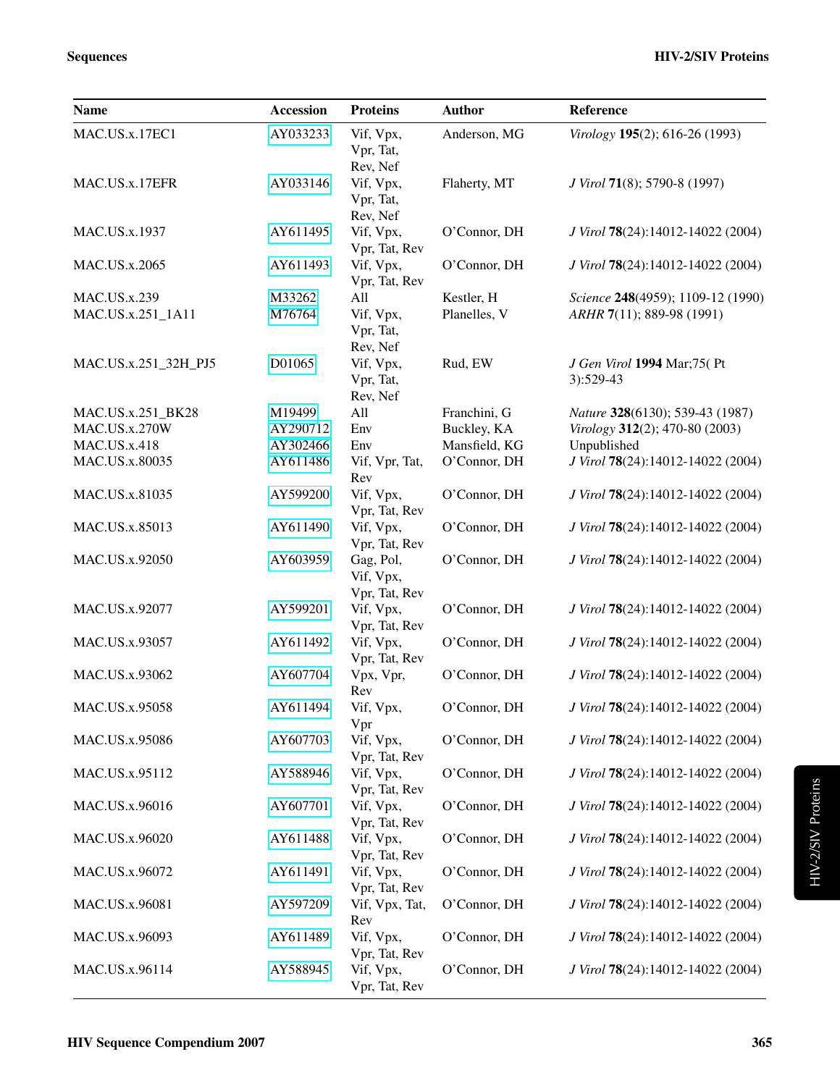| <b>Name</b>          | <b>Accession</b> | <b>Proteins</b>                         | <b>Author</b> | Reference                               |
|----------------------|------------------|-----------------------------------------|---------------|-----------------------------------------|
| MAC.US.x.17EC1       | AY033233         | Vif, Vpx,<br>Vpr, Tat,<br>Rev, Nef      | Anderson, MG  | Virology 195(2); 616-26 (1993)          |
| MAC.US.x.17EFR       | AY033146         | Vif, Vpx,<br>Vpr, Tat,<br>Rev, Nef      | Flaherty, MT  | J Virol 71(8); 5790-8 (1997)            |
| MAC.US.x.1937        | AY611495         | Vif, Vpx,<br>Vpr, Tat, Rev              | O'Connor, DH  | J Virol 78(24):14012-14022 (2004)       |
| MAC.US.x.2065        | AY611493         | Vif, Vpx,<br>Vpr, Tat, Rev              | O'Connor, DH  | J Virol 78(24):14012-14022 (2004)       |
| <b>MAC.US.x.239</b>  | M33262           | All                                     | Kestler, H    | Science 248(4959); 1109-12 (1990)       |
| MAC.US.x.251_1A11    | M76764           | Vif, Vpx,<br>Vpr, Tat,<br>Rev, Nef      | Planelles, V  | ARHR 7(11); 889-98 (1991)               |
| MAC.US.x.251_32H_PJ5 | D01065           | Vif, Vpx,<br>Vpr, Tat,<br>Rev, Nef      | Rud, EW       | J Gen Virol 1994 Mar;75(Pt<br>3):529-43 |
| MAC.US.x.251_BK28    | M19499           | All                                     | Franchini, G  | Nature 328(6130); 539-43 (1987)         |
| <b>MAC.US.x.270W</b> | AY290712         | Env                                     | Buckley, KA   | Virology 312(2); 470-80 (2003)          |
| <b>MAC.US.x.418</b>  | AY302466         | Env                                     | Mansfield, KG | Unpublished                             |
| MAC.US.x.80035       | AY611486         | Vif, Vpr, Tat,                          | O'Connor, DH  | J Virol 78(24):14012-14022 (2004)       |
|                      |                  | Rev                                     |               |                                         |
| MAC.US.x.81035       | AY599200         | Vif, Vpx,<br>Vpr, Tat, Rev              | O'Connor, DH  | J Virol 78(24):14012-14022 (2004)       |
| MAC.US.x.85013       | AY611490         | Vif, Vpx,<br>Vpr, Tat, Rev              | O'Connor, DH  | J Virol 78(24):14012-14022 (2004)       |
| MAC.US.x.92050       | AY603959         | Gag, Pol,<br>Vif, Vpx,<br>Vpr, Tat, Rev | O'Connor, DH  | J Virol 78(24):14012-14022 (2004)       |
| MAC.US.x.92077       | AY599201         | Vif, Vpx,<br>Vpr, Tat, Rev              | O'Connor, DH  | J Virol 78(24):14012-14022 (2004)       |
| MAC.US.x.93057       | AY611492         | Vif, Vpx,<br>Vpr, Tat, Rev              | O'Connor, DH  | J Virol 78(24):14012-14022 (2004)       |
| MAC.US.x.93062       | AY607704         | Vpx, Vpr,<br>Rev                        | O'Connor, DH  | J Virol 78(24):14012-14022 (2004)       |
| MAC.US.x.95058       | AY611494         | Vif, Vpx,<br>Vpr                        | O'Connor, DH  | J Virol 78(24):14012-14022 (2004)       |
| MAC.US.x.95086       | AY607703         | Vif, Vpx,<br>Vpr, Tat, Rev              | O'Connor, DH  | J Virol 78(24):14012-14022 (2004)       |
| MAC.US.x.95112       | AY588946         | Vif, Vpx,<br>Vpr, Tat, Rev              | O'Connor, DH  | J Virol 78(24):14012-14022 (2004)       |
| MAC.US.x.96016       | AY607701         | Vif, Vpx,<br>Vpr, Tat, Rev              | O'Connor, DH  | J Virol 78(24):14012-14022 (2004)       |
| MAC.US.x.96020       | AY611488         | Vif, Vpx,<br>Vpr, Tat, Rev              | O'Connor, DH  | J Virol 78(24):14012-14022 (2004)       |
| MAC.US.x.96072       | AY611491         | Vif, Vpx,<br>Vpr, Tat, Rev              | O'Connor, DH  | J Virol 78(24):14012-14022 (2004)       |
| MAC.US.x.96081       | AY597209         | Vif, Vpx, Tat,<br>Rev                   | O'Connor, DH  | J Virol 78(24):14012-14022 (2004)       |
| MAC.US.x.96093       | AY611489         | Vif, Vpx,<br>Vpr, Tat, Rev              | O'Connor, DH  | J Virol 78(24):14012-14022 (2004)       |
| MAC.US.x.96114       | AY588945         | Vif, Vpx,<br>Vpr, Tat, Rev              | O'Connor, DH  | J Virol 78(24):14012-14022 (2004)       |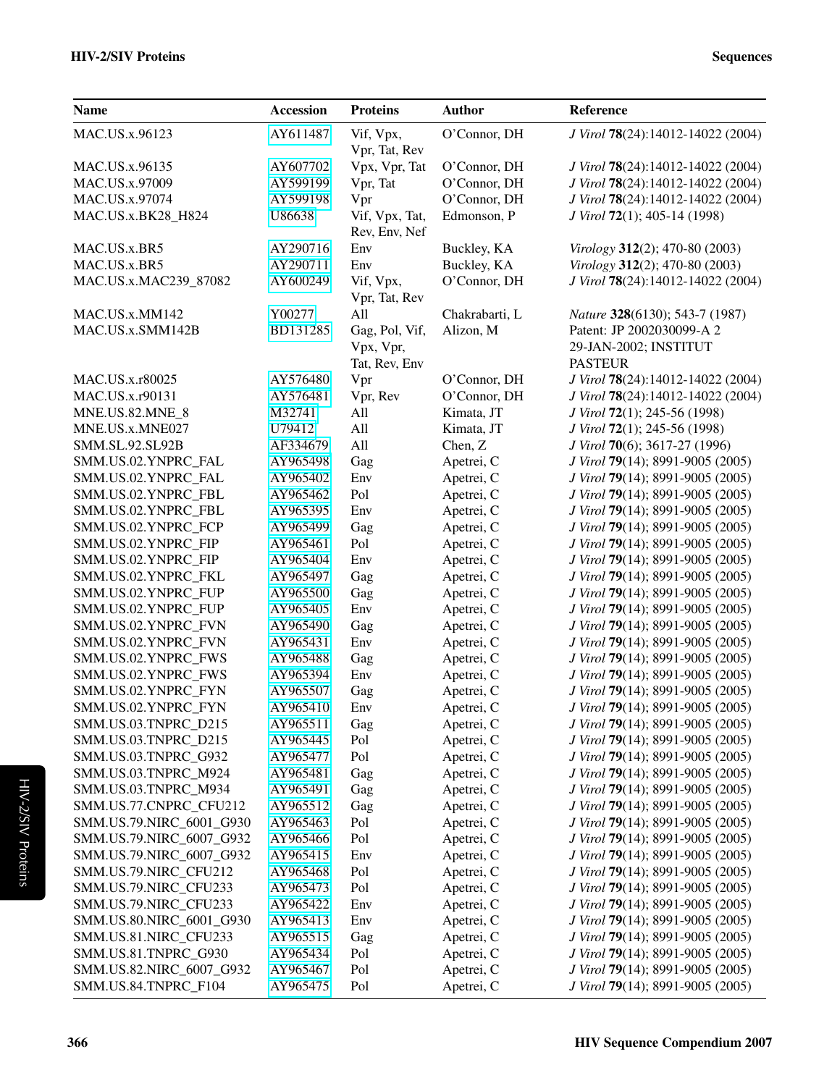| <b>Name</b>                                | <b>Accession</b>     | <b>Proteins</b> | <b>Author</b>            | Reference                                                            |
|--------------------------------------------|----------------------|-----------------|--------------------------|----------------------------------------------------------------------|
| MAC.US.x.96123                             | AY611487             | Vif, Vpx,       | O'Connor, DH             | J Virol 78(24):14012-14022 (2004)                                    |
|                                            |                      | Vpr, Tat, Rev   |                          |                                                                      |
| MAC.US.x.96135                             | AY607702             | Vpx, Vpr, Tat   | O'Connor, DH             | J Virol 78(24):14012-14022 (2004)                                    |
| MAC.US.x.97009                             | AY599199             | Vpr, Tat        | O'Connor, DH             | J Virol 78(24):14012-14022 (2004)                                    |
| MAC.US.x.97074                             | AY599198             | Vpr             | O'Connor, DH             | J Virol 78(24):14012-14022 (2004)                                    |
| MAC.US.x.BK28_H824                         | U86638               | Vif, Vpx, Tat,  | Edmonson, P              | J Virol 72(1); 405-14 (1998)                                         |
|                                            |                      | Rev, Env, Nef   |                          |                                                                      |
| MAC.US.x.BR5                               | AY290716             | Env             | Buckley, KA              | Virology 312(2); 470-80 (2003)                                       |
| MAC.US.x.BR5                               | AY290711             | Env             | Buckley, KA              | Virology 312(2); 470-80 (2003)                                       |
| MAC.US.x.MAC239_87082                      | AY600249             | Vif, Vpx,       | O'Connor, DH             | J Virol 78(24):14012-14022 (2004)                                    |
|                                            |                      | Vpr, Tat, Rev   |                          |                                                                      |
| MAC.US.x.MM142                             | Y00277               | All             | Chakrabarti, L           | Nature 328(6130); 543-7 (1987)                                       |
| MAC.US.x.SMM142B                           | BD131285             | Gag, Pol, Vif,  | Alizon, M                | Patent: JP 2002030099-A 2                                            |
|                                            |                      | Vpx, Vpr,       |                          | 29-JAN-2002; INSTITUT                                                |
|                                            |                      | Tat, Rev, Env   |                          | <b>PASTEUR</b>                                                       |
| MAC.US.x.r80025                            | AY576480             | Vpr             | O'Connor, DH             | J Virol 78(24):14012-14022 (2004)                                    |
| MAC.US.x.r90131                            | AY576481             | Vpr, Rev        | O'Connor, DH             | J Virol 78(24):14012-14022 (2004)                                    |
| MNE.US.82.MNE_8                            | M32741               | All             | Kimata, JT               | J Virol 72(1); 245-56 (1998)                                         |
| MNE.US.x.MNE027                            | U79412               | All             | Kimata, JT               | J Virol 72(1); 245-56 (1998)                                         |
| SMM.SL.92.SL92B                            | AF334679             | All             | Chen, Z                  | J Virol 70(6); 3617-27 (1996)                                        |
| SMM.US.02.YNPRC_FAL                        | AY965498             | Gag             | Apetrei, C               | J Virol 79(14); 8991-9005 (2005)                                     |
| SMM.US.02.YNPRC_FAL                        | AY965402             | Env             | Apetrei, C               | J Virol 79(14); 8991-9005 (2005)                                     |
| SMM.US.02.YNPRC_FBL                        | AY965462             | Pol             | Apetrei, C               | J Virol 79(14); 8991-9005 (2005)                                     |
| SMM.US.02.YNPRC_FBL                        | AY965395             | Env             | Apetrei, C               | J Virol 79(14); 8991-9005 (2005)                                     |
| SMM.US.02.YNPRC_FCP                        | AY965499             | Gag             | Apetrei, C               | J Virol 79(14); 8991-9005 (2005)                                     |
| SMM.US.02.YNPRC_FIP                        | AY965461             | Pol             | Apetrei, C               | J Virol 79(14); 8991-9005 (2005)                                     |
| SMM.US.02.YNPRC_FIP                        | AY965404             | Env             | Apetrei, C               | J Virol 79(14); 8991-9005 (2005)                                     |
| SMM.US.02.YNPRC_FKL                        | AY965497             | Gag             | Apetrei, C               | J Virol 79(14); 8991-9005 (2005)                                     |
| SMM.US.02.YNPRC_FUP                        | AY965500             | Gag             | Apetrei, C               | J Virol 79(14); 8991-9005 (2005)                                     |
| SMM.US.02.YNPRC_FUP<br>SMM.US.02.YNPRC_FVN | AY965405<br>AY965490 | Env             | Apetrei, C<br>Apetrei, C | J Virol 79(14); 8991-9005 (2005)                                     |
| SMM.US.02.YNPRC_FVN                        | AY965431             | Gag<br>Env      | Apetrei, C               | J Virol 79(14); 8991-9005 (2005)<br>J Virol 79(14); 8991-9005 (2005) |
| SMM.US.02.YNPRC FWS                        | AY965488             | Gag             | Apetrei, C               | J Virol 79(14); 8991-9005 (2005)                                     |
| SMM.US.02.YNPRC_FWS                        | AY965394             | Env             | Apetrei, C               | J Virol 79(14); 8991-9005 (2005)                                     |
| SMM.US.02.YNPRC_FYN                        | AY965507             | Gag             | Apetrei, C               | J Virol 79(14); 8991-9005 (2005)                                     |
| SMM.US.02.YNPRC_FYN                        | AY965410             | Env             | Apetrei, C               | J Virol 79(14); 8991-9005 (2005)                                     |
| SMM.US.03.TNPRC_D215                       | AY965511             | Gag             | Apetrei, C               | J Virol 79(14); 8991-9005 (2005)                                     |
| SMM.US.03.TNPRC_D215                       | AY965445             | Pol             | Apetrei, C               | J Virol 79(14); 8991-9005 (2005)                                     |
| SMM.US.03.TNPRC_G932                       | AY965477             | Pol             | Apetrei, C               | J Virol 79(14); 8991-9005 (2005)                                     |
| SMM.US.03.TNPRC_M924                       | AY965481             | Gag             | Apetrei, C               | J Virol 79(14); 8991-9005 (2005)                                     |
| SMM.US.03.TNPRC_M934                       | AY965491             | Gag             | Apetrei, C               | J Virol 79(14); 8991-9005 (2005)                                     |
| SMM.US.77.CNPRC_CFU212                     | AY965512             | Gag             | Apetrei, C               | J Virol 79(14); 8991-9005 (2005)                                     |
| SMM.US.79.NIRC_6001_G930                   | AY965463             | Pol             | Apetrei, C               | J Virol 79(14); 8991-9005 (2005)                                     |
| SMM.US.79.NIRC_6007_G932                   | AY965466             | Pol             | Apetrei, C               | J Virol 79(14); 8991-9005 (2005)                                     |
| SMM.US.79.NIRC_6007_G932                   | AY965415             | Env             | Apetrei, C               | J Virol 79(14); 8991-9005 (2005)                                     |
| SMM.US.79.NIRC_CFU212                      | AY965468             | Pol             | Apetrei, C               | J Virol 79(14); 8991-9005 (2005)                                     |
| SMM.US.79.NIRC_CFU233                      | AY965473             | Pol             | Apetrei, C               | J Virol 79(14); 8991-9005 (2005)                                     |
| SMM.US.79.NIRC_CFU233                      | AY965422             | Env             | Apetrei, C               | J Virol 79(14); 8991-9005 (2005)                                     |
| SMM.US.80.NIRC_6001_G930                   | AY965413             | Env             | Apetrei, C               | J Virol 79(14); 8991-9005 (2005)                                     |
| SMM.US.81.NIRC_CFU233                      | AY965515             | Gag             | Apetrei, C               | J Virol 79(14); 8991-9005 (2005)                                     |
| SMM.US.81.TNPRC_G930                       | AY965434             | Pol             | Apetrei, C               | J Virol 79(14); 8991-9005 (2005)                                     |
| SMM.US.82.NIRC_6007_G932                   | AY965467             | Pol             | Apetrei, C               | J Virol 79(14); 8991-9005 (2005)                                     |
| SMM.US.84.TNPRC_F104                       | AY965475             | Pol             | Apetrei, C               | J Virol 79(14); 8991-9005 (2005)                                     |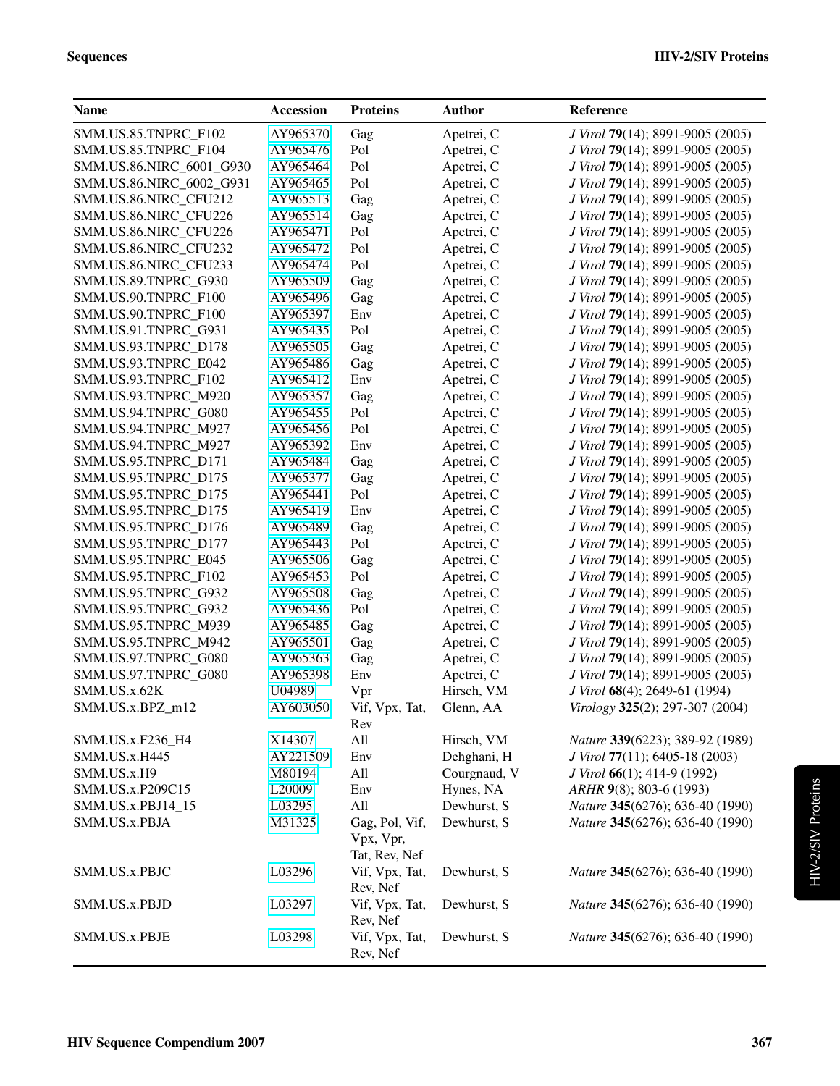| <b>Name</b>                  | <b>Accession</b>   | <b>Proteins</b>            | <b>Author</b>               | Reference                                              |
|------------------------------|--------------------|----------------------------|-----------------------------|--------------------------------------------------------|
| SMM.US.85.TNPRC_F102         | AY965370           | Gag                        | Apetrei, C                  | J Virol 79(14); 8991-9005 (2005)                       |
| SMM.US.85.TNPRC_F104         | AY965476           | Pol                        | Apetrei, C                  | J Virol 79(14); 8991-9005 (2005)                       |
| SMM.US.86.NIRC_6001_G930     | AY965464           | Pol                        | Apetrei, C                  | J Virol 79(14); 8991-9005 (2005)                       |
| SMM.US.86.NIRC_6002_G931     | AY965465           | Pol                        | Apetrei, C                  | J Virol 79(14); 8991-9005 (2005)                       |
| SMM.US.86.NIRC_CFU212        | AY965513           | Gag                        | Apetrei, C                  | J Virol 79(14); 8991-9005 (2005)                       |
| SMM.US.86.NIRC_CFU226        | AY965514           | Gag                        | Apetrei, C                  | J Virol 79(14); 8991-9005 (2005)                       |
| SMM.US.86.NIRC_CFU226        | AY965471           | Pol                        | Apetrei, C                  | J Virol 79(14); 8991-9005 (2005)                       |
| SMM.US.86.NIRC_CFU232        | AY965472           | Pol                        | Apetrei, C                  | J Virol 79(14); 8991-9005 (2005)                       |
| SMM.US.86.NIRC_CFU233        | AY965474           | Pol                        | Apetrei, C                  | J Virol 79(14); 8991-9005 (2005)                       |
| SMM.US.89.TNPRC_G930         | AY965509           | Gag                        | Apetrei, C                  | J Virol 79(14); 8991-9005 (2005)                       |
| SMM.US.90.TNPRC_F100         | AY965496           | Gag                        | Apetrei, C                  | J Virol 79(14); 8991-9005 (2005)                       |
| SMM.US.90.TNPRC_F100         | AY965397           | Env                        | Apetrei, C                  | J Virol 79(14); 8991-9005 (2005)                       |
| SMM.US.91.TNPRC_G931         | AY965435           | Pol                        | Apetrei, C                  | J Virol 79(14); 8991-9005 (2005)                       |
| SMM.US.93.TNPRC_D178         | AY965505           | Gag                        | Apetrei, C                  | J Virol 79(14); 8991-9005 (2005)                       |
| SMM.US.93.TNPRC_E042         | AY965486           | Gag                        | Apetrei, C                  | J Virol 79(14); 8991-9005 (2005)                       |
| SMM.US.93.TNPRC_F102         | AY965412           | Env                        | Apetrei, C                  | J Virol 79(14); 8991-9005 (2005)                       |
| SMM.US.93.TNPRC_M920         | AY965357           | Gag                        | Apetrei, C                  | J Virol 79(14); 8991-9005 (2005)                       |
| SMM.US.94.TNPRC_G080         | AY965455           | Pol                        | Apetrei, C                  | J Virol 79(14); 8991-9005 (2005)                       |
| SMM.US.94.TNPRC M927         | AY965456           | Pol                        | Apetrei, C                  | J Virol 79(14); 8991-9005 (2005)                       |
| SMM.US.94.TNPRC_M927         | AY965392           | Env                        | Apetrei, C                  | J Virol 79(14); 8991-9005 (2005)                       |
| SMM.US.95.TNPRC_D171         | AY965484           | Gag                        | Apetrei, C                  | J Virol 79(14); 8991-9005 (2005)                       |
| SMM.US.95.TNPRC_D175         | AY965377           | Gag                        | Apetrei, C                  | J Virol 79(14); 8991-9005 (2005)                       |
| SMM.US.95.TNPRC_D175         | AY965441           | Pol                        | Apetrei, C                  | J Virol 79(14); 8991-9005 (2005)                       |
| SMM.US.95.TNPRC_D175         | AY965419           | Env                        | Apetrei, C                  | J Virol 79(14); 8991-9005 (2005)                       |
| SMM.US.95.TNPRC_D176         | AY965489           | Gag                        | Apetrei, C                  | J Virol 79(14); 8991-9005 (2005)                       |
| SMM.US.95.TNPRC_D177         | AY965443           | Pol                        | Apetrei, C                  | J Virol 79(14); 8991-9005 (2005)                       |
| SMM.US.95.TNPRC_E045         | AY965506           | Gag                        | Apetrei, C                  | J Virol 79(14); 8991-9005 (2005)                       |
| SMM.US.95.TNPRC_F102         | AY965453           | Pol                        | Apetrei, C                  | J Virol 79(14); 8991-9005 (2005)                       |
| SMM.US.95.TNPRC_G932         | AY965508           | Gag                        | Apetrei, C                  | J Virol 79(14); 8991-9005 (2005)                       |
| SMM.US.95.TNPRC_G932         | AY965436           | Pol                        | Apetrei, C                  | J Virol 79(14); 8991-9005 (2005)                       |
| SMM.US.95.TNPRC_M939         | AY965485           | Gag                        | Apetrei, C                  | J Virol 79(14); 8991-9005 (2005)                       |
| SMM.US.95.TNPRC_M942         | AY965501           | Gag                        | Apetrei, C                  | J Virol 79(14); 8991-9005 (2005)                       |
| SMM.US.97.TNPRC_G080         | AY965363           | Gag                        | Apetrei, C                  | J Virol 79(14); 8991-9005 (2005)                       |
| SMM.US.97.TNPRC_G080         | AY965398           | Env                        | Apetrei, C                  | J Virol 79(14); 8991-9005 (2005)                       |
| SMM.US.x.62K                 | U04989             | Vpr                        | Hirsch, VM                  | J Virol 68(4); 2649-61 (1994)                          |
| SMM.US.x.BPZ_m12             | AY603050           | Vif, Vpx, Tat,             | Glenn, AA                   | Virology 325(2); 297-307 (2004)                        |
|                              |                    | Rev<br>All                 |                             |                                                        |
| SMM.US.x.F236_H4             | X14307             |                            | Hirsch, VM                  | Nature 339(6223); 389-92 (1989)                        |
| SMM.US.x.H445<br>SMM.US.x.H9 | AY221509<br>M80194 | Env<br>All                 | Dehghani, H<br>Courgnaud, V | J Virol 77(11); 6405-18 (2003)                         |
| SMM.US.x.P209C15             | L20009             | Env                        | Hynes, NA                   | J Virol 66(1); 414-9 (1992)<br>ARHR 9(8); 803-6 (1993) |
|                              | L03295             | All                        | Dewhurst, S                 | Nature 345(6276); 636-40 (1990)                        |
| SMM.US.x.PBJ14_15            |                    |                            | Dewhurst, S                 | Nature 345(6276); 636-40 (1990)                        |
| SMM.US.x.PBJA                | M31325             | Gag, Pol, Vif,             |                             |                                                        |
|                              |                    | Vpx, Vpr,<br>Tat, Rev, Nef |                             |                                                        |
| SMM.US.x.PBJC                | L03296             | Vif, Vpx, Tat,             | Dewhurst, S                 | Nature 345(6276); 636-40 (1990)                        |
|                              |                    | Rev, Nef                   |                             |                                                        |
| SMM.US.x.PBJD                | L03297             | Vif, Vpx, Tat,<br>Rev, Nef | Dewhurst, S                 | Nature 345(6276); 636-40 (1990)                        |
| SMM.US.x.PBJE                | L03298             | Vif, Vpx, Tat,             | Dewhurst, S                 | Nature 345(6276); 636-40 (1990)                        |
|                              |                    | Rev, Nef                   |                             |                                                        |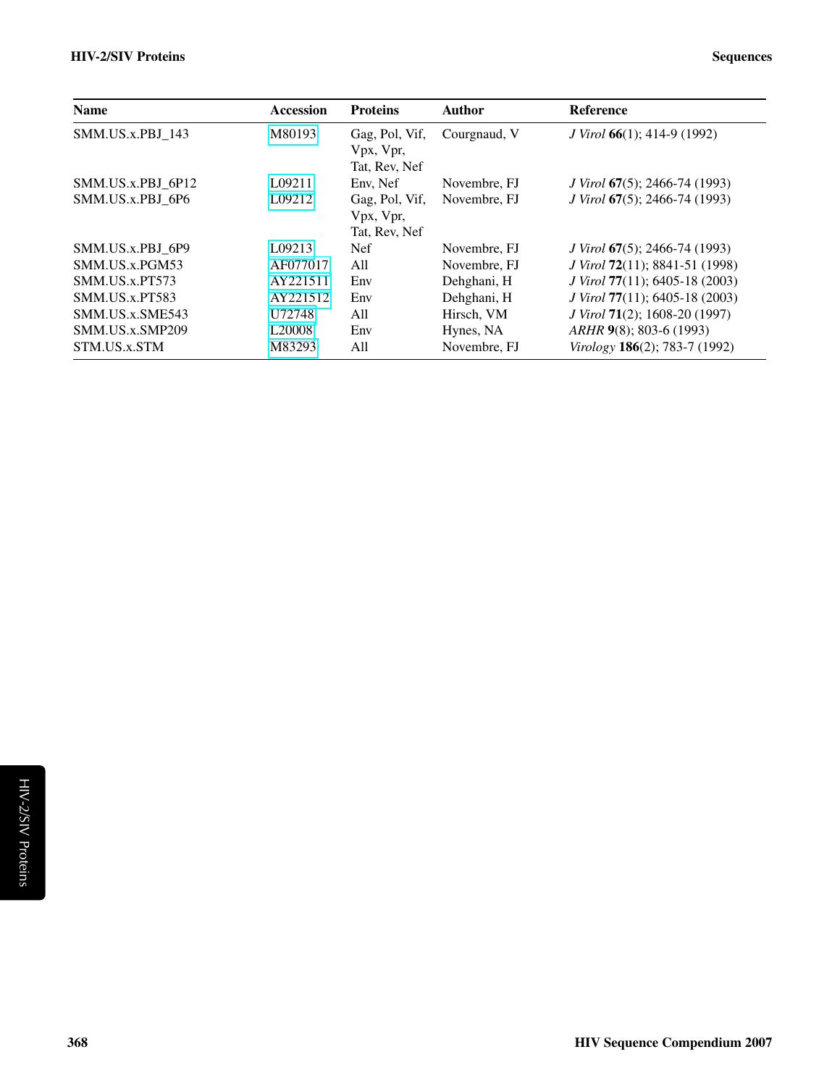| <b>Name</b>       | <b>Accession</b>   | <b>Proteins</b>                              | Author       | <b>Reference</b>                             |
|-------------------|--------------------|----------------------------------------------|--------------|----------------------------------------------|
| SMM.US.x.PBJ 143  | M80193             | Gag, Pol, Vif,<br>Vpx, Vpr,<br>Tat, Rev, Nef | Courgnaud, V | <i>J Virol</i> $66(1)$ ; 414-9 (1992)        |
| SMM.US.x.PBJ 6P12 | L09211             | Env, Nef                                     | Novembre, FJ | <i>J Virol</i> 67(5); 2466-74 (1993)         |
| SMM.US.x.PBJ 6P6  | L09212             | Gag, Pol, Vif,<br>Vpx, Vpr,<br>Tat, Rev, Nef | Novembre, FJ | J Virol 67(5); 2466-74 (1993)                |
| SMM.US.x.PBJ 6P9  | L09213             | <b>Nef</b>                                   | Novembre, FJ | <i>J Virol</i> 67(5); 2466-74 (1993)         |
| SMM.US.x.PGM53    | AF077017           | A11                                          | Novembre, FJ | J Virol 72(11); 8841-51 (1998)               |
| SMM.US.x.PT573    | AY221511           | Env                                          | Dehghani, H  | <i>J Virol</i> 77(11); 6405-18 (2003)        |
| SMM.US.x.PT583    | AY221512           | Env                                          | Dehghani, H  | J Virol 77(11); 6405-18 (2003)               |
| SMM.US.x.SME543   | U72748             | All                                          | Hirsch, VM   | <i>J Virol</i> <b>71</b> (2); 1608-20 (1997) |
| SMM.US.x.SMP209   | L <sub>20008</sub> | Env                                          | Hynes, NA    | $ARHR$ 9(8); 803-6 (1993)                    |
| STM.US.x.STM      | M83293             | All                                          | Novembre, FJ | Virology $186(2)$ ; 783-7 (1992)             |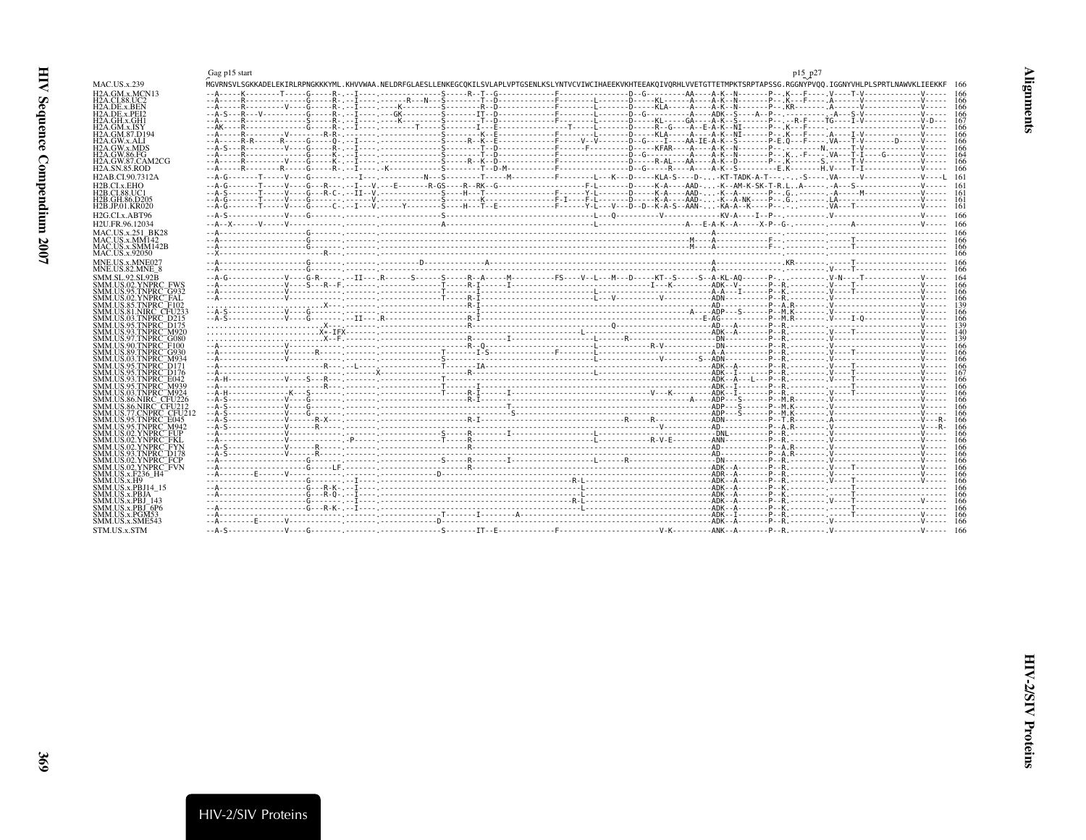<span id="page-8-2"></span><span id="page-8-1"></span><span id="page-8-0"></span>

|                                                                       | Gag p15 start                                                                                                                                                              |  | p15 p27 |  |
|-----------------------------------------------------------------------|----------------------------------------------------------------------------------------------------------------------------------------------------------------------------|--|---------|--|
| MAC.US.x.239                                                          | MGVRNSVLSGKKADELEKIRLRPNGKKKYML.KHVVWAA.NELDRFGLAESLLENKEGCOKILSVLAPLVPTGSENLKSLYNTVCVIWCIHAEEKVKHTEEAKOIVORHLVVETGTTETMPKTSRPTAPSSG.RGGNYPVOO.IGGNYVHLPLSPRTLNAWVKLIEEKKF |  |         |  |
| H2A.GM.x.MCN13                                                        |                                                                                                                                                                            |  |         |  |
| H2A.CI.88.UC2<br>H2A.DE.x.BEN                                         |                                                                                                                                                                            |  |         |  |
| H2A.DE.x.PEI2                                                         |                                                                                                                                                                            |  |         |  |
| H <sub>2</sub> A.GH.x.GH <sub>1</sub>                                 |                                                                                                                                                                            |  |         |  |
| H2A.GM.x.ISY                                                          |                                                                                                                                                                            |  |         |  |
| H2A.GM.87.D194<br>H2A.GW.x.ALI                                        |                                                                                                                                                                            |  |         |  |
| <b>H2A.GW.x.MDS</b>                                                   |                                                                                                                                                                            |  |         |  |
| H2A.GW.86.FG                                                          |                                                                                                                                                                            |  |         |  |
| H2A.GW.87.CAM2CG<br>H2A.SN.85.ROD                                     |                                                                                                                                                                            |  |         |  |
| H2AB.CI.90.7312A                                                      | --A-G--------T-----V----G------- ---I--- ---------N---S--------T-----M--------F-------L---K---D-----KLA-S----D--KT-TADK-A-T---S---- .VA-----V------------V----L            |  |         |  |
| H2B.CLx.EHO                                                           |                                                                                                                                                                            |  |         |  |
| H2B.CL88.UC1                                                          |                                                                                                                                                                            |  |         |  |
| H2B.GH.86.D205                                                        |                                                                                                                                                                            |  |         |  |
| H2B.JP.01.KR020                                                       |                                                                                                                                                                            |  |         |  |
| H2G.CI.x.ABT96                                                        |                                                                                                                                                                            |  |         |  |
| H2U.FR.96.12034                                                       |                                                                                                                                                                            |  |         |  |
| MAC.US.x.251 BK28                                                     |                                                                                                                                                                            |  |         |  |
| MAC.US.x.MM142<br>MAC.US.x.SMM142B                                    |                                                                                                                                                                            |  |         |  |
| MAC.US.x.92050                                                        |                                                                                                                                                                            |  |         |  |
| MNE.US.x.MNE027                                                       |                                                                                                                                                                            |  |         |  |
| MNE.US.82.MNE 8                                                       |                                                                                                                                                                            |  |         |  |
| SMM.SL.92.SL92B                                                       |                                                                                                                                                                            |  |         |  |
| SMM.US.02.YNPRC FWS                                                   |                                                                                                                                                                            |  |         |  |
| SMM.US.95.TNPRC <sup>-</sup> G932<br>SMM.US.02.YNPRC <sup>-</sup> FAL |                                                                                                                                                                            |  |         |  |
| SMM.US.85.TNPRC_F102                                                  |                                                                                                                                                                            |  |         |  |
| SMM.US.81.NIRC CFU233                                                 |                                                                                                                                                                            |  |         |  |
| SMM.US.03.TNPRC_D215                                                  |                                                                                                                                                                            |  |         |  |
| SMM.US.95.TNPRC <sup>-</sup> D175<br>SMM.US.93.TNPRC_M920             |                                                                                                                                                                            |  |         |  |
| SMM.US.97.TNPRC <sup>=</sup> G080                                     |                                                                                                                                                                            |  |         |  |
| SMM.US.90.TNPRC <sup>-</sup> F100                                     |                                                                                                                                                                            |  |         |  |
| SMM.US.89.TNPRC <sup>-</sup> G930                                     |                                                                                                                                                                            |  |         |  |
| SMM.US.03.TNPRC_M934<br>SMM.US.95.TNPRC <sup>--</sup> D171            |                                                                                                                                                                            |  |         |  |
| SMM.US.95.TNPRC <sup>--</sup> D176                                    |                                                                                                                                                                            |  |         |  |
| SMM US 93 TNPRC F042                                                  |                                                                                                                                                                            |  |         |  |
| SMM.US.95.TNPRC¯M939<br>SMM.US.03.TNPRC¯M924                          |                                                                                                                                                                            |  |         |  |
| SMM.US.86.NIRC CFU226                                                 |                                                                                                                                                                            |  |         |  |
| SMM.US.86.NIRC_CFU212                                                 |                                                                                                                                                                            |  |         |  |
| SMM.US.77.CNPRC CFU21                                                 |                                                                                                                                                                            |  |         |  |
| SMM.US.95.TNPRC_E045<br>SMM.US.95.TNPRC_M942                          |                                                                                                                                                                            |  |         |  |
| SMM.US.02.YNPRC FUP                                                   |                                                                                                                                                                            |  |         |  |
| SMM.US.02.YNPRC FKL                                                   |                                                                                                                                                                            |  |         |  |
| SMM.US.02.YNPRC_FYN                                                   |                                                                                                                                                                            |  |         |  |
| SMM.US.93.TNPRC_D178<br>SMM.US.02.YNPRC¯FCP                           |                                                                                                                                                                            |  |         |  |
| SMM.US.02.YNPRC <sup>-</sup> FVN                                      |                                                                                                                                                                            |  |         |  |
| SMM.US.x.F236 H4                                                      |                                                                                                                                                                            |  |         |  |
| SMM.US.x.H9<br>SMM.US.x.PBJ14 15                                      |                                                                                                                                                                            |  |         |  |
| SMM.US.x.PBJA                                                         |                                                                                                                                                                            |  |         |  |
| SMM.US.x.PBJ 143                                                      |                                                                                                                                                                            |  |         |  |
| SMM.US.x.PBJ <sup>-</sup> 6P6                                         |                                                                                                                                                                            |  |         |  |
| SMM.US.x.PGM53<br>SMM.US.x.SME543                                     |                                                                                                                                                                            |  |         |  |
|                                                                       |                                                                                                                                                                            |  |         |  |
| STM.US.x.STM                                                          |                                                                                                                                                                            |  |         |  |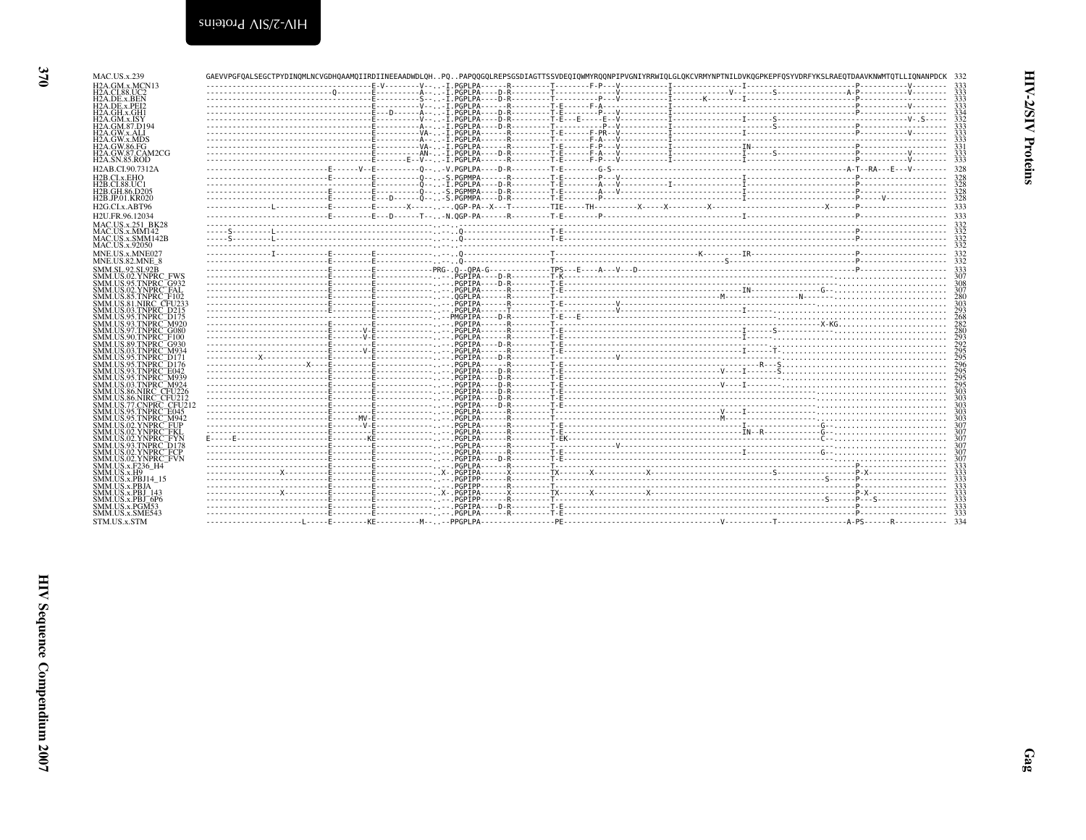| يى<br>÷.<br>ı<br>⊂ |  |
|--------------------|--|
|                    |  |

| MAC.US.x.239                                                            |  |  | GAEVVPGFOALSEGCTPYDINOMLNCVGDHOAAMOIIRDIINEEAADWDLOHPOPAPOOGOLREPSGSDIAGTTSSVDEOIOWMYROONPIPVGNIYRRWIOLGLOKCVRMYNPTNILDVKOGPKEPFOSYVDRFYKSLRAEOTDAAVKNWMTOTLLIONANPDCK 332 |            |
|-------------------------------------------------------------------------|--|--|----------------------------------------------------------------------------------------------------------------------------------------------------------------------------|------------|
| H <sub>2</sub> A GM x MCN <sub>13</sub><br><b>H2A.CI.88.UC2</b>         |  |  |                                                                                                                                                                            | 333        |
| H2A.DE.x.BEN                                                            |  |  |                                                                                                                                                                            |            |
| H <sub>2</sub> A.DE.x.PEI <sub>2</sub><br>H2A.GH.x.GH1                  |  |  |                                                                                                                                                                            |            |
| H2A.GM.x.ISY                                                            |  |  |                                                                                                                                                                            |            |
| H2A.GM.87.D194<br>H2A.GW.x.ALI                                          |  |  |                                                                                                                                                                            |            |
| H <sub>2</sub> A.GW.x.MDS                                               |  |  |                                                                                                                                                                            |            |
| H2A.GW.86.FG<br>H <sub>2</sub> A.GW.87.CAM <sub>2</sub> CG              |  |  |                                                                                                                                                                            |            |
| H2A.SN.85.ROD                                                           |  |  |                                                                                                                                                                            | 333        |
| H <sub>2</sub> AB.CI.90.7312A                                           |  |  |                                                                                                                                                                            |            |
| H2B.CI.x.EHO<br>H2B.CI.88.UC1                                           |  |  |                                                                                                                                                                            |            |
| H2B.GH.86.D205                                                          |  |  |                                                                                                                                                                            |            |
| H <sub>2</sub> B.JP.01.KR020<br>H <sub>2G</sub> .CL <sub>x</sub> .ABT96 |  |  |                                                                                                                                                                            |            |
| H2U.FR.96.12034                                                         |  |  |                                                                                                                                                                            |            |
| MAC.US.x.251 BK28                                                       |  |  |                                                                                                                                                                            |            |
| MAC.US.x.MM142<br>MAC.US.x.SMM142B                                      |  |  |                                                                                                                                                                            |            |
| MAC.US.x.92050                                                          |  |  |                                                                                                                                                                            |            |
| MNE.US.x.MNE027                                                         |  |  |                                                                                                                                                                            |            |
| MNE.US.82.MNE 8<br><b>SMM.SL.92.SL92B</b>                               |  |  |                                                                                                                                                                            |            |
| SMM.US.02.YNPRC FWS                                                     |  |  |                                                                                                                                                                            |            |
| SMM.US.95.TNPRC <sup>-</sup> G932<br>SMM.US.02.YNPRC FAL                |  |  |                                                                                                                                                                            | 307        |
| <b>SMM.US.85.TNPRC F102</b>                                             |  |  |                                                                                                                                                                            | 280        |
| SMM.US.81.NIRC CFU233<br>SMM.US.03.TNPRC D215                           |  |  |                                                                                                                                                                            |            |
| SMM.US.95.TNPRC <sup>-</sup> D175                                       |  |  |                                                                                                                                                                            |            |
| SMM.US.93.TNPRC M920<br>SMM.US.97.TNPRC <sup>-</sup> G080               |  |  |                                                                                                                                                                            | 280        |
| SMM.US.90.TNPRC F100                                                    |  |  |                                                                                                                                                                            |            |
| SMM.US.89.TNPRC <sup>-</sup> G930<br>SMM.US.03.TNPRC <sup>-</sup> M934  |  |  |                                                                                                                                                                            |            |
| SMM.US.95.TNPRC <sup>-</sup> D171                                       |  |  |                                                                                                                                                                            |            |
| SMM.US.95.TNPRC <sup>-</sup> D176<br>SMM.US.93.TNPRC_E042               |  |  |                                                                                                                                                                            | 296<br>295 |
| SMM.US.95.TNPRC M939                                                    |  |  |                                                                                                                                                                            | 295        |
| SMM.US.03.TNPRC M924<br>SMM.US.86.NIRC CFU226                           |  |  |                                                                                                                                                                            |            |
| SMM.US.86.NIRC <sup>-</sup> CFU212<br>SMM.US.77 CNPRC CFU212            |  |  |                                                                                                                                                                            | 303<br>303 |
| SMM.US.95.TNPRC_E045                                                    |  |  |                                                                                                                                                                            | 303        |
| SMM.US.95.TNPRC <sup>-</sup> M942<br>SMM.US.02.YNPRC. FUP               |  |  |                                                                                                                                                                            | 303<br>307 |
| SMM.US.02.YNPRC FKI                                                     |  |  |                                                                                                                                                                            | 307        |
| SMM.US.02.YNPRC <sup>-</sup> FYN<br>SMM.US.93.TNPRC D178                |  |  |                                                                                                                                                                            | 307        |
| SMM.US.02.YNPRC_FCP                                                     |  |  |                                                                                                                                                                            |            |
| SMM.US.02.YNPRC <sup>-</sup> FVN<br>SMM.US.x.F236 H4                    |  |  |                                                                                                                                                                            |            |
| SMM.US.x.H9                                                             |  |  |                                                                                                                                                                            |            |
| SMM.US.x.PBJ14 15<br>SMM.US.x.PBJA                                      |  |  |                                                                                                                                                                            |            |
| SMM.US.x.PBJ 143                                                        |  |  |                                                                                                                                                                            |            |
| SMM.US.x.PBJ <sup>-6P6</sup><br>SMM.US.x.PGM53                          |  |  |                                                                                                                                                                            |            |
| SMM.US.x.SME543                                                         |  |  |                                                                                                                                                                            |            |
| STM.US.x.STM                                                            |  |  |                                                                                                                                                                            |            |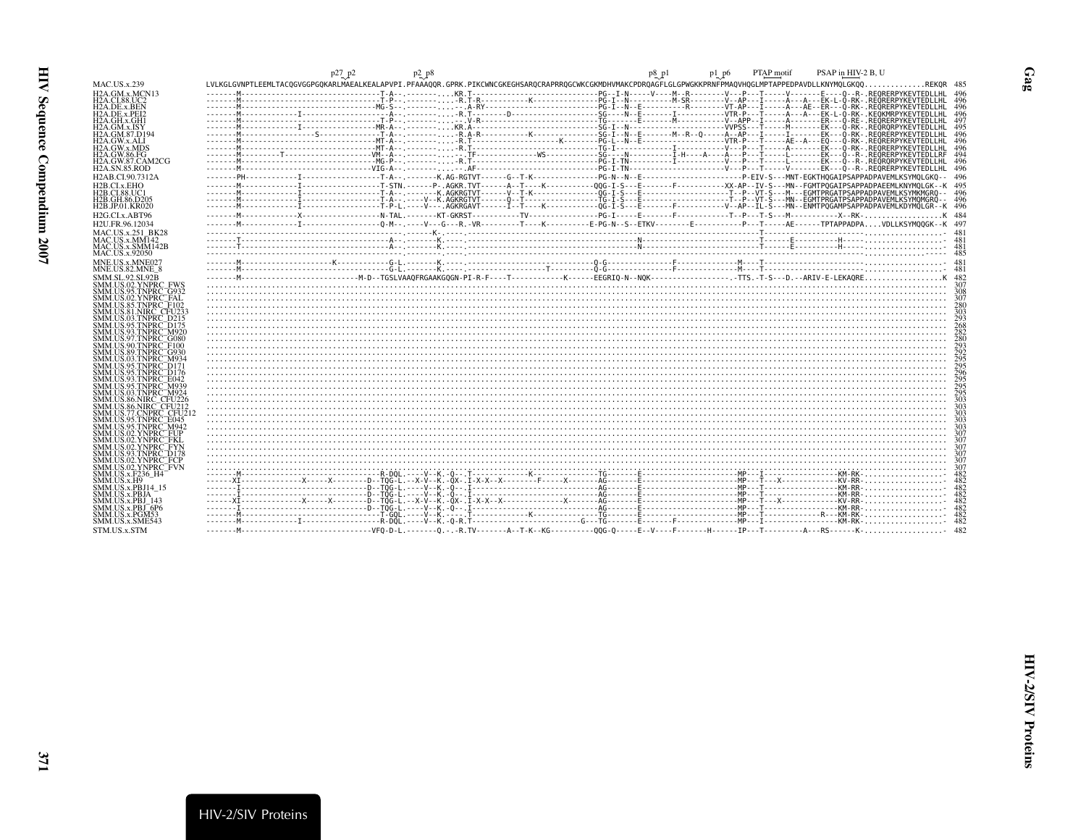<span id="page-10-0"></span>

|                                                                        | p27 p2<br>$p_2$ $p_8$ | PSAP in HIV-2 B, U<br>PTAP motif<br>p1 p6<br>p8_p1                                                                                                               |
|------------------------------------------------------------------------|-----------------------|------------------------------------------------------------------------------------------------------------------------------------------------------------------|
| <b>MAC.US.x.239</b>                                                    |                       | LVLKGLGVNPTLEEMLTACOGVGGPGOKARLMAEALKEALAPVPI.PFAAAOOR.GPRK.PIKCWNCGKEGHSAROCRAPRROGCWKCGKMDHVMAKCPDROAGFLGLGPWGKKPRNFPMAOVHOGLMPTAPPEDPAVDLLKNYMOLGKOOREKOR 485 |
| H <sub>2</sub> A.GM.x.MCN <sub>13</sub>                                |                       |                                                                                                                                                                  |
| H2A.CI.88.UC2<br>H <sub>2</sub> A DE x BEN                             |                       |                                                                                                                                                                  |
| H2A.DE.x.PEI2                                                          |                       |                                                                                                                                                                  |
| H2A.GH.x.GH1                                                           |                       |                                                                                                                                                                  |
| H2A.GM.x.ISY                                                           |                       | 495                                                                                                                                                              |
| H2A.GM.87.D194<br>H2A.GW.x.ALI                                         |                       | 496<br>496                                                                                                                                                       |
| H <sub>2</sub> A.GW.x.MDS                                              |                       |                                                                                                                                                                  |
| H2A.GW.86.FG<br>H <sub>2</sub> A.GW.87.CAM <sub>2</sub> CG             |                       | 496                                                                                                                                                              |
| <b>H2A.SN.85.ROD</b>                                                   |                       | -496                                                                                                                                                             |
| H2AB.CI.90.7312A                                                       |                       |                                                                                                                                                                  |
| H2B. CLX. EHO                                                          |                       |                                                                                                                                                                  |
| H2B.CI.88.UC1<br>H <sub>2</sub> B.GH.86.D <sub>205</sub>               |                       |                                                                                                                                                                  |
| H <sub>2</sub> B.JP.01.KR020                                           |                       |                                                                                                                                                                  |
| H <sub>2G.CLx</sub> , ABT96                                            |                       | K 484.                                                                                                                                                           |
| H <sub>2</sub> U.FR.96.12034                                           |                       |                                                                                                                                                                  |
| <b>MAC.US.x.251 BK28</b>                                               |                       |                                                                                                                                                                  |
| MAC.US.x.MM142<br>MAC.US.x.SMM142B                                     |                       |                                                                                                                                                                  |
| <b>MAC.US.x.92050</b>                                                  |                       |                                                                                                                                                                  |
| MNE.US.x.MNE027                                                        |                       |                                                                                                                                                                  |
| MNE.US.82.MNE 8                                                        |                       |                                                                                                                                                                  |
| <b>SMM.SL.92.SL92B</b><br>SMM.US.02.YNPRC FWS                          |                       |                                                                                                                                                                  |
| SMM.US.95.TNPRC G932                                                   |                       | 308                                                                                                                                                              |
| SMM.US.02.YNPRC¯FAL                                                    |                       | 307                                                                                                                                                              |
| SMM.US.85.TNPRC F102<br>SMM.US.81.NIRC CFU23.                          |                       | 280                                                                                                                                                              |
| SMM.US.03.TNPRC: D215                                                  |                       |                                                                                                                                                                  |
| SMM.US.95.TNPRC <sup>-</sup> D175                                      |                       | 268                                                                                                                                                              |
| SMM.US.93.TNPRC M920<br>SMM.US.97.TNPRC <sup>-</sup> G080              |                       | 282<br>280                                                                                                                                                       |
| SMM.US.90.TNPRC F100                                                   |                       | 293                                                                                                                                                              |
| SMM.US.89.TNPRC G930<br>SMM.US.03.TNPRC M934                           |                       | 292                                                                                                                                                              |
| SMM.US.95.TNPRC <sup>-</sup> D171                                      |                       |                                                                                                                                                                  |
| SMM.US.95.TNPRC_D176                                                   |                       |                                                                                                                                                                  |
| SMM.US.93.TNPRC <sup>-</sup> E042<br>SMM.US.95.TNPRC <sup>-</sup> M939 |                       |                                                                                                                                                                  |
| SMM.US.03.TNPRC_M924                                                   |                       | 295                                                                                                                                                              |
| SMM.US.86.NIRC CFU226<br>SMM.US.86.NIRC. CFU212                        |                       | 303<br>303                                                                                                                                                       |
| SMM.US.77.CNPRC_CFU212                                                 |                       | 303                                                                                                                                                              |
| SMM.US.95.TNPRC E045                                                   |                       | 303                                                                                                                                                              |
| SMM.US.95.TNPRC¯M942<br>SMM.US.02.YNPRC FUP                            |                       | 303<br>307                                                                                                                                                       |
| SMM.US.02.YNPRC FKL                                                    |                       | 307                                                                                                                                                              |
| SMM.US.02.YNPRC_FYN                                                    |                       |                                                                                                                                                                  |
| SMM.US.02.YNPRC FCP                                                    |                       |                                                                                                                                                                  |
| SMM.US.02.YNPRC <sup>-</sup> FVN                                       |                       |                                                                                                                                                                  |
| <b>SMM.US.x.F236 H4</b><br>SMM.US.x.H9                                 |                       | 482<br>482                                                                                                                                                       |
| SMM.US.x.PBJ14 15                                                      |                       | 482                                                                                                                                                              |
| SMM.US.x.PBJA                                                          |                       | 482                                                                                                                                                              |
| SMM.US.x.PBJ 143<br>$SMM. US.x.PBJ-6P6$                                |                       | 482<br>482                                                                                                                                                       |
| SMM.US.x.PGM53                                                         |                       | 482                                                                                                                                                              |
| SMM.US.x.SME543                                                        |                       | 482                                                                                                                                                              |
| STM.US.x.STM                                                           |                       |                                                                                                                                                                  |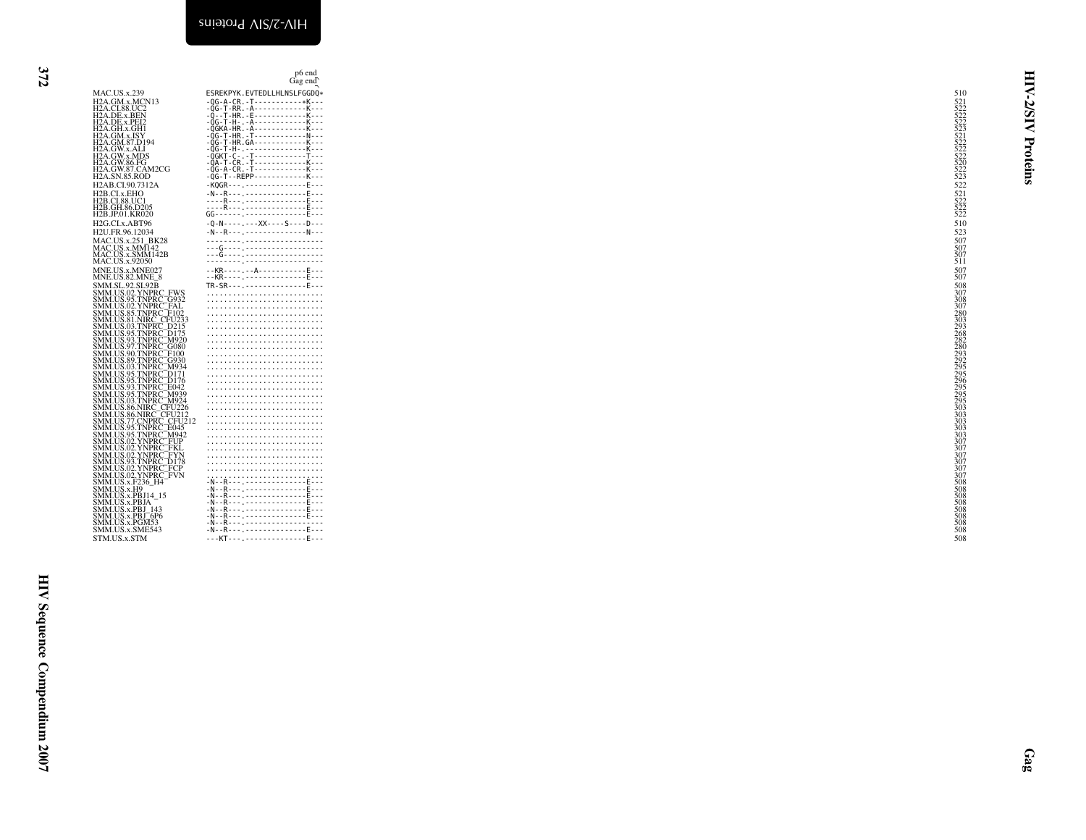<span id="page-11-0"></span>

|                                                                                                                                                                                                                                                                                                                                                                                                                                                                                                                                                                                                                                                                                                                                                                                                                     | p <sub>6</sub> end<br>Gag end                                                                                                                                                                                                                                                                                                                                                                                                                                                  |                                                                                                                                                                      | E                         |
|---------------------------------------------------------------------------------------------------------------------------------------------------------------------------------------------------------------------------------------------------------------------------------------------------------------------------------------------------------------------------------------------------------------------------------------------------------------------------------------------------------------------------------------------------------------------------------------------------------------------------------------------------------------------------------------------------------------------------------------------------------------------------------------------------------------------|--------------------------------------------------------------------------------------------------------------------------------------------------------------------------------------------------------------------------------------------------------------------------------------------------------------------------------------------------------------------------------------------------------------------------------------------------------------------------------|----------------------------------------------------------------------------------------------------------------------------------------------------------------------|---------------------------|
| MAC.US.x.239<br>MAC.:05.x.2.57<br>H2A.GM.x.MCN13<br>H2A.CL88.UC2<br>H2A.DE.x.BEN<br>H2A.GH.x.GH1<br>H2A.GM.x.ISY<br>H2A.GM.x.ISY<br>H2A.GM.x.ISY<br>H2A.GM.x.ISY<br>H2A.GW.3.ALI<br>H2A.GW.x.ALI<br>H2A.GW.x.MDS<br>H2A.GW.86.FG<br>H2A.SN.85.ROD<br>H2A.SN.85.ROD<br>H2AB.CI.90.7312A<br>H2B.CI.x.EHO<br>H2B.CI.x.EHO<br>H2B.CI.88.UC1<br>H2B.GH.86.D205<br>H2B.JP.01.KR020<br>H2G.CI.x.ABT96<br>H2U.FR.96.12034<br>MAC.US.x.251_BK28<br>MAC.US.x.MM142<br>MAC.US.x.SMM142B<br>MAC.US.x.92050<br>MNE.US.x.MNE027<br>MNE.US.82.MNE_8<br>MNE.US. 2. MNE027<br>MNE.US. 2. MNE027<br>SSMM SL. 92. SL. 92B<br>SMM US. 92. SL. 92B<br>SMM US. 92. YNPRC_FWS<br>SSMM US. 92. YNPRC_FOD<br>SSMM US. 92. YNPRC_FOD<br>SSMM US. 93. TNPRC_CFOD<br>SSMM US. 93. TNPRC_CFOD<br>SSMM US. 93. TNPRC_CFOD<br>SSMM<br>STM.US.x.STM | ESREKPYK.EVTEDLLHLNSLFGGDQ*<br>$-QG-A-CR. -T- - - - - - - - - -- - K- - -$<br>$\begin{picture}(120,140)(0,0) \put(0,0){\vector(1,0){180}} \put(15,0){\vector(1,0){180}} \put(15,0){\vector(1,0){180}} \put(15,0){\vector(1,0){180}} \put(15,0){\vector(1,0){180}} \put(15,0){\vector(1,0){180}} \put(15,0){\vector(1,0){180}} \put(15,0){\vector(1,0){180}} \put(15,0){\vector(1,0){180}} \put(15,0){\vector(1,0){180}} \put(15,0){\vector(1,0$<br>---KT------------------E--- | 510<br>522<br>521<br>522<br>522<br>522<br>522<br>510<br>523<br>507<br>$\frac{507}{511}$<br>507<br>307<br>307<br>508<br>508<br>508<br>508<br>508<br>508<br>508<br>508 | ⋜<br>5/5<br>₹<br>Proteins |
|                                                                                                                                                                                                                                                                                                                                                                                                                                                                                                                                                                                                                                                                                                                                                                                                                     |                                                                                                                                                                                                                                                                                                                                                                                                                                                                                |                                                                                                                                                                      | $g_{\rm 85}$              |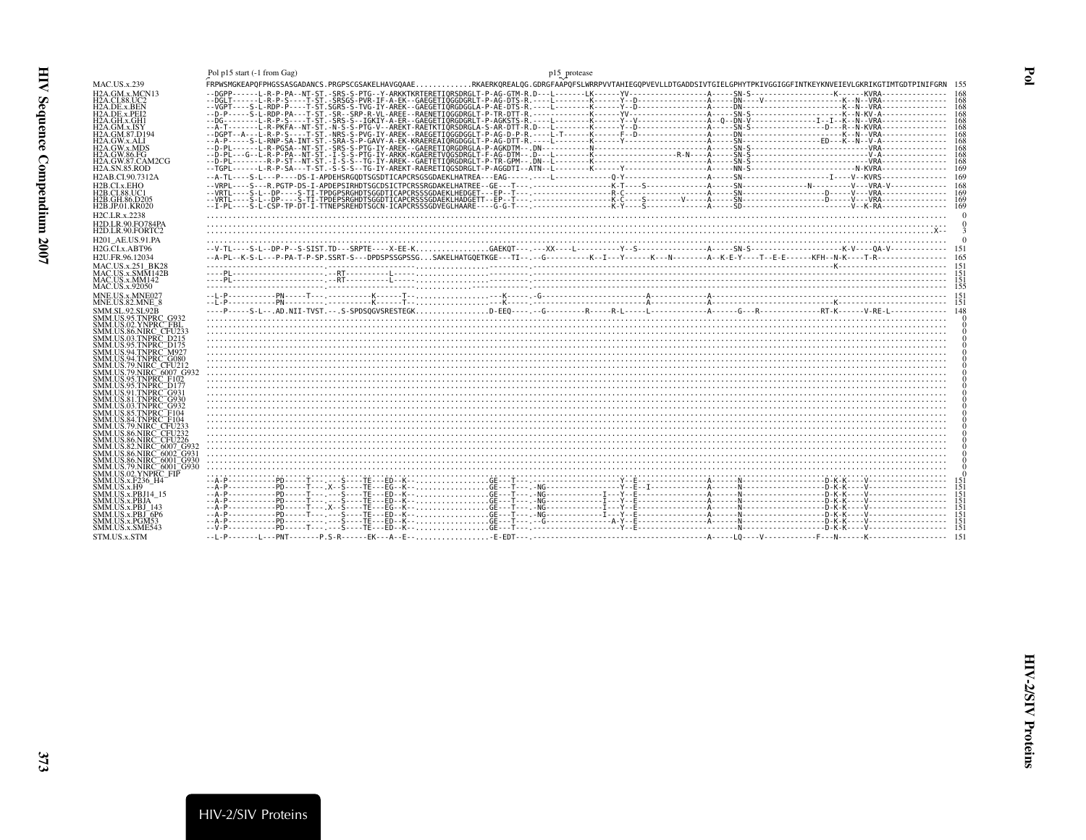<span id="page-12-0"></span>

| Į<br>j<br>ì<br>i |  |
|------------------|--|
| l                |  |
| ļ                |  |
| Ĩ.<br>ì          |  |

<span id="page-12-1"></span>

|                                                                | Pol p15 start (-1 from Gag) | p15 protease                                                                                                                                                      |
|----------------------------------------------------------------|-----------------------------|-------------------------------------------------------------------------------------------------------------------------------------------------------------------|
| <b>MAC.US.x.239</b>                                            |                             | FRPWSMGKEAPOFPHGSSASGADANCS.PRGPSCGSAKELHAVGOAAERKAERKOREALOG.GDRGFAAPOFSLWRRPVVTAHIEGOPVEVLLDTGADDSIVTGIELGPHYTPKIVGGIGGFINTKEYKNVEIEVLGKRIKGTIMTGDTPINIFGRN 155 |
| H2A.GM.x.MCN13                                                 |                             | -168                                                                                                                                                              |
| H2A.CI.88.UC2<br>H2A.DE.x.BEN                                  |                             |                                                                                                                                                                   |
| H2A.DE.x.PEI2                                                  |                             |                                                                                                                                                                   |
| H2A.GH.x.GH1                                                   |                             |                                                                                                                                                                   |
| H2A.GM.x.ISY<br>H2A.GM.87.D194                                 |                             |                                                                                                                                                                   |
| H2A.GW.x.ALI                                                   |                             |                                                                                                                                                                   |
| H2A.GW.x.MDS<br>H2A.GW.86.FG                                   |                             |                                                                                                                                                                   |
| H <sub>2</sub> A.GW.87.CAM <sub>2</sub> CG                     |                             |                                                                                                                                                                   |
| <b>H2A.SN.85.ROD</b>                                           |                             | -169                                                                                                                                                              |
| H <sub>2</sub> AB.CI.90.7312A<br>H2B.CI.x.EHO                  |                             |                                                                                                                                                                   |
| H2B.CI.88.UC1                                                  |                             |                                                                                                                                                                   |
| H2B.GH.86.D205                                                 |                             |                                                                                                                                                                   |
| H <sub>2</sub> B.JP.01.KR020                                   |                             |                                                                                                                                                                   |
| H <sub>2</sub> C.LR.x.2238<br>H2D.LR.90.FO784PA                |                             |                                                                                                                                                                   |
| H2D.LR.90.FORTC2                                               |                             |                                                                                                                                                                   |
| H <sub>201</sub> AE.US.91.PA                                   |                             |                                                                                                                                                                   |
| H <sub>2G</sub> .CI.x.ABT96                                    |                             |                                                                                                                                                                   |
| H2U.FR.96.12034                                                |                             |                                                                                                                                                                   |
| <b>MAC.US.x.251 BK28</b><br>MAC.US.x.SMM142B                   |                             |                                                                                                                                                                   |
| MAC.US.x.MM142                                                 |                             |                                                                                                                                                                   |
| MAC.US.x.92050                                                 |                             |                                                                                                                                                                   |
| MNE.US.x.MNE027                                                |                             |                                                                                                                                                                   |
|                                                                |                             |                                                                                                                                                                   |
| MNE.US.82.MNE 8                                                |                             |                                                                                                                                                                   |
| SMM.SL.92.SL92B<br>SMM.US.95.TNPRC G932                        |                             |                                                                                                                                                                   |
| SMM.US.02.YNPRC <sup>FBL</sup>                                 |                             |                                                                                                                                                                   |
| SMM.US.86.NIRC_CFU233<br>SMM.US.03.TNPRC D215                  |                             |                                                                                                                                                                   |
| SMM.US.95.TNPRC D175                                           |                             |                                                                                                                                                                   |
| SMM.US.94.TNPRC_M921<br>SMM.US.94.TNPRC <sup>-</sup> G080      |                             |                                                                                                                                                                   |
| SMM.US.79.NIRC_CFU212                                          |                             |                                                                                                                                                                   |
| SMM.US.79.NIRC <sup>-6007</sup> G93                            |                             |                                                                                                                                                                   |
| SMM.US.95.TNPRC F102<br>SMM.US.95.TNPRC <sup>-D177</sup>       |                             |                                                                                                                                                                   |
| SMM.US.91.TNPRC <sup>-</sup> G931                              |                             |                                                                                                                                                                   |
| SMM.US.81.TNPRC_G930<br>SMM.US.03.TNPRC_G932                   |                             |                                                                                                                                                                   |
| SMM.US.85.TNPRC F104                                           |                             |                                                                                                                                                                   |
| SMM.US.84.TNPRC <sup>-</sup> F104<br>SMM.US.79.NIRC_CFU233     |                             |                                                                                                                                                                   |
| SMM US 86 NIRC CEU232                                          |                             |                                                                                                                                                                   |
| SMM.US.86.NIRC <sup>=</sup> CFU226<br>SMM.US.82.NIRC_6007_G93. |                             |                                                                                                                                                                   |
| SMM.US.86.NIRC_6002_G93*                                       |                             |                                                                                                                                                                   |
| SMM.US.86.NIRC <sup>=</sup> 6001 <sup>=</sup> G930             |                             |                                                                                                                                                                   |
| SMM.US.79.NIRC <sup>-6001-G930</sup><br>SMM.US.02.YNPRC FIP    |                             |                                                                                                                                                                   |
| SMM.US.x.F236 H4                                               |                             |                                                                                                                                                                   |
| SMM.US.x.H9<br>SMM.US.x.PBJ14 15                               |                             |                                                                                                                                                                   |
| <b>SMM.US.x.PBJA</b>                                           |                             |                                                                                                                                                                   |
| SMM.US.x.PBJ 143<br>SMM.US.x.PBJ <sup>-6P6</sup>               |                             |                                                                                                                                                                   |
| SMM.US.x.PGM53                                                 |                             |                                                                                                                                                                   |
| SMM.US.x.SME543<br>STM.US.x.STM                                |                             |                                                                                                                                                                   |

HIV-2/SIV Proteins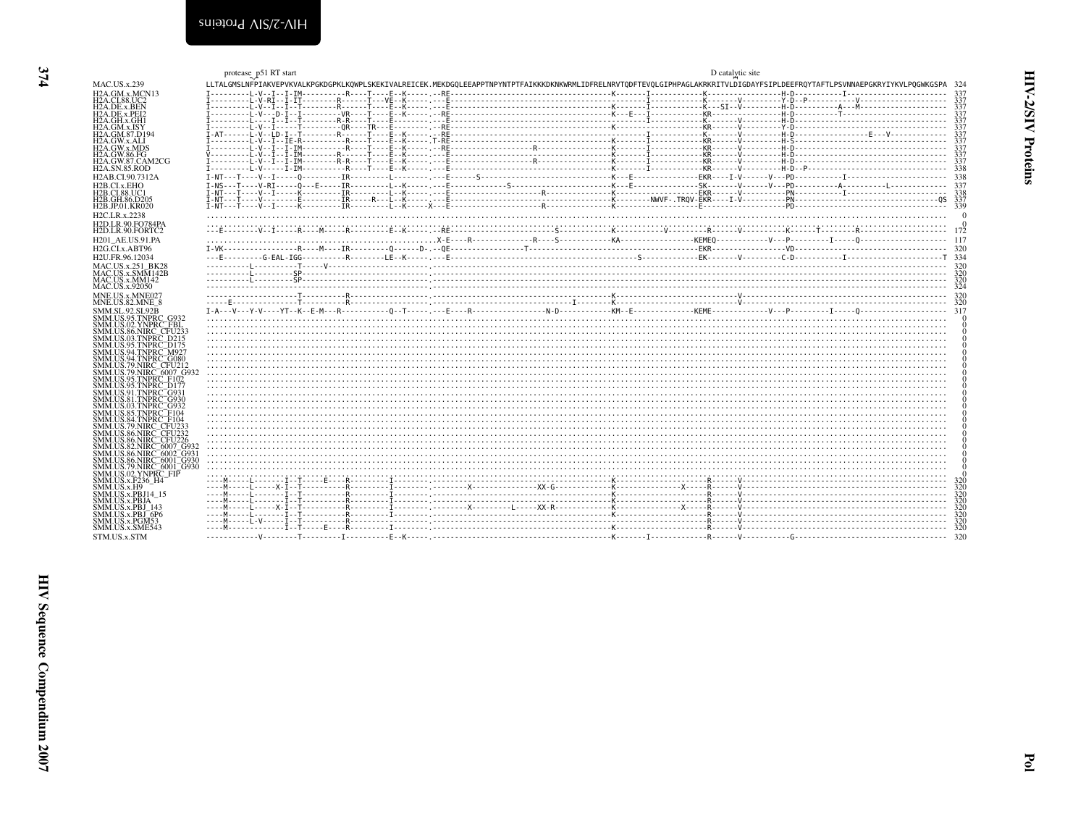<span id="page-13-0"></span>

|                                                                              | protease_p51 RT start                                                                                                                                                          | D catalytic site |            |
|------------------------------------------------------------------------------|--------------------------------------------------------------------------------------------------------------------------------------------------------------------------------|------------------|------------|
| <b>MAC.US.x.239</b>                                                          | LLTALGMSLNFPIAKVEPVKVALKPGKDGPKLKOWPLSKEKIVALREICEK.MEKDGOLEEAPPTNPYNTPTFAIKKKDKNKWRMLIDFRELNRVTODFTEVOLGIPHPAGLAKRKRITVLDIGDAYFSIPLDEEFROYTAFTLPSVNNAEPGKRYIYKVLPOGWKGSPA 324 |                  |            |
| H <sub>2</sub> A.GM.x.MCN <sub>13</sub>                                      |                                                                                                                                                                                |                  |            |
| H <sub>2</sub> A.CI.88.UC <sub>2</sub><br>H <sub>2</sub> A.DE.x.BEN          |                                                                                                                                                                                |                  | 337        |
| H <sub>2</sub> A.DE.x.PEI <sub>2</sub>                                       |                                                                                                                                                                                |                  |            |
| H2A.GH.x.GH1<br>H2A.GM.x.ISY                                                 |                                                                                                                                                                                |                  |            |
| H2A.GM.87.D194                                                               |                                                                                                                                                                                |                  | 337        |
| H <sub>2</sub> A.GW.x.ALI<br>H2A.GW.x.MDS                                    |                                                                                                                                                                                |                  |            |
| H2A.GW.86.FG                                                                 |                                                                                                                                                                                |                  |            |
| H <sub>2</sub> A.GW.87.CAM <sub>2</sub> CG                                   |                                                                                                                                                                                |                  |            |
| <b>H2A.SN.85.ROD</b>                                                         |                                                                                                                                                                                |                  | 338        |
| H <sub>2</sub> AB.CI.90.7312A<br>H2B.CI.x.EHO                                |                                                                                                                                                                                |                  | 337        |
| H2B.CI.88.UC1                                                                |                                                                                                                                                                                |                  |            |
| H2B.GH.86.D205                                                               |                                                                                                                                                                                |                  |            |
| H <sub>2</sub> B.JP.01.KR020<br>H <sub>2</sub> C.LR.x.2238                   |                                                                                                                                                                                |                  |            |
| H2D.LR.90.FO784PA                                                            |                                                                                                                                                                                |                  |            |
| H <sub>2</sub> D.LR.90.FORTC <sub>2</sub>                                    |                                                                                                                                                                                |                  |            |
| H <sub>201</sub> AE.US.91.PA                                                 |                                                                                                                                                                                |                  |            |
| H2G.CI.x.ABT96                                                               |                                                                                                                                                                                |                  |            |
| H <sub>2</sub> U.FR.96.12034                                                 |                                                                                                                                                                                |                  |            |
| MAC.US.x.251 BK28<br>MAC.US.x.SMM142B                                        |                                                                                                                                                                                |                  |            |
| MAC.US.x.MM142                                                               |                                                                                                                                                                                |                  |            |
| MAC.US.x.92050                                                               |                                                                                                                                                                                |                  |            |
| MNE.US.x.MNE027<br>MNE.US.82.MNE 8                                           |                                                                                                                                                                                |                  |            |
| SMM.SL.92.SL92B                                                              |                                                                                                                                                                                |                  |            |
| SMM.US.95.TNPRC G932                                                         |                                                                                                                                                                                |                  |            |
| SMM.US.02.YNPRC <sup>-</sup> FBL<br>SMM.US.86.NIRC_CFU233                    |                                                                                                                                                                                |                  |            |
| SMM.US.03.TNPRC_D215                                                         |                                                                                                                                                                                |                  |            |
| SMM.US.95.TNPRC <sup>--</sup> D175<br>SMM.US.94.TNPRC <sup>-</sup> M927      |                                                                                                                                                                                |                  |            |
| SMM.US.94.TNPRC <sup>-</sup> G080                                            |                                                                                                                                                                                |                  |            |
| <b>SMM.US.79.NIRC CFU212</b>                                                 |                                                                                                                                                                                |                  |            |
| SMM.US.79.NIRC <sup>-6007</sup> G932<br>SMM.US.95.TNPRC F102                 |                                                                                                                                                                                |                  |            |
| <b>SMM.US.95.TNPRC D177</b>                                                  |                                                                                                                                                                                |                  |            |
| SMM.US.91.TNPRC <sup>-</sup> G931<br>SMM.US.81.TNPRC <sup>-</sup> G930       |                                                                                                                                                                                |                  |            |
| SMM.US.03.TNPRC G932                                                         |                                                                                                                                                                                |                  |            |
| SMM.US.85.TNPRC <sup>-</sup> F104<br>SMM.US.84.TNPRC <sup>-</sup> F104       |                                                                                                                                                                                |                  |            |
| SMM.US.79.NIRC. CFU233                                                       |                                                                                                                                                                                |                  |            |
| SMM.US.86.NIRC <sup>-</sup> CFU232                                           |                                                                                                                                                                                |                  |            |
| SMM.US.86.NIRC <sup>-</sup> CFU226<br>SMM.US.82.NIRC <sup>=</sup> 6007_G93   |                                                                                                                                                                                |                  |            |
| SMM.US.86.NIRC <sup>-6002-G931</sup>                                         |                                                                                                                                                                                |                  |            |
| SMM.US.86.NIRC <sup>-6001-G930</sup><br>SMM.US.79.NIRC <sup>-6001-G930</sup> |                                                                                                                                                                                |                  |            |
| SMM.US.02.YNPRC FIP                                                          |                                                                                                                                                                                |                  |            |
| SMM.US.x.F236 H4<br>SMM.US.x.H9                                              |                                                                                                                                                                                |                  | 320        |
| <b>SMM.US.x.PBJ14 15</b>                                                     |                                                                                                                                                                                |                  | 320        |
| <b>SMM.US.x.PBJA</b><br>SMM.US.x.PBJ 143                                     |                                                                                                                                                                                |                  | 320<br>320 |
| SMM.US.x.PBJ <sup>-6P6</sup>                                                 |                                                                                                                                                                                |                  | 320        |
| SMM.US.x.PGM53                                                               |                                                                                                                                                                                |                  | 320        |
| SMM.US.x.SME543                                                              |                                                                                                                                                                                |                  | 320        |
| STM.US.x.STM                                                                 |                                                                                                                                                                                |                  |            |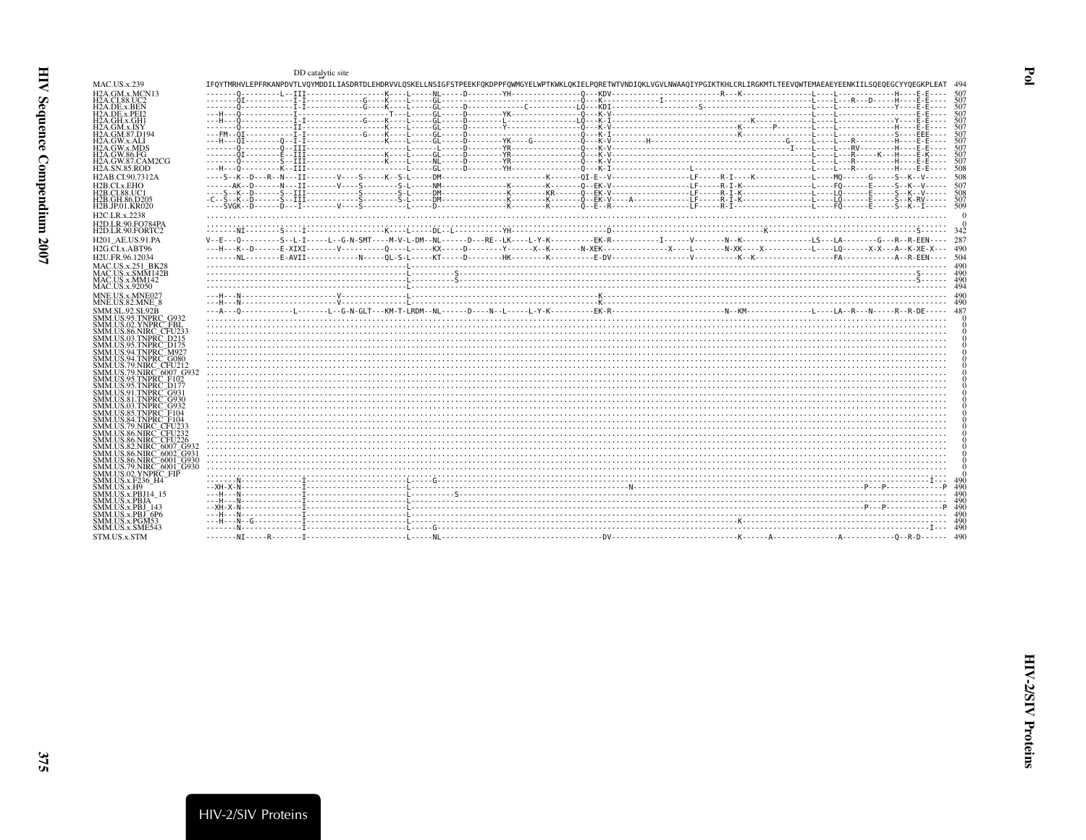<span id="page-14-0"></span>

|                                                                                                          | DD catalytic site |  |                                                                                                                                                                                |              |
|----------------------------------------------------------------------------------------------------------|-------------------|--|--------------------------------------------------------------------------------------------------------------------------------------------------------------------------------|--------------|
| <b>MAC.US.x.239</b>                                                                                      |                   |  | IFQYTMRHVLEPFRKANPDVTLVQYMDDILIASDRTDLEHDRVVLQSKELLNSIGFSTPEEKFQKDPPFQWMGYELWPTKWKLQKIELPQRETWTVNDIQKLVGVLNWAAQIYPGIKTKHLCRLIRGKMTLTEEVQWTEMAEAEYEENKIILSQEQEGCYYQEGKPLEAT 494 |              |
| H2A.GM.x.MCN13<br><b>H2A.CI.88.UC2</b>                                                                   |                   |  |                                                                                                                                                                                |              |
| H2A.DE.x.BEN                                                                                             |                   |  |                                                                                                                                                                                | -507         |
| H2A.DE.x.PEI2<br>H2A.GH.x.GH1                                                                            |                   |  |                                                                                                                                                                                |              |
| H2A.GM.x.ISY                                                                                             |                   |  |                                                                                                                                                                                | 507          |
| H2A.GM.87.D194<br>H2A.GW.x.ALI                                                                           |                   |  |                                                                                                                                                                                |              |
| H2A.GW.x.MDS<br>H2A.GW.86.FG                                                                             |                   |  |                                                                                                                                                                                | -507<br>-507 |
| H2A.GW.87.CAM2CG                                                                                         |                   |  |                                                                                                                                                                                | -507         |
| <b>H2A.SN.85.ROD</b>                                                                                     |                   |  |                                                                                                                                                                                | -508<br>-508 |
| H2AB.CI.90.7312A<br>H <sub>2</sub> B.CI.x.EHO                                                            |                   |  |                                                                                                                                                                                |              |
| H2B.CI.88.UC1                                                                                            |                   |  |                                                                                                                                                                                |              |
| H2B.GH.86.D205<br>H <sub>2</sub> B.JP.01.KR020                                                           |                   |  |                                                                                                                                                                                |              |
| H <sub>2</sub> C.LR.x.2238                                                                               |                   |  |                                                                                                                                                                                |              |
| H2D LR 90 FO784PA<br>H2D.LR.90.FORTC2                                                                    |                   |  |                                                                                                                                                                                |              |
| H201 AE.US.91.PA                                                                                         |                   |  |                                                                                                                                                                                |              |
| H <sub>2G</sub> .CI.x.ABT96                                                                              |                   |  |                                                                                                                                                                                |              |
| H <sub>2</sub> U.FR.96.12034                                                                             |                   |  |                                                                                                                                                                                |              |
| MAC.US.x.251 BK28<br>MAC.US.x.SMM142B                                                                    |                   |  |                                                                                                                                                                                |              |
| MAC.US.x.MM142                                                                                           |                   |  |                                                                                                                                                                                |              |
| MAC.US.x.92050<br>MNE.US.x.MNE027                                                                        |                   |  |                                                                                                                                                                                |              |
| MNE.US.82.MNE 8                                                                                          |                   |  |                                                                                                                                                                                |              |
| <b>SMM.SL.92.SL92B</b><br>SMM.US.95.TNPRC_G932                                                           |                   |  |                                                                                                                                                                                |              |
| SMM.US.02.YNPRC FBL                                                                                      |                   |  |                                                                                                                                                                                |              |
| SMM.US.86.NIRC CFU233<br>SMM.US.03.TNPRC D215                                                            |                   |  |                                                                                                                                                                                |              |
| SMM.US.95.TNPRC <sup>--</sup> D175<br>SMM.US.94.TNPRC¯M927                                               |                   |  |                                                                                                                                                                                |              |
| SMM.US.94.TNPRC <sup>-</sup> G080                                                                        |                   |  |                                                                                                                                                                                |              |
| SMM.US.79.NIRC_CFU212<br>SMM.US.79.NIRC 6007 G932                                                        |                   |  |                                                                                                                                                                                |              |
| SMM.US.95.TNPRC F102<br>SMM.US.95.TNPRC <sup>--</sup> D177                                               |                   |  |                                                                                                                                                                                |              |
| SMM.US.91.TNPRC <sup>-</sup> G931                                                                        |                   |  |                                                                                                                                                                                |              |
| SMM.US.81.TNPRC <sup>=</sup> G930<br>SMM.US.03.TNPRC <sup>=</sup> G932                                   |                   |  |                                                                                                                                                                                |              |
| SMM.US.85.TNPRC <sup>-</sup> F104<br>SMM.US.84.TNPRC_F104                                                |                   |  |                                                                                                                                                                                |              |
| SMM.US.79.NIRC. CFU23                                                                                    |                   |  |                                                                                                                                                                                |              |
| SMM.US.86.NIRC <sup>=</sup> CFU232<br>SMM.US.86.NIRC <sup>-</sup> CFU226                                 |                   |  |                                                                                                                                                                                |              |
| SMM.US.82.NIRC <sup>-6007</sup> G932                                                                     |                   |  |                                                                                                                                                                                |              |
| SMM.US.86.NIRC <sup>=</sup> 6002 <sup>=</sup> G931<br>SMM.US.86.NIRC <sup>=</sup> 6001 <sup>=</sup> G930 |                   |  |                                                                                                                                                                                |              |
| SMM.US.79.NIRC <sup>-</sup> 6001 <sup>-</sup> G930<br>SMM.US.02.YNPRC_FIP                                |                   |  |                                                                                                                                                                                |              |
| SMM.US.x.F236 H4                                                                                         |                   |  |                                                                                                                                                                                |              |
| SMM.US.x.H9<br>SMM.US.x.PBJ14 15                                                                         |                   |  |                                                                                                                                                                                |              |
| SMM.US.x.PBJA                                                                                            |                   |  |                                                                                                                                                                                |              |
| SMM.US.x.PBJ 143<br>SMM.US.x.PBJ <sup>–</sup> 6P6                                                        |                   |  |                                                                                                                                                                                |              |
| SMM. US.x.PGM53<br>SMM.US.x.SME543                                                                       |                   |  |                                                                                                                                                                                |              |
| STM.US.x.STM                                                                                             |                   |  |                                                                                                                                                                                |              |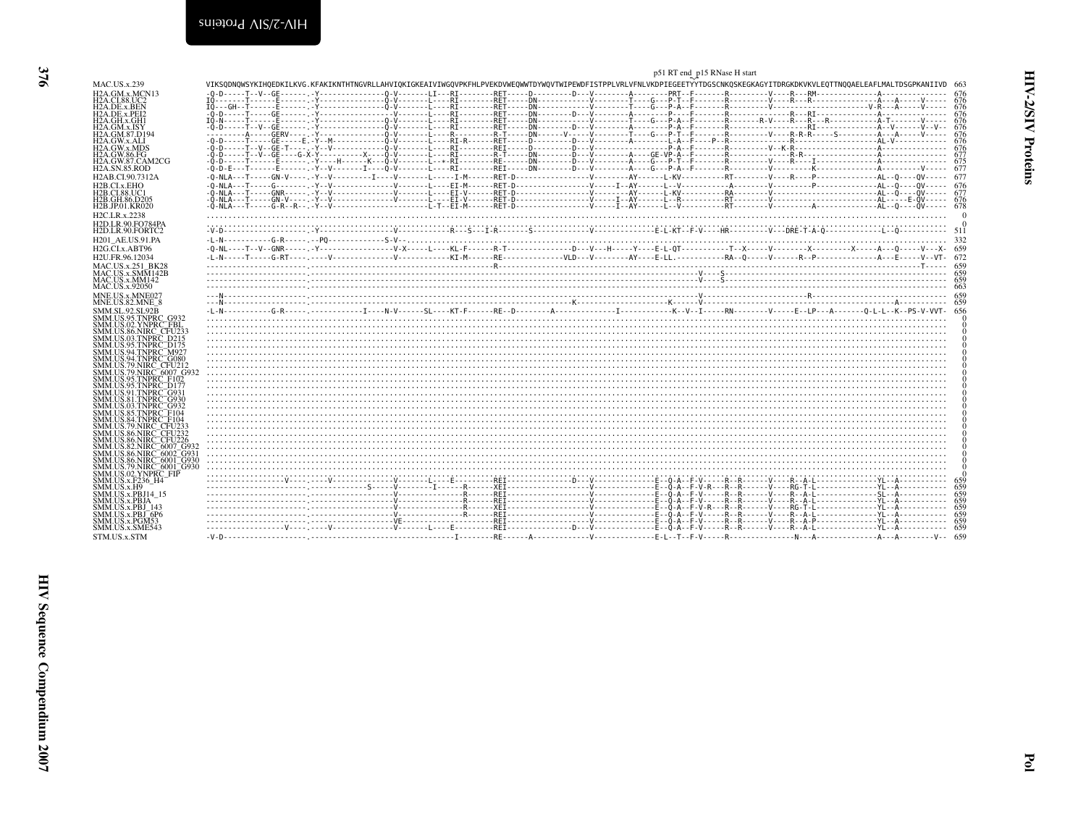<span id="page-15-0"></span>

|                                                                                                          |                                                                                                                                                                                |  | p51 RT end_p15 RNase H start |             |
|----------------------------------------------------------------------------------------------------------|--------------------------------------------------------------------------------------------------------------------------------------------------------------------------------|--|------------------------------|-------------|
| <b>MAC.US.x.239</b>                                                                                      | VIKSODNOWSYKIHOEDKILKVG.KFAKIKNTHTNGVRLLAHVIOKIGKEAIVIWGOVPKFHLPVEKDVWEOWWTDYWOVTWIPEWDFISTPPLVRLVFNLVKDPIEGEETYYTDGSCNKOSKEGKAGYITDRGKDKVKVLEOTTNOOAELEAFLMALTDSGPKANIIVD 663 |  |                              |             |
| H <sub>2</sub> A.GM.x.MCN <sub>13</sub><br><b>H2A.CI.88.UC2</b>                                          |                                                                                                                                                                                |  |                              |             |
| H2A.DE.x.BEN                                                                                             |                                                                                                                                                                                |  |                              |             |
| H <sub>2</sub> A.DE.x.PEI <sub>2</sub><br>H2A.GH.x.GH1                                                   |                                                                                                                                                                                |  |                              |             |
| H2A.GM.x.ISY                                                                                             |                                                                                                                                                                                |  |                              |             |
| H2A.GM.87.D194<br>H2A.GW.x.ALI                                                                           |                                                                                                                                                                                |  |                              |             |
| H2A.GW.x.MDS                                                                                             |                                                                                                                                                                                |  |                              |             |
| H2A.GW.86.FG<br>H2A.GW.87.CAM2CG                                                                         |                                                                                                                                                                                |  |                              |             |
| <b>H2A.SN.85.ROD</b>                                                                                     |                                                                                                                                                                                |  |                              |             |
| H <sub>2</sub> AB.CI.90.7312A                                                                            |                                                                                                                                                                                |  |                              |             |
| H <sub>2</sub> B.CI.x.EHO<br>H <sub>2</sub> B.CI.88.UC1                                                  |                                                                                                                                                                                |  |                              |             |
| H <sub>2</sub> B.GH.86.D <sub>205</sub>                                                                  |                                                                                                                                                                                |  |                              |             |
| H <sub>2</sub> B.JP.01.KR020                                                                             |                                                                                                                                                                                |  |                              |             |
| H <sub>2</sub> C.LR.x.2238<br>H2D.LR.90.FO784PA                                                          |                                                                                                                                                                                |  |                              |             |
| H <sub>2</sub> D.LR.90.FORTC <sub>2</sub>                                                                |                                                                                                                                                                                |  |                              |             |
| H <sub>201</sub> AE.US.91.PA                                                                             |                                                                                                                                                                                |  |                              |             |
| H <sub>2G</sub> .CL <sub>x</sub> .ABT96                                                                  |                                                                                                                                                                                |  |                              |             |
| H2U.FR.96.12034                                                                                          |                                                                                                                                                                                |  |                              |             |
| MAC.US.x.251 BK28<br>MAC.US.x.SMM142B                                                                    |                                                                                                                                                                                |  |                              |             |
| MAC.US.x.MM142                                                                                           |                                                                                                                                                                                |  |                              |             |
| MAC.US.x.92050<br>MNE.US.x.MNE027                                                                        |                                                                                                                                                                                |  |                              |             |
| MNE.US.82.MNE 8                                                                                          |                                                                                                                                                                                |  |                              |             |
| <b>SMM.SL.92.SL92B</b><br>SMM.US.95.TNPRC G932                                                           |                                                                                                                                                                                |  |                              |             |
| SMM.US.02.YNPRC <sup>-</sup> FBL                                                                         |                                                                                                                                                                                |  |                              |             |
| SMM.US.86.NIRC_CFU233<br>SMM.US.03.TNPRC: D215                                                           |                                                                                                                                                                                |  |                              |             |
| SMM.US.95.TNPRC_D175                                                                                     |                                                                                                                                                                                |  |                              |             |
| SMM.US.94.TNPRC <sup>-</sup> M927<br>SMM.US.94.TNPRC <sup>-</sup> G080                                   |                                                                                                                                                                                |  |                              |             |
| SMM.US.79.NIRC_CFU212                                                                                    |                                                                                                                                                                                |  |                              |             |
| SMM.US.79.NIRC 6007 G932<br>SMM.US.95.TNPRC F102                                                         |                                                                                                                                                                                |  |                              |             |
| SMM.US.95.TNPRC_D177                                                                                     |                                                                                                                                                                                |  |                              |             |
| SMM.US.91.TNPRC <sup>-</sup> G931<br>SMM.US.81.TNPRC G930                                                |                                                                                                                                                                                |  |                              |             |
| SMM.US.03.TNPRC <sup>-</sup> G932                                                                        |                                                                                                                                                                                |  |                              |             |
| SMM.US.85.TNPRC_F104<br>SMM.US.84.TNPRC <sup>-</sup> F104                                                |                                                                                                                                                                                |  |                              |             |
| SMM.US.79.NIRC CFU233                                                                                    |                                                                                                                                                                                |  |                              |             |
| SMM.US.86.NIRC <sup>=</sup> CFU232<br>SMM.US.86.NIRC <sup>-</sup> CFU226                                 |                                                                                                                                                                                |  |                              |             |
| SMM.US.82.NIRC <sup>-6007</sup> G932                                                                     |                                                                                                                                                                                |  |                              |             |
| SMM.US.86.NIRC <sup>=</sup> 6002 <sup>=</sup> G931<br>SMM.US.86.NIRC <sup>=</sup> 6001 <sup>=</sup> G930 |                                                                                                                                                                                |  |                              |             |
| SMM.US.79.NIRC <sup>-6001-G930</sup>                                                                     |                                                                                                                                                                                |  |                              |             |
| SMM.US.02.YNPRC FIP<br>SMM.US.x.F236 H4                                                                  |                                                                                                                                                                                |  |                              |             |
| SMM.US.x.H9                                                                                              |                                                                                                                                                                                |  |                              | 659         |
| SMM.US.x.PBJ14 15<br>SMM.US.x.PBJA                                                                       |                                                                                                                                                                                |  |                              | 659<br>-659 |
| SMM.US.x.PBJ 143                                                                                         |                                                                                                                                                                                |  |                              | -659        |
| SMM.US.x.PBJ <sup>-6P6</sup><br>SMM.US.x.PGM53                                                           |                                                                                                                                                                                |  |                              |             |
| SMM.US.x.SME543                                                                                          |                                                                                                                                                                                |  |                              |             |
| STM.US.x.STM                                                                                             |                                                                                                                                                                                |  |                              |             |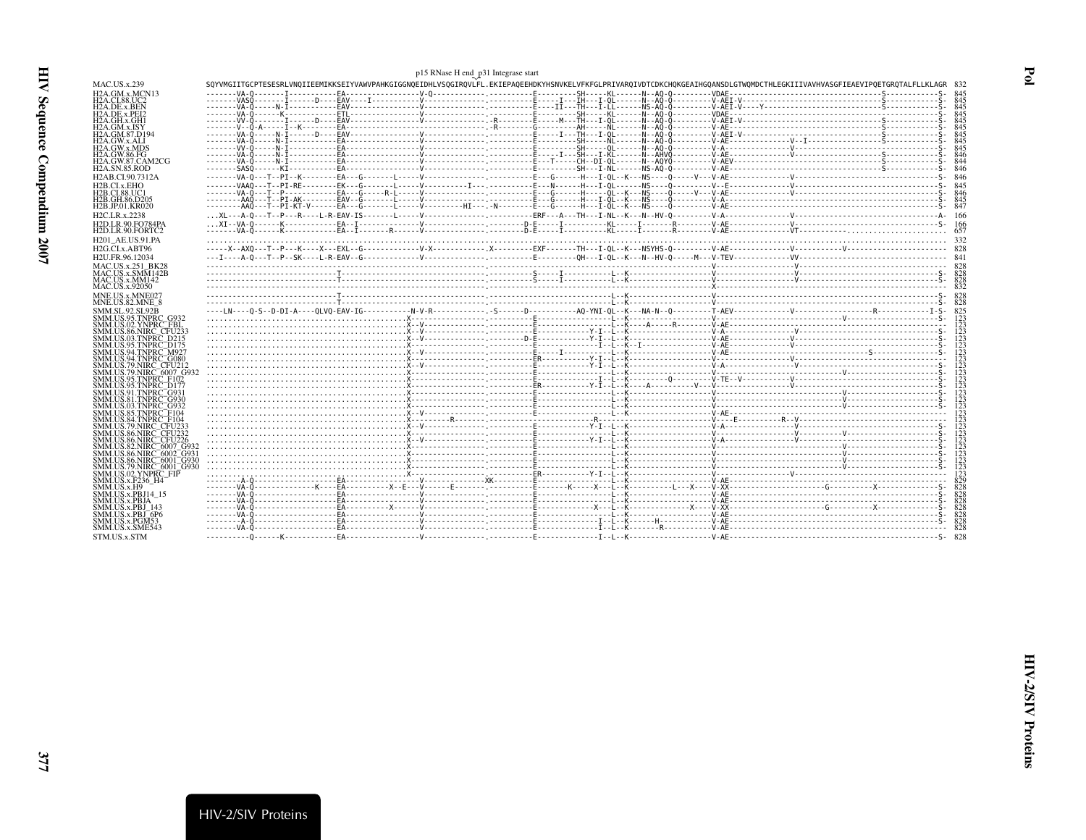<span id="page-16-0"></span>

|                                                                                |                                                                                                                                                                            | p15 RNase H end p31 Integrase start |  |  |  |
|--------------------------------------------------------------------------------|----------------------------------------------------------------------------------------------------------------------------------------------------------------------------|-------------------------------------|--|--|--|
| <b>MAC.US.x.239</b>                                                            | SOYVMGIITGCPTESESRLVNOIIEEMIKKSEIYVAWVPAHKGIGGNOEIDHLVSOGIROVLFL.EKIEPAOEEHDKYHSNVKELVFKFGLPRIVAROIVDTCDKCHOKGEAIHGOANSDLGTWOMDCTHLEGKIIIVAVHVASGFIEAEVIPOETGROTALFLLKLAGR |                                     |  |  |  |
| H2A.GM.x.MCN13                                                                 |                                                                                                                                                                            |                                     |  |  |  |
| H2A.CI.88.UC2                                                                  |                                                                                                                                                                            |                                     |  |  |  |
| H2A.DE.x.BEN<br>H <sub>2</sub> A.DE.x.PEI <sub>2</sub>                         |                                                                                                                                                                            |                                     |  |  |  |
| H2A.GH.x.GH1                                                                   |                                                                                                                                                                            |                                     |  |  |  |
| H2A.GM.x.ISY                                                                   |                                                                                                                                                                            |                                     |  |  |  |
| H2A.GM.87.D194<br>H2A.GW.x.ALI                                                 |                                                                                                                                                                            |                                     |  |  |  |
| H2A.GW.x.MDS                                                                   |                                                                                                                                                                            |                                     |  |  |  |
| H2A.GW.86.FG                                                                   |                                                                                                                                                                            |                                     |  |  |  |
| H2A.GW.87.CAM2CG<br><b>H2A.SN.85.ROD</b>                                       |                                                                                                                                                                            |                                     |  |  |  |
| H2AB.CI.90.7312A                                                               |                                                                                                                                                                            |                                     |  |  |  |
| H <sub>2</sub> B.CL <sub>x</sub> .EHO                                          |                                                                                                                                                                            |                                     |  |  |  |
| H2B.CI.88.UC1                                                                  |                                                                                                                                                                            |                                     |  |  |  |
| H2B.GH.86.D205                                                                 |                                                                                                                                                                            |                                     |  |  |  |
| H2B.JP.01.KR020                                                                |                                                                                                                                                                            |                                     |  |  |  |
| H2C.LR.x.2238<br><b>H2D.LR.90.FO784PA</b>                                      |                                                                                                                                                                            |                                     |  |  |  |
| H2D.LR.90.FORTC2                                                               |                                                                                                                                                                            |                                     |  |  |  |
| H201 AE.US.91.PA                                                               |                                                                                                                                                                            |                                     |  |  |  |
| H2G.CLx.ABT96                                                                  |                                                                                                                                                                            |                                     |  |  |  |
| H2U.FR.96.12034                                                                |                                                                                                                                                                            |                                     |  |  |  |
| MAC.US.x.251 BK28                                                              |                                                                                                                                                                            |                                     |  |  |  |
| MAC.US.x.SMM142B                                                               |                                                                                                                                                                            |                                     |  |  |  |
| MAC.US.x.MM142<br>MAC.US.x.92050                                               |                                                                                                                                                                            |                                     |  |  |  |
| MNE.US.x.MNE027                                                                |                                                                                                                                                                            |                                     |  |  |  |
| MNE.US.82.MNE 8                                                                |                                                                                                                                                                            |                                     |  |  |  |
| <b>SMM.SL.92.SL92B</b>                                                         |                                                                                                                                                                            |                                     |  |  |  |
| SMM.US.95.TNPRC G932                                                           |                                                                                                                                                                            |                                     |  |  |  |
| SMM.US.02.YNPRC_FBL<br>SMM.US.86.NIRC_CFU232                                   |                                                                                                                                                                            |                                     |  |  |  |
| SMM.US.03.TNPRC D215                                                           |                                                                                                                                                                            |                                     |  |  |  |
| SMM.US.95.TNPRC_D175                                                           |                                                                                                                                                                            |                                     |  |  |  |
| SMM.US.94.TNPRC <sup>-</sup> M927<br>SMM.US.94.TNPRC <sup>=</sup> G080         |                                                                                                                                                                            |                                     |  |  |  |
| SMM.US.79.NIRC_CFU212                                                          |                                                                                                                                                                            |                                     |  |  |  |
| SMM.US.79.NIRC. 6007. G93.                                                     |                                                                                                                                                                            |                                     |  |  |  |
| SMM.US.95.TNPRC_F102<br>SMM.US.95.TNPRC <sup>--</sup> D177                     |                                                                                                                                                                            |                                     |  |  |  |
| SMM.US.91.TNPRC <sup>-</sup> G931                                              |                                                                                                                                                                            |                                     |  |  |  |
| SMM.US.81.TNPRC <sup>=</sup> G930                                              |                                                                                                                                                                            |                                     |  |  |  |
| SMM.US.03.TNPRC <sup>=</sup> G932<br>SMM.US.85.TNPRC <sup>-</sup> F104         |                                                                                                                                                                            |                                     |  |  |  |
| SMM.US.84.TNPRC F104                                                           |                                                                                                                                                                            |                                     |  |  |  |
| SMM.US.79.NIRC_CFU233                                                          |                                                                                                                                                                            |                                     |  |  |  |
| SMM.US.86.NIRC <sup>=</sup> CFU232<br>SMM.US.86.NIRC <sup>-</sup> CFU226       |                                                                                                                                                                            |                                     |  |  |  |
| SMM.US.82.NIRC <sup>=</sup> 6007_G932                                          |                                                                                                                                                                            |                                     |  |  |  |
| SMM.US.86.NIRC 6002 G931                                                       |                                                                                                                                                                            |                                     |  |  |  |
| SMM.US.86.NIRC <sup>=</sup> 6001 <sup>=</sup> G930<br>SMM.US.79.NIRC 6001 G930 |                                                                                                                                                                            |                                     |  |  |  |
| SMM.US.02.YNPRC FIP                                                            |                                                                                                                                                                            |                                     |  |  |  |
| SMM.US.x.F236 H4                                                               |                                                                                                                                                                            |                                     |  |  |  |
| SMM.US.x.H9<br>SMM.US.x.PBJ14_15                                               |                                                                                                                                                                            |                                     |  |  |  |
| <b>SMM.US.x.PBJA</b>                                                           |                                                                                                                                                                            |                                     |  |  |  |
| SMM.US.x.PBJ 143                                                               |                                                                                                                                                                            |                                     |  |  |  |
| SMM.US.x.PBJ_6P6<br>SMM.US.x.PGM53                                             |                                                                                                                                                                            |                                     |  |  |  |
| SMM.US.x.SME543                                                                |                                                                                                                                                                            |                                     |  |  |  |
| STM.US.x.STM                                                                   |                                                                                                                                                                            |                                     |  |  |  |
|                                                                                |                                                                                                                                                                            |                                     |  |  |  |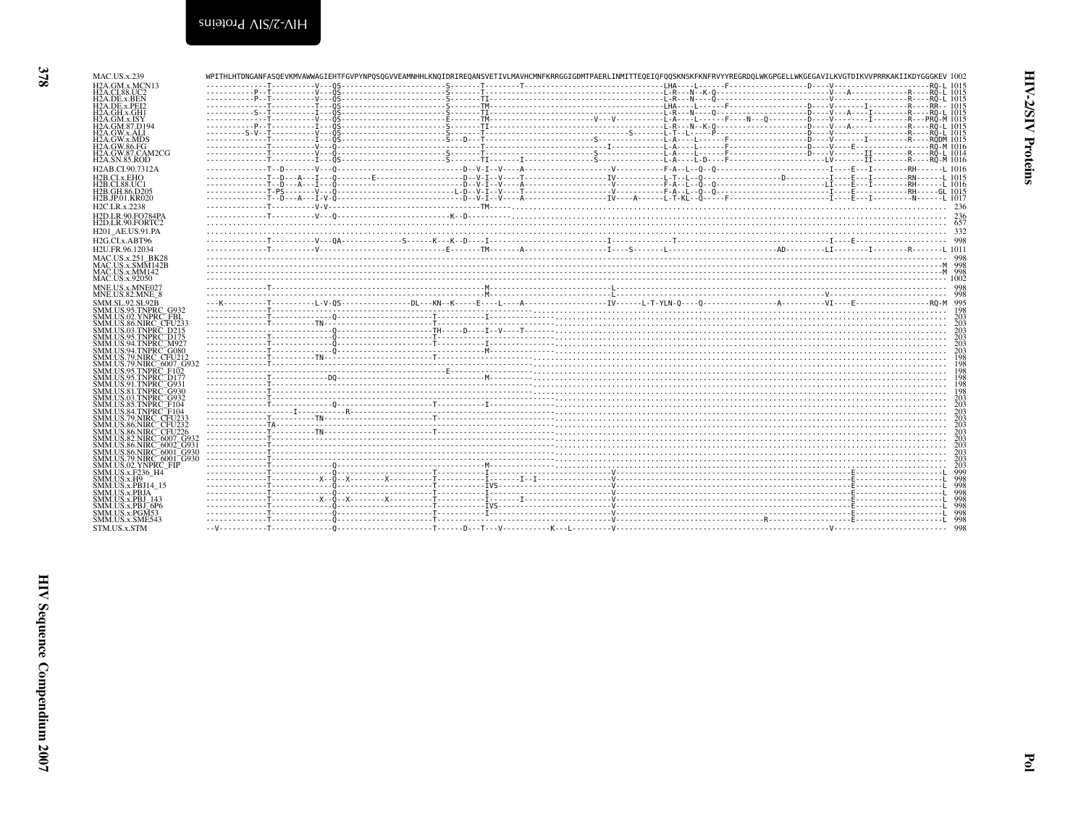| <br>л.,<br>4.00.U                                                                                                                                                                                                                            |
|----------------------------------------------------------------------------------------------------------------------------------------------------------------------------------------------------------------------------------------------|
| H2A.DE.x.BEN<br>H2A.DE.x.PEI2                                                                                                                                                                                                                |
| H2A.GH.x.GH1                                                                                                                                                                                                                                 |
| H2A.GM.x.GM<br>H2A.GM.x.ISY<br>H2A.GM.87.D194<br>H2A.GW.x.ALI<br>H2A.GW.86.FG<br>H2A.GW.86.FG<br>H2A.GW.87.CAM2CG                                                                                                                            |
|                                                                                                                                                                                                                                              |
|                                                                                                                                                                                                                                              |
|                                                                                                                                                                                                                                              |
|                                                                                                                                                                                                                                              |
| H <sub>2</sub> A.SN.85.ROD                                                                                                                                                                                                                   |
| H2AB.CI.90.7312A                                                                                                                                                                                                                             |
|                                                                                                                                                                                                                                              |
| H2B.CI.x.EHO<br>H2B.CI.88.UC<br>'1                                                                                                                                                                                                           |
|                                                                                                                                                                                                                                              |
| H2B.GH.86.D205<br>H2B.JP.01.KR020                                                                                                                                                                                                            |
| H <sub>2</sub> C.LR.x.2238                                                                                                                                                                                                                   |
|                                                                                                                                                                                                                                              |
| H2D.LR.90.FO784PA                                                                                                                                                                                                                            |
| H2D.LR.90.FORTC                                                                                                                                                                                                                              |
| <b>H201 AE.US.91.PA</b>                                                                                                                                                                                                                      |
| H <sub>2G.CLx.ABT96</sub>                                                                                                                                                                                                                    |
| H2U.FR.96.12034                                                                                                                                                                                                                              |
| MAC.US.x.251_BK28<br>MAC.US.x.SMM142B<br>MAC.US.x.MM142<br>MAC.US.x.92050                                                                                                                                                                    |
| SMM142B                                                                                                                                                                                                                                      |
|                                                                                                                                                                                                                                              |
|                                                                                                                                                                                                                                              |
| MNE.US.x.MNE027<br>MNE.US.82.MNE_8                                                                                                                                                                                                           |
|                                                                                                                                                                                                                                              |
| NNE, US 32, MWC 25, MWC 25, MWC 25, MMM, US 32, TUPIC<br>SMMM, US 32, TUPIC 26, MPRC 2013<br>SMMM, US 32, TUPIC 2013<br>SMMM, US 36, NNPC 2013<br>SMMM, US 36, NNPC 2012<br>SMMM, US 34, TUPIC 2012<br>SMMM, US 34, TUPIC 2012<br>SMMM, US 3 |
|                                                                                                                                                                                                                                              |
|                                                                                                                                                                                                                                              |
|                                                                                                                                                                                                                                              |
|                                                                                                                                                                                                                                              |
|                                                                                                                                                                                                                                              |
|                                                                                                                                                                                                                                              |
|                                                                                                                                                                                                                                              |
|                                                                                                                                                                                                                                              |
|                                                                                                                                                                                                                                              |
|                                                                                                                                                                                                                                              |
|                                                                                                                                                                                                                                              |
|                                                                                                                                                                                                                                              |
|                                                                                                                                                                                                                                              |
|                                                                                                                                                                                                                                              |
|                                                                                                                                                                                                                                              |
|                                                                                                                                                                                                                                              |
|                                                                                                                                                                                                                                              |
|                                                                                                                                                                                                                                              |
|                                                                                                                                                                                                                                              |
|                                                                                                                                                                                                                                              |
|                                                                                                                                                                                                                                              |
|                                                                                                                                                                                                                                              |
|                                                                                                                                                                                                                                              |
|                                                                                                                                                                                                                                              |
|                                                                                                                                                                                                                                              |
|                                                                                                                                                                                                                                              |
| SMM.US.x.PBJ_143<br>SMM.US.x.PBJ_143<br>SMM.US.x.PGM53<br>SMM.US.x.SME543                                                                                                                                                                    |
|                                                                                                                                                                                                                                              |
| STM.US.x.STM                                                                                                                                                                                                                                 |

| <b>MAC.US.x.239</b>                                                |  |  | WPITHLHTDNGANFASOEVKMVAWWAGIEHTFGVPYNPOSOGVVEAMNHHLKNOIDRIREOANSVETIVLMAVHCMNFKRRGGIGDMTPAERLINMITTEOEIOFOOSKNSKFKNFRVYYREGRDOLWKGPGELLWKGEGAVILKVGTDIKVVPRRKAKIIKDYGGGKEV_1002 |  |  |  |  |
|--------------------------------------------------------------------|--|--|---------------------------------------------------------------------------------------------------------------------------------------------------------------------------------|--|--|--|--|
| H <sub>2</sub> A.GM.x.MCN <sub>13</sub>                            |  |  |                                                                                                                                                                                 |  |  |  |  |
| <b>H2A.CI.88.UC2</b><br>H <sub>2</sub> A.DE.x.BEN                  |  |  |                                                                                                                                                                                 |  |  |  |  |
| H <sub>2</sub> A.DE.x.PEI <sub>2</sub>                             |  |  |                                                                                                                                                                                 |  |  |  |  |
| H <sub>2</sub> A.GH.x.GH <sub>1</sub>                              |  |  |                                                                                                                                                                                 |  |  |  |  |
| H <sub>2</sub> A.GM.x.ISY                                          |  |  |                                                                                                                                                                                 |  |  |  |  |
| <b>H2A.GM.87.D194</b><br>H2A.GW.x.ALI                              |  |  |                                                                                                                                                                                 |  |  |  |  |
| <b>H2A.GW.x.MDS</b>                                                |  |  |                                                                                                                                                                                 |  |  |  |  |
| H2A.GW.86.FG                                                       |  |  |                                                                                                                                                                                 |  |  |  |  |
| H <sub>2</sub> A.GW.87.CAM <sub>2</sub> CG<br><b>H2A.SN.85.ROD</b> |  |  |                                                                                                                                                                                 |  |  |  |  |
| H <sub>2</sub> AB.CI.90.7312A                                      |  |  |                                                                                                                                                                                 |  |  |  |  |
| H <sub>2</sub> B.CL <sub>x</sub> , EH <sub>O</sub>                 |  |  |                                                                                                                                                                                 |  |  |  |  |
| H <sub>2</sub> B.CI.88.UC1                                         |  |  |                                                                                                                                                                                 |  |  |  |  |
| H <sub>2</sub> B.GH.86.D <sub>205</sub>                            |  |  |                                                                                                                                                                                 |  |  |  |  |
| H <sub>2</sub> B.JP.01.KR020                                       |  |  |                                                                                                                                                                                 |  |  |  |  |
| H <sub>2</sub> C.LR.x.2238<br><b>H2D.LR.90.FO784PA</b>             |  |  |                                                                                                                                                                                 |  |  |  |  |
| H <sub>2</sub> D.LR.90.FORTC <sub>2</sub>                          |  |  |                                                                                                                                                                                 |  |  |  |  |
| H <sub>201</sub> AE.US.91.PA                                       |  |  |                                                                                                                                                                                 |  |  |  |  |
| H <sub>2G</sub> .CL <sub>x</sub> .ABT96                            |  |  |                                                                                                                                                                                 |  |  |  |  |
| H2U.FR.96.12034                                                    |  |  |                                                                                                                                                                                 |  |  |  |  |
| <b>MAC.US.x.251 BK28</b>                                           |  |  |                                                                                                                                                                                 |  |  |  |  |
| $MAC. US.x.SM\overline{M}142B$                                     |  |  |                                                                                                                                                                                 |  |  |  |  |
| MAC.US.x.MM142                                                     |  |  |                                                                                                                                                                                 |  |  |  |  |
| MAC.US.x.92050                                                     |  |  |                                                                                                                                                                                 |  |  |  |  |
| MNE.US.x.MNE027<br>MNE.US.82.MNE 8                                 |  |  |                                                                                                                                                                                 |  |  |  |  |
| <b>SMM.SL.92.SL92B</b>                                             |  |  |                                                                                                                                                                                 |  |  |  |  |
| SMM.US.95.TNPRC G932                                               |  |  |                                                                                                                                                                                 |  |  |  |  |
| SMM.US.02.YNPRC.FBL                                                |  |  |                                                                                                                                                                                 |  |  |  |  |
| SMM.US.86.NIRC_CFU233<br>SMM.US.03.TNPRC_D215                      |  |  |                                                                                                                                                                                 |  |  |  |  |
| SMM.US.95.TNPRC_D175                                               |  |  |                                                                                                                                                                                 |  |  |  |  |
| SMM.US.94.TNPRC_M927                                               |  |  |                                                                                                                                                                                 |  |  |  |  |
| SMM.US.94.TNPRC_G080<br>SMM.US.79.NIRC CFU212                      |  |  |                                                                                                                                                                                 |  |  |  |  |
| SMM.US.79.NIRC 6007 G932                                           |  |  |                                                                                                                                                                                 |  |  |  |  |
| SMM.US.95.TNPRC F102                                               |  |  |                                                                                                                                                                                 |  |  |  |  |
| SMM.US.95.TNPRC_D177<br>SMM.US.91.TNPRC_G931                       |  |  |                                                                                                                                                                                 |  |  |  |  |
| SMM.US.81.TNPRC G930                                               |  |  |                                                                                                                                                                                 |  |  |  |  |
| SMM.US.03.TNPRC <sup>=</sup> G932                                  |  |  |                                                                                                                                                                                 |  |  |  |  |
| SMM.US.85.TNPRC F104<br>SMM.US.84.TNPRC F104                       |  |  |                                                                                                                                                                                 |  |  |  |  |
| SMM.US.79.NIRC. CFU233                                             |  |  |                                                                                                                                                                                 |  |  |  |  |
| SMM.US.86.NIRC_CFU232                                              |  |  |                                                                                                                                                                                 |  |  |  |  |
| SMM.US.86.NIRC_CFU226<br>SMM.US.82.NIRC <sup>-</sup> 6007 G932     |  |  |                                                                                                                                                                                 |  |  |  |  |
| SMM.US.86.NIRC 6002 G931                                           |  |  |                                                                                                                                                                                 |  |  |  |  |
| SMM.US.86.NIRC 6001 G930                                           |  |  |                                                                                                                                                                                 |  |  |  |  |
| SMM.US.79.NIRC_6001_G930<br>SMM.US.02.YNPRC FIP                    |  |  |                                                                                                                                                                                 |  |  |  |  |
| SMM.US.x.F236 H4                                                   |  |  |                                                                                                                                                                                 |  |  |  |  |
| SMM.US.x.H9                                                        |  |  |                                                                                                                                                                                 |  |  |  |  |
| SMM.US.x.PBJ14 15                                                  |  |  |                                                                                                                                                                                 |  |  |  |  |
| SMM.US.x.PBJA<br>SMM.US.x.PBJ 143                                  |  |  |                                                                                                                                                                                 |  |  |  |  |
| SMM.US.x.PBJ 6P6                                                   |  |  |                                                                                                                                                                                 |  |  |  |  |
| SMM.US.x.PGM53                                                     |  |  |                                                                                                                                                                                 |  |  |  |  |
| SMM.US.x.SME543<br>STM.US.x.STM                                    |  |  |                                                                                                                                                                                 |  |  |  |  |
|                                                                    |  |  |                                                                                                                                                                                 |  |  |  |  |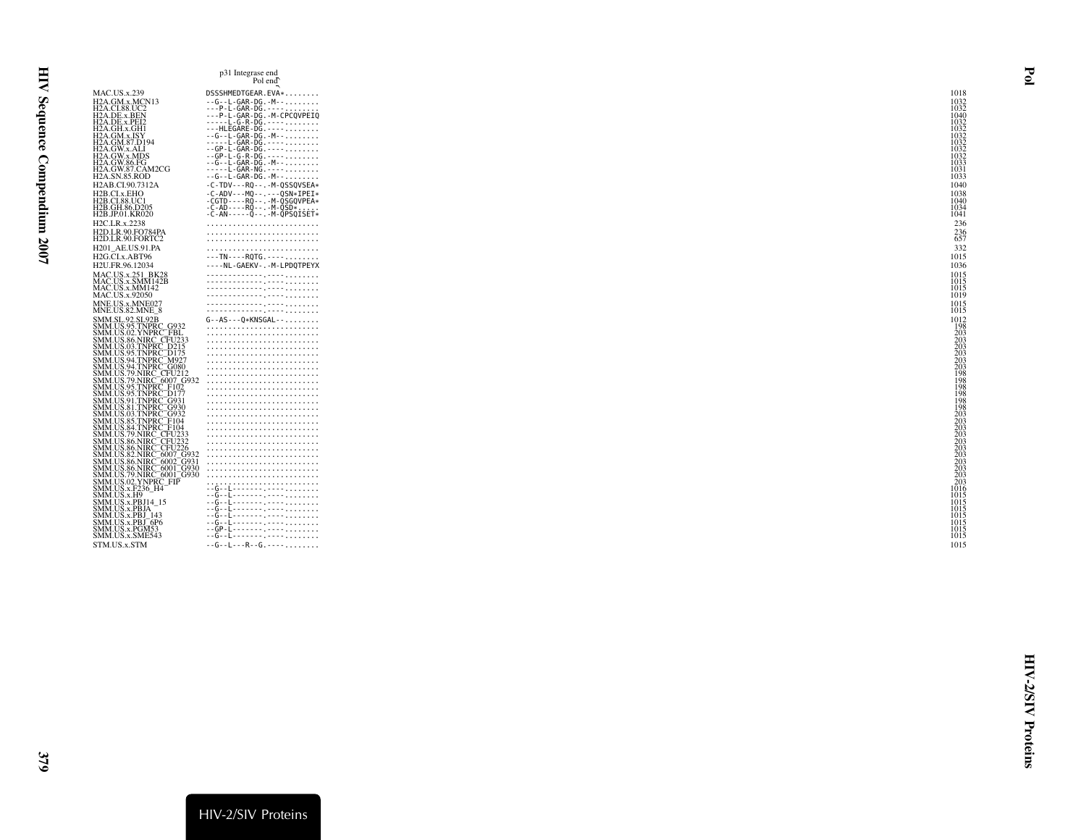|                                                                                                                                                                            | p31 Integrase end<br>Pol end                                       |                                        |
|----------------------------------------------------------------------------------------------------------------------------------------------------------------------------|--------------------------------------------------------------------|----------------------------------------|
| <b>MAC.US.x.239</b>                                                                                                                                                        | DSSSHMEDTGEAR.EVA*                                                 | 1018                                   |
| H2A.GM.x.MCN13                                                                                                                                                             | $- - G - - L - GAR - DG - M - - \ldots$                            | 1032                                   |
| H2A.CI.88.UC2<br>H2A.DE.x.BEN<br>H2A.DE.x.PEI2                                                                                                                             |                                                                    | 1032                                   |
|                                                                                                                                                                            | ---P-L-GAR-DG.-M-CPCQVPEIQ                                         | 1040                                   |
| H2A.GH.x.GH1                                                                                                                                                               | -----L-G-R-DG.----<br>---HLEGARE-DG.----                           | 1032<br>1032                           |
| H2A.GM.x.ISY                                                                                                                                                               | $- - G - - L - GAR - DG - M - - \ldots$                            | 1032                                   |
| H2A.GM.87.D194<br>H2A.GW.x.ALI                                                                                                                                             | -----L-GAR-DG.----<br>$-$ - GP - L - GAR - DG . - - - -            | 1032<br>1032                           |
| H2A.GW.x.MDS                                                                                                                                                               | $-$ - GP - L - G - R - DG . - - - -                                | 1032                                   |
| H2A.GW.86.FG<br>H2A.GW.87.CAM2CG                                                                                                                                           | $- - G - - L - GAR - DG - M - - \ldots$<br>-----L-GAR-NG.----      | 1033<br>1031                           |
| <b>H2A.SN.85.ROD</b>                                                                                                                                                       | $- - G - - L - GAR - DG - M - - \ldots$                            | 1033                                   |
| H2AB.CI.90.7312A                                                                                                                                                           | $-C-TDV---RQ---M-QSSQVSEA*$                                        | 1040                                   |
| H2B.CI.x.EHO                                                                                                                                                               | $-C-ADV - -MQ - - - - - QSN*IPEI*$                                 | 1038                                   |
| H2B.CI.88.UC1<br>H2B.GH.86.D205                                                                                                                                            | $-CGTD - - - RO - - - - M - OSGOVPEA*$<br>$-C-AD---RQ---M-QSD*$    | 1040<br>1034                           |
| H2B.JP.01.KR020                                                                                                                                                            | $-C-AN---O--.M-OPSOISET*$                                          | 1041                                   |
| H2C.LR.x.2238                                                                                                                                                              |                                                                    | 236                                    |
| <b>H2D.LR.90.FO784PA</b>                                                                                                                                                   |                                                                    | $^{236}_{657}$                         |
| H2D.LR.90.FORTC2<br>H201 AE.US.91.PA                                                                                                                                       |                                                                    | 332                                    |
| H2G.CI.x.ABT96                                                                                                                                                             | ---TN----RQTG.----                                                 | 1015                                   |
| H2U.FR.96.12034                                                                                                                                                            | ----NL-GAEKV-.-M-LPDQTPEYX                                         | 1036                                   |
| MAC.US.x.251 BK28                                                                                                                                                          |                                                                    | 1015                                   |
| MAC.US.x.SMM142B<br>MAC.US.x.MM142                                                                                                                                         |                                                                    | 1015                                   |
| MAC.US.x.92050                                                                                                                                                             |                                                                    | 1015<br>1019                           |
| MNE.US.x.MNE027                                                                                                                                                            |                                                                    | 1015                                   |
| MNE.US.82.MNE 8                                                                                                                                                            |                                                                    | 1015                                   |
| SMM.SL.92.SL92B<br>SMM.US.95.TNPRC G932                                                                                                                                    | $G - AS - -0*KNSGAL - - \ldots$                                    | 1012                                   |
| SMM.US.02.YNPRC <sup>-</sup> FBL                                                                                                                                           |                                                                    |                                        |
| SMM.US.86.NIRC CFU233<br>SMM.US.03.TNPRC D215                                                                                                                              |                                                                    | $\frac{198}{203}$<br>$\frac{203}{203}$ |
|                                                                                                                                                                            |                                                                    |                                        |
| SMM.US.95.TNPRC_D175<br>SMM.US.95.TNPRC_D175<br>SMM.US.94.TNPRC_G080<br>SMM.US.94.TNPRC_G080<br>SMM.US.79.NIRC_G007_G932<br>SMM.US.95.TNPRC_F107.<br>SMM.US.95.TNPRC_F1177 |                                                                    | $\frac{203}{203}$                      |
|                                                                                                                                                                            |                                                                    | $\overline{1}\overline{9}\overline{8}$ |
|                                                                                                                                                                            |                                                                    | 198                                    |
| SMM.US.95.TNPRC <sup>-</sup> D177                                                                                                                                          |                                                                    | 198<br>198                             |
| SMM.US.91.TNPRC <sup>-</sup> G931                                                                                                                                          |                                                                    | 198                                    |
| SMM.US.81.TNPRC G930<br>SMM.US.03.TNPRC <sup>-</sup> G932                                                                                                                  |                                                                    |                                        |
| SMM.US.85.TNPRC <sup>-</sup> F104                                                                                                                                          |                                                                    |                                        |
| SMM.US.84.TNPRC <sup>-</sup> F104<br>SMM.US.79.NIRC_CFU233                                                                                                                 |                                                                    | 198<br>203<br>203<br>203<br>203<br>203 |
| SMM.US.86.NIRC_CFU232                                                                                                                                                      |                                                                    |                                        |
| SMM.US.86.NIRC_CFU226<br>SMM.US.86.NIRC_CFU226<br>SMM.US.82.NIRC_6007_G932<br>SMM.US.86.NIRC_6001_G930<br>SMM.US.79.NIRC_6001_G930<br>SMM.US.79.NIRC_6001_G930             |                                                                    | 203<br>203<br>203<br>203<br>203<br>203 |
|                                                                                                                                                                            |                                                                    |                                        |
|                                                                                                                                                                            |                                                                    |                                        |
| MM.US.02.YNPRC_FIP                                                                                                                                                         |                                                                    |                                        |
|                                                                                                                                                                            | --G--L-------.----                                                 | 1016                                   |
| SMM.US.x.F236_H4<br>SMM.US.x.H9<br>SMM.US.x.PBJ14_15                                                                                                                       | -- G--L--------. ----.                                             | 1015<br>1015                           |
| SMM.US.x.PBJA                                                                                                                                                              | -- G--L-------- .----                                              | 1015                                   |
| SMM.US.x.PBJ 143<br>SMM.US.x.PBJ <sup>-6P6</sup>                                                                                                                           | --G--L--------.----<br>-- G- - E- - - - - - - <sub>-</sub> - - - - | 1015<br>1015                           |
| SMM.US.x.PGM53                                                                                                                                                             | --GP-L-------. ----                                                | 1015                                   |
| SMM.US.x.SME543                                                                                                                                                            | --G--L---------------------                                        | 1015                                   |
| STM.US.x.STM                                                                                                                                                               | $-$ - G - - L - - - R - - G . - - - -                              | 1015                                   |
|                                                                                                                                                                            |                                                                    |                                        |

<span id="page-18-0"></span>Pol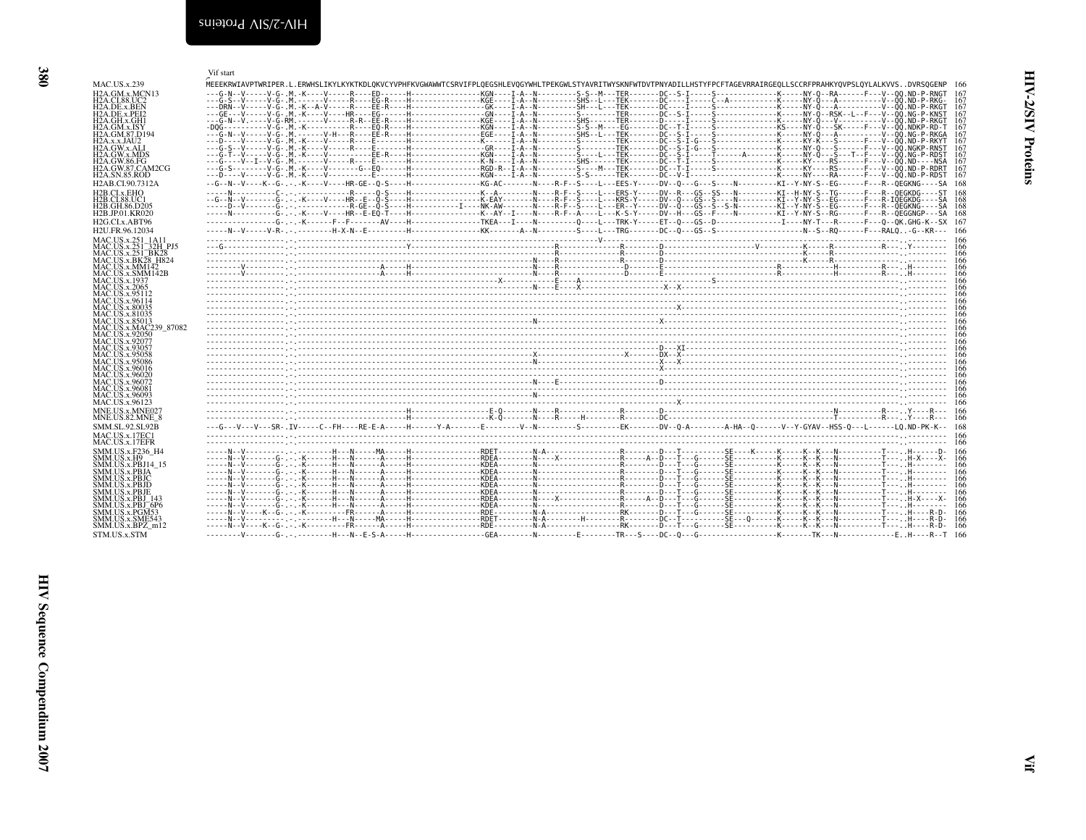<span id="page-19-0"></span>

| <b>MAC.US.x.239</b>                                                                                |                          |       |
|----------------------------------------------------------------------------------------------------|--------------------------|-------|
| H <sub>2</sub> A.GM.x.MCI                                                                          |                          |       |
|                                                                                                    |                          |       |
| H2A.CI.88.UC2<br>H2A.DE.x.BEN                                                                      |                          |       |
| H2A.DE.x.PEI2<br>H2A.GH.x.GH1<br>H2A.GM.x.ISY                                                      |                          |       |
|                                                                                                    |                          |       |
|                                                                                                    |                          |       |
| H.                                                                                                 | A.GM.87.D1<br>A.x.x.JAU2 |       |
| H.                                                                                                 | A.GW.x.ALI               |       |
| ŀÏ<br>A.ĞW                                                                                         |                          | x.MD: |
| Н                                                                                                  | A.GW.86.FG               |       |
| įŗ<br>A.GW.                                                                                        |                          | 87.CA |
| <b>H2A.SN.85.ROI</b>                                                                               |                          |       |
|                                                                                                    | AB.CI.90.73              |       |
| <b>H<sub>2</sub>B.CLx.EHO</b><br>H2B.CL88.UC1                                                      |                          |       |
|                                                                                                    |                          |       |
| H2B.GH.86.D20                                                                                      |                          |       |
| H2B.JP.01.KR02                                                                                     |                          |       |
| H <sub>2G.CLx.ABT9</sub>                                                                           |                          |       |
| H2U.FR.96.120.                                                                                     |                          |       |
| MAC.US.x.251<br>MAC.US.x.251<br>MAC.US.x.251<br>MAC.US.x.BK2                                       |                          |       |
|                                                                                                    |                          |       |
|                                                                                                    |                          |       |
| MАС                                                                                                | LUS.x.MM                 |       |
| MAC                                                                                                | US.x.SMN                 |       |
| MACUSS.x.1937                                                                                      |                          |       |
|                                                                                                    |                          |       |
|                                                                                                    |                          |       |
|                                                                                                    |                          |       |
|                                                                                                    |                          |       |
| MAC.US.x.1937<br>MAC.US.x.2065<br>MAC.US.x.9511<br>MAC.US.x.8003<br>MAC.US.x.8103<br>MAC.US.x.8501 |                          |       |
| MAC.US.x.MA                                                                                        |                          |       |
| MAC                                                                                                | <b>US.x.9205</b>         |       |
| MAC.US.x.9207                                                                                      |                          |       |
| MAC                                                                                                | US.x.9305                |       |
| MAC<br>AC)<br>М                                                                                    | $2.08 \times 2505$       |       |
| MAČ                                                                                                |                          |       |
| MAC.US.x.9602<br>MAC.US.x.9607                                                                     |                          |       |
| MAC                                                                                                |                          |       |
| MAC.US.x.9607<br>MAC.US.x.9608<br>MAC.US.x.9609<br>MAC.US v 0612                                   |                          |       |
|                                                                                                    |                          |       |
|                                                                                                    |                          |       |

<span id="page-19-1"></span>

|                                                          | Vif start                                                                                                                                                                                                                                 |
|----------------------------------------------------------|-------------------------------------------------------------------------------------------------------------------------------------------------------------------------------------------------------------------------------------------|
| <b>MAC.US.x.239</b>                                      | MEEEKRWIAVPTWRIPER.L.ERWHSLIKYLKYKTKDLOKVCYVPHFKVGWAWWTCSRVIFPLOEGSHLEVOGYWHLTPEKGWLSTYAVRITWYSKNFWTDVTPNYADILLHSTYFPCFTAGEVRRAIRGEOLLSCCRFPRAHKYOVPSLOYLALKVVSDVRSOGENP 166                                                              |
| H <sub>2</sub> A.GM.x.MCN <sub>13</sub><br>H2A.CI.88.UC2 | - 167                                                                                                                                                                                                                                     |
| H <sub>2</sub> A.DE.x.BEN                                | ---Ğ-\$--V-----V-G-M.------V----R---EG-R---H---------------KGE----Ī-A--N---------SHS--L---ĪEK---------Č--------<br>---DRN--V-----V-G-M.-K--A-V----R---EE-R---H--------------GK----I-A--N---------SH---L--TEK-----DC---I----S------<br>167 |
| H <sub>2</sub> A.DE.x.PEI <sub>2</sub><br>H2A.GH.x.GH1   | 167<br>167                                                                                                                                                                                                                                |
| H2A.GM.x.ISY<br>H2A.GM.87.D194                           | 167<br>167                                                                                                                                                                                                                                |
| H2A.x.x.JAU2                                             | 167                                                                                                                                                                                                                                       |
| H2A.GW.x.ALI<br>H2A.GW.x.MDS                             | 167<br>---G-T--V-----V-G--M--K----V----------EE-R----H---------------KGN----I-A--N----------S----L---TEK-------DC--S-I----T----T----A--------K-----NY-0---S---T--F---V--00.NG-P-RDST<br>167                                               |
| H <sub>2</sub> A.GW.86.FG<br>H2A.GW.87.CAM2CG            | 167<br>167                                                                                                                                                                                                                                |
| <b>H2A.SN.85.ROD</b>                                     | 167                                                                                                                                                                                                                                       |
| H <sub>2</sub> AB.CI.90.7312A                            | --G--N--V----K--G-.-.K----V----HR-GE--O-S----H-------------KG-AC-------N----R-F--S---L---EES-Y-----DV--O---G---S---N----------KI--Y-NY-S--EG-------R--OEGKNG----SA 168                                                                    |
| H <sub>2</sub> B.CI.x.EHO<br>H2B.CI.88.UC1               |                                                                                                                                                                                                                                           |
| H2B.GH.86.D205<br>H <sub>2</sub> B.JP.01.KR020           | ----- N----------G- .-. K----V----HR--E-EO-T----H------------------K--AY--I----N----R-F--A----I---K-S-Y-----DV--H---GS--F----N------KI--Y-NY-S--RG------F---R--OEGGNGP---SA 168                                                           |
| H <sub>2G</sub> .CL <sub>x</sub> .ABT96                  |                                                                                                                                                                                                                                           |
| H <sub>2</sub> U.FR.96.12034                             |                                                                                                                                                                                                                                           |
| MAC.US.x.251_1A11<br>MAC.US.x.251_32H_PJ5                |                                                                                                                                                                                                                                           |
| MAC.US.x.251 <sup>-</sup> BK28                           |                                                                                                                                                                                                                                           |
| MAC.US.x.BK28 H824<br>MAC.US.x.MM142                     |                                                                                                                                                                                                                                           |
| MAC.US.x.SMM142B<br>MAC.US.x.1937                        |                                                                                                                                                                                                                                           |
| MAC.US.x.2065                                            |                                                                                                                                                                                                                                           |
| MAC.US.x.95112<br>MAC.US.x.96114                         |                                                                                                                                                                                                                                           |
| <b>MAC.US.x.80035</b><br>MAC.US.x.81035                  |                                                                                                                                                                                                                                           |
| MAC.US.x.85013                                           |                                                                                                                                                                                                                                           |
| MAC.US.x.MAC239 87082<br>MAC.US.x.92050                  |                                                                                                                                                                                                                                           |
| MAC.US.x.92077<br>MAC.US.x.93057                         |                                                                                                                                                                                                                                           |
| MAC.US.x.95058                                           |                                                                                                                                                                                                                                           |
| <b>MAC.US.x.95086</b><br>MAC.US.x.96016                  | $\frac{1}{160}$                                                                                                                                                                                                                           |
| MAC.US.x.96020<br>MAC.US.x.96072                         |                                                                                                                                                                                                                                           |
| MAC.US.x.96081                                           |                                                                                                                                                                                                                                           |
| MAC.US.x.96093<br>MAC.US.x.96123                         |                                                                                                                                                                                                                                           |
| MNE.US.x.MNE027                                          |                                                                                                                                                                                                                                           |
| MNE.US.82.MNE 8<br><b>SMM.SL.92.SL92B</b>                |                                                                                                                                                                                                                                           |
| MAC.US.x.17EC1                                           |                                                                                                                                                                                                                                           |
| MAC.US.x.17EFR<br>SMM.US.x.F236 H4                       |                                                                                                                                                                                                                                           |
| SMM.US.x.H9                                              |                                                                                                                                                                                                                                           |
| SMM.US.x.PBJ14 15<br>SMM.US.x.PBJA                       |                                                                                                                                                                                                                                           |
| <b>SMM.US.x.PBJC</b><br><b>SMM.US.x.PBJD</b>             | -166                                                                                                                                                                                                                                      |
| <b>SMM.US.x.PBJE</b>                                     | -166                                                                                                                                                                                                                                      |
| SMM.US.x.PBJ 143<br>SMM.US.x.PBJ 6P6                     | -166                                                                                                                                                                                                                                      |
| SMM.US.x.PGM53<br>SMM.US.x.SME543                        |                                                                                                                                                                                                                                           |
| SMM.US.x.BPZ m12                                         |                                                                                                                                                                                                                                           |
| STM.US.x.STM                                             |                                                                                                                                                                                                                                           |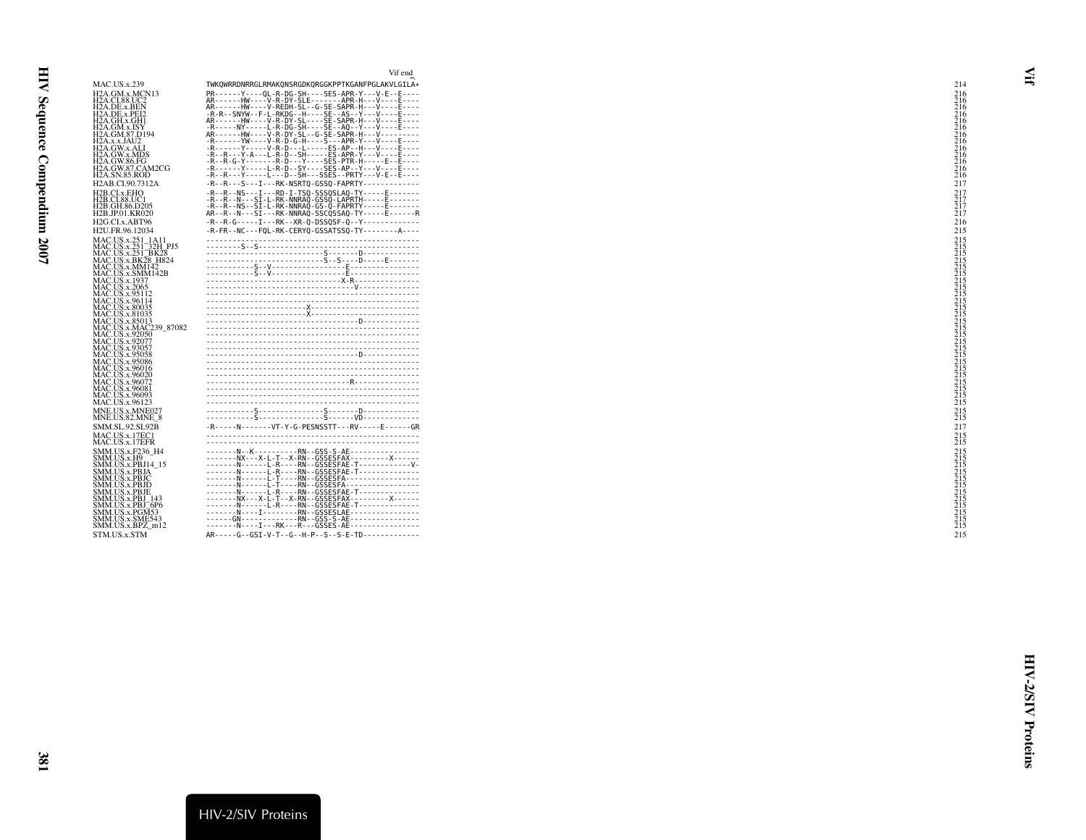<span id="page-20-0"></span>

|                                                                                                                                                                                                                             | Vif end                                                                                                                                                                                                                                                                                                                                                                                                                                 |     |                                                                                                |
|-----------------------------------------------------------------------------------------------------------------------------------------------------------------------------------------------------------------------------|-----------------------------------------------------------------------------------------------------------------------------------------------------------------------------------------------------------------------------------------------------------------------------------------------------------------------------------------------------------------------------------------------------------------------------------------|-----|------------------------------------------------------------------------------------------------|
| <b>MAC.US.x.239</b>                                                                                                                                                                                                         | TWKOWRRDNRRGLRMAKONSRGDKORGGKPPTKGANFPGLAKVLGILA*                                                                                                                                                                                                                                                                                                                                                                                       |     | 214                                                                                            |
| H2A.GM.x.MCN13<br>H2A.CI.88.UC2<br>H <sub>2</sub> A.DE.x.BEN<br>H2A.DE.x.PEI2<br>H2A.GH.x.GH1<br>H2A.GM.x.ISY<br>H2A.GM.87.D194<br>H2A.x.x.JAU2                                                                             | PR------Y----QL-R-DG-SH----SES-APR-Y---V-E--E----<br>AR------HW----V-R-DY-SLE-------APR-H---V----E----<br>AR------HW----V-REDH-SL--G-SE-SAPR-H---V----E----<br>-R-R--SNYW--F-L-RKDG--H----SE--AS--Y---V----E----<br>AR------HW----V-R-DY-SL----SE-SAPR-H---V----E----<br>-R-----NY-----L-R-DG-SH----SE--AQ--Y---V----E----<br>AR-------HW-----V-R-DY-SL--G-SE-SAPR-H---V----------<br>-R------YW----V-R-D-G-H----S---APR-Y---V----E---- |     | $\overline{2}1\overline{6}$<br>$\frac{516}{216}$<br>$\frac{216}{216}$                          |
| H2A.GW.x.ALI<br>H2A.GW.x.MDS<br>H2A.GW.86.FG<br>H2A.GW.87.CAM2CG<br>H2A.SN.85.ROD                                                                                                                                           | -R------Y-----V-R-D---L-----ES-AP--H---V----E----<br>-R--R---Y-A---L-R-D--SH-----ES-APR-Y---V----E----<br>-R--R-G-Y-------R-D---Y----SES-PTR-H-----E--E----<br>-R--^^--Y-----L-R-D--SY----SES-AP--Y---V----E----<br>-R--R--Y-----L---D--SH---SSES--PRTY---V-E--E----                                                                                                                                                                    |     | $\frac{216}{216}$                                                                              |
| H2AB.CI.90.7312A                                                                                                                                                                                                            | -R--R---S---I---RK-NSRTQ-GSSQ-FAPRTY-------------                                                                                                                                                                                                                                                                                                                                                                                       |     | 217                                                                                            |
| H2B.CI.x.EHO<br>H2B.CI.88.UC1<br>H2B.GH.86.D205<br>H2B.JP.01.KR020                                                                                                                                                          | -R--R--NS---I---RD-I-TSQ-SSSQSLAQ-TY-----E------<br>-R--R--N---SĪ-L-RK-NNRAŎ-ĞŠŠŎ-LAPRTH-----E-------<br>-R--R--NS--SĪ-L-RK-NNRAQ-GS-Q-FAPRTY-----E-------<br>AR--R--N---SI---RK-NNRAQ-SSCQSSAQ-TY-----E------R                                                                                                                                                                                                                         |     | $^{217}_{217}$<br>217<br>217                                                                   |
| H <sub>2G.CLx.ABT96</sub><br>H2U.FR.96.12034                                                                                                                                                                                | -R--R-G-----I---RK--XR-Q-DSSQSF-Q--Y-------------<br>-R-FR--NC---FQL-RK-CERYQ-GSSATSSQ-TY--------A----                                                                                                                                                                                                                                                                                                                                  |     | 216<br>215                                                                                     |
| MAC.US.x.251_1A11<br>MAC.US.x.251_32H_PJ5<br>MAC.US.x.251_BK28<br>MAC.US.x.BK28 H824<br>MAC.US.x.MM142<br>MAC.US.x.SMM142B<br>MAC.US.x.1937                                                                                 |                                                                                                                                                                                                                                                                                                                                                                                                                                         |     | $\frac{215}{215}$<br>215<br>$\frac{5}{2}$ $\frac{15}{2}$                                       |
| <b>MAC.US.x.2065</b><br>MAC.US.x.95112<br>MAC.US.x.96114<br>MAC.US.x.80035<br>MAC.US.x.81035<br>MAC.US.x.85013                                                                                                              |                                                                                                                                                                                                                                                                                                                                                                                                                                         |     | 215<br>215<br>215<br>215<br>215<br>215<br>215<br>215<br>215<br>215                             |
| MAC.US.x.MAC239_87082<br>MAC.US.x.92050<br>MAC.US.x.92077<br>MAC.US.x.93057<br>MAC.US.x.95058<br>MAC.US.x.95086<br>MAC.US.x.96016<br>MAC.US.x.96020<br>MAC.US.x.96072<br>MAC.US.x.96081<br>MAC.US.x.96093<br>MAC.US.x.96123 |                                                                                                                                                                                                                                                                                                                                                                                                                                         |     | $\frac{215}{215}$<br>$\frac{215}{215}$<br>$\frac{215}{215}$<br>$\frac{215}{215}$               |
| MNE.US.x.MNE027<br>MNE.US.82.MNE 8<br>SMM.SL.92.SL92B<br>MAC.US.x.17EC1<br>MAC.US.x.17EFR                                                                                                                                   | -R-----N-------VT-Y-G-PESNSSTT---RV-----E------GR                                                                                                                                                                                                                                                                                                                                                                                       | 215 | $^{215}_{215}$<br>217<br>215                                                                   |
| SMM.US.x.F236 H4<br>SMM.US.x.H9<br>SMM.US.x.PBJ14 15<br>SMM.US.x.PBJA<br>SMM.US.x.PBJC<br>SMM.US.x.PBJD<br>SMM.US.x.PBJE<br>SMM.US.x.PBJ 143<br>SMM.US.x.PBJ <sup>-6P6</sup>                                                | -------N--K----------RN--GSS-S-AE-----------------<br>-------NX---X-L-T--X-RN--GSSESFAX---------X------<br>NL-R----RN--GSSESFAE-T--------------<br>NL-T----RN--GSSESFA-----------------<br>-------N------L-T----RN--GSSESFA-----------------<br>-------N------L-R----RN--GSSESFAE-T--------------<br>-------NX---X-L-T--X-RN--GSSESFAX---------X------<br>NL-R----RN--GSSESFAE-T---------------<br>NIRN--GSSESLAE-----------------      |     | $\frac{215}{215}$<br>$\frac{215}{215}$<br>215<br>$\frac{215}{215}$<br>$\frac{215}{215}$<br>215 |
| SMM.US.x.PGM53<br>SMM.US.x.SME543<br>SMM.US.x.BPZ m12<br>STM.US.x.STM                                                                                                                                                       | GN-------------RN--GSS-S-AE----------------<br>--------N----I---RK---R---GSSES-AE-----------------<br>AR-----G--GSI-V-T--G--H-P--S--S-E-TD-------------                                                                                                                                                                                                                                                                                 |     | 215<br>215<br>215                                                                              |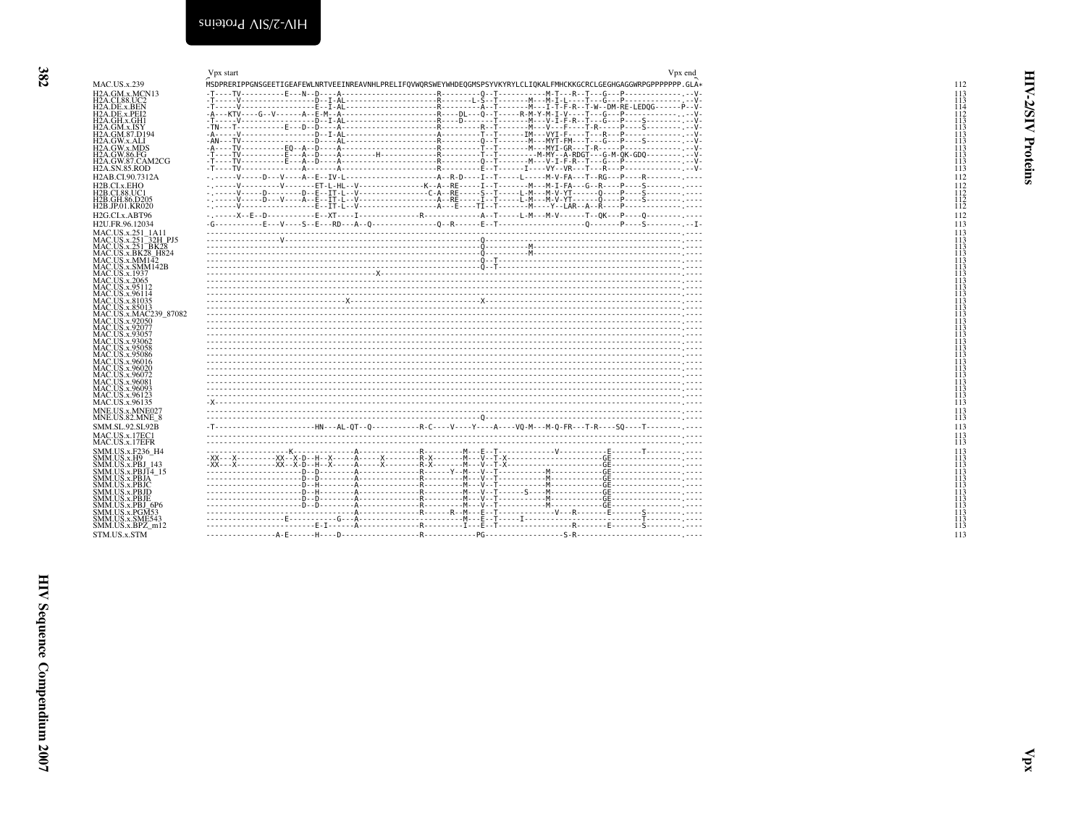<span id="page-21-1"></span><span id="page-21-0"></span>

|                                                                     | V <sub>px</sub> end<br>Vpx start                                                                                                                                                                                                 |
|---------------------------------------------------------------------|----------------------------------------------------------------------------------------------------------------------------------------------------------------------------------------------------------------------------------|
| <b>MAC.US.x.239</b>                                                 | MSDPRERIPPGNSGEETIGEAFEWLNRTVEEINREAVNHLPRELIFQVWQRSWEYWHDEQGMSPSYVKYRYLCLIQKALFMHCKKGCRCLGEGHGAGGWRPGPPPPPPP.GLA*                                                                                                               |
| H <sub>2</sub> A.GM.x.MCN <sub>13</sub>                             |                                                                                                                                                                                                                                  |
| <b>H2A.CI.88.UC2</b>                                                |                                                                                                                                                                                                                                  |
| H2A.DE.x.BEN<br>H <sub>2</sub> A.DE.x.PEI <sub>2</sub>              |                                                                                                                                                                                                                                  |
| H2A.GH.x.GH1                                                        |                                                                                                                                                                                                                                  |
| H2A.GM.x.ISY                                                        |                                                                                                                                                                                                                                  |
| H <sub>2</sub> A.GM.87.D <sub>194</sub>                             |                                                                                                                                                                                                                                  |
| H2A.GW.x.ALI<br>H2A.GW.x.MDS                                        |                                                                                                                                                                                                                                  |
| H2A.GW.86.FG                                                        |                                                                                                                                                                                                                                  |
| H2A.GW.87.CAM2CG<br><b>H2A.SN.85.ROD</b>                            |                                                                                                                                                                                                                                  |
| H <sub>2</sub> AB.CI.90.7312A                                       |                                                                                                                                                                                                                                  |
| H <sub>2</sub> B.CI.x.EHO                                           |                                                                                                                                                                                                                                  |
| <b>H2B.CI.88.UC1</b>                                                |                                                                                                                                                                                                                                  |
| H <sub>2</sub> B.GH.86.D <sub>205</sub>                             | - ^-----V-----D--------D--E--TT-L--V----------------C-A--RE-----S--T-----L-M---M-V-YT-----O----P----S---------<br>- ^-----V-----D---V----A--E--TT-L--V---------------------A--RE-----I--T-----L-M---M-V-YT------Q----P----S----- |
| H <sub>2</sub> B.JP.01.KR020                                        |                                                                                                                                                                                                                                  |
| H <sub>2G</sub> .CL <sub>x</sub> .ABT96                             |                                                                                                                                                                                                                                  |
| H2U.FR.96.12034                                                     |                                                                                                                                                                                                                                  |
| MAC.US.x.251_1A11<br>MAC.US.x.251_32H_PJ5                           |                                                                                                                                                                                                                                  |
| MAC.US.x.251 BK28                                                   |                                                                                                                                                                                                                                  |
| MAC.US.x.BK28 H824                                                  |                                                                                                                                                                                                                                  |
| MAC. US.x.MM142                                                     |                                                                                                                                                                                                                                  |
| MAC.US.x.SMM142B<br><b>MAC.US.x.1937</b>                            |                                                                                                                                                                                                                                  |
|                                                                     |                                                                                                                                                                                                                                  |
|                                                                     |                                                                                                                                                                                                                                  |
| MAC.US.x.2065<br>MAC.US.x.95112<br>MAC.US.x.96114<br>MAC.US.x.81035 |                                                                                                                                                                                                                                  |
| MAC.US.x.85013                                                      |                                                                                                                                                                                                                                  |
| MAC.US.x.MAC239 87082                                               |                                                                                                                                                                                                                                  |
| MAC.US.x.92050<br>MAC.US.x.92077                                    |                                                                                                                                                                                                                                  |
| MAC.US.x.93057                                                      |                                                                                                                                                                                                                                  |
| MAC.US.x.93062                                                      |                                                                                                                                                                                                                                  |
| MAC.US.x.95058                                                      |                                                                                                                                                                                                                                  |
| MAC.US.x.95086<br>MAC.US.x.96016                                    |                                                                                                                                                                                                                                  |
| <b>MAC.US.x.96020</b>                                               |                                                                                                                                                                                                                                  |
| MAC.US.x.96072<br>MAC.US.x.96081                                    |                                                                                                                                                                                                                                  |
| MAC.US.x.96093                                                      |                                                                                                                                                                                                                                  |
| MAC.US.x.96123                                                      |                                                                                                                                                                                                                                  |
| MAC.US.x.96135                                                      |                                                                                                                                                                                                                                  |
| MNE.US.x.MNE027<br><b>MNE.US.82.MNE 8</b>                           |                                                                                                                                                                                                                                  |
| <b>SMM.SL.92.SL92B</b>                                              | -T---------------------HN---AL-OT--O-----------R-C----Y----A-----VO-M---M-O-FR---T-R----SO----T---------------                                                                                                                   |
| MAC.US.x.17EC1                                                      |                                                                                                                                                                                                                                  |
| MAC.US.x.17EFR                                                      |                                                                                                                                                                                                                                  |
| SMM.US.x.F236 H4                                                    |                                                                                                                                                                                                                                  |
| SMM.US.x.H9                                                         |                                                                                                                                                                                                                                  |
| SMM.US.x.PBJ 143<br>SMM.US.x.PBJ14 15                               |                                                                                                                                                                                                                                  |
|                                                                     |                                                                                                                                                                                                                                  |
| SMM.US.x.PBJA<br>SMM.US.x.PBJC                                      |                                                                                                                                                                                                                                  |
| SMM.US.x.PBJD                                                       |                                                                                                                                                                                                                                  |
| SMM.US.x.PBJE<br>SMM.US.x.PBJ 6P6                                   |                                                                                                                                                                                                                                  |
| SMM.US.x.PGM53                                                      |                                                                                                                                                                                                                                  |
| SMM.US.x.SME543                                                     |                                                                                                                                                                                                                                  |
| SMM.US.x.BPZ m12                                                    |                                                                                                                                                                                                                                  |
| STM.US.x.STM                                                        |                                                                                                                                                                                                                                  |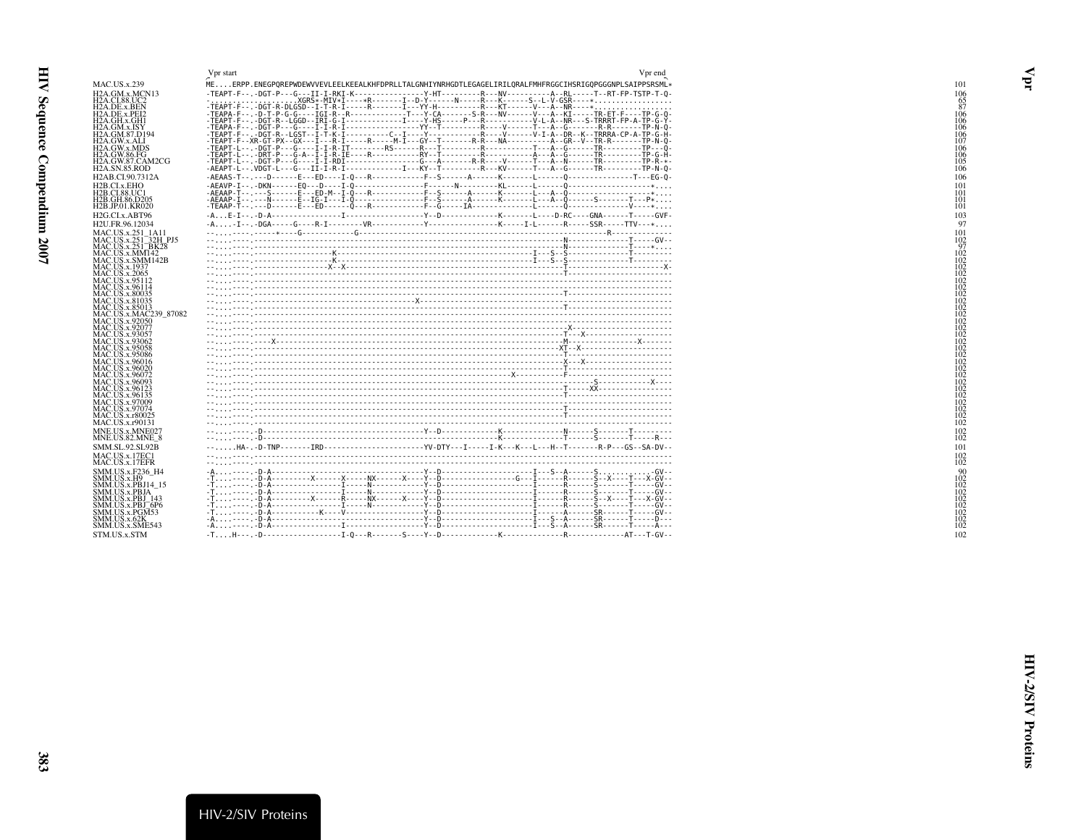<span id="page-22-1"></span><span id="page-22-0"></span>

|                                                                     | Vpr end<br>Vpr start                                                                                        |
|---------------------------------------------------------------------|-------------------------------------------------------------------------------------------------------------|
| <b>MAC.US.x.239</b>                                                 | MEERPP.ENEGPQREPWDEWVVEVLEELKEEALKHFDPRLLTALGNHIYNRHGDTLEGAGELIRILQRALFMHFRGGCIHSRIGQPGGGNPLSAIPPSRSML*     |
| H <sub>2</sub> A.GM.x.MCN <sub>13</sub>                             | -TEAPT-F--.-DGT-P---G---II-I-RKI-K---------------Y-HT---------R---NV----------A--RL-----T--RT-FP-TSTP-T-0   |
| <b>H2A.CI.88.UC2</b>                                                |                                                                                                             |
| H <sub>2</sub> A.DE.x.BEN<br>H <sub>2</sub> A.DE.x.PEI <sub>2</sub> | -TEAPA-F-- -D-T-P-G-G----IGI-R--R-------------T---Y-CA-------S-R---WV------V---A--KI-----TR-ET-F----TP-G-0- |
| H <sub>2</sub> A.GH.x.GH <sub>1</sub>                               |                                                                                                             |
| H <sub>2</sub> A.GM.x.ISY<br>H2A.GM.87.D194                         |                                                                                                             |
| H2A.GW.x.ALI                                                        |                                                                                                             |
| H <sub>2</sub> A.GW.x.MDS                                           |                                                                                                             |
| <b>H2A.GW.86.FG</b><br>H <sub>2</sub> A.GW.87.CAM2CG                |                                                                                                             |
| <b>H2A.SN.85.ROD</b>                                                |                                                                                                             |
| H <sub>2</sub> AB.CI.90.7312A                                       |                                                                                                             |
| H <sub>2</sub> B.CI.x.EHO                                           |                                                                                                             |
| <b>H2B.CI.88.UC1</b><br>H <sub>2</sub> B.GH.86.D <sub>205</sub>     |                                                                                                             |
| <b>H2B.JP.01.KR020</b>                                              |                                                                                                             |
| H <sub>2G</sub> .CL <sub>x</sub> .ABT96                             |                                                                                                             |
| H <sub>2</sub> U.FR.96.12034                                        |                                                                                                             |
| MAC.US.x.251_1A11<br>MAC.US.x.251_32H_PJ5<br>MAC.US.x.251_BK28      |                                                                                                             |
|                                                                     |                                                                                                             |
| MAC.US.x.MM142                                                      |                                                                                                             |
| MAC.US.x.SMM142B<br>MAC.US.x.1937                                   |                                                                                                             |
| <b>MAC.US.x.2065</b>                                                |                                                                                                             |
| MAC.US.x.95112<br>MAC.US.x.96114<br>MAC.US.x.80035                  |                                                                                                             |
|                                                                     |                                                                                                             |
| MAC.US.x.81035                                                      |                                                                                                             |
| MAC.US.x.85013<br>MAC.US.x.MAC239 87082                             |                                                                                                             |
| <b>MAC.US.x.92050</b>                                               |                                                                                                             |
| MAC.US.x.92077                                                      |                                                                                                             |
| MAC.US.x.93057<br>MAC.US.x.93062<br>MAC.US.x.95058                  |                                                                                                             |
|                                                                     |                                                                                                             |
| MAC.US.x.95086<br>MAC.US.x.96016                                    |                                                                                                             |
| MAC.US.x.96020                                                      |                                                                                                             |
| MAC.US.x.96072                                                      |                                                                                                             |
| MAC.US.x.96093                                                      |                                                                                                             |
| MAC.US.x.90023<br>MAC.US.x.96123<br>MAC.US.x.97009                  |                                                                                                             |
| MAC.US.x.97074                                                      |                                                                                                             |
| MAC.US.x.r80025                                                     |                                                                                                             |
| MAC.US.x.r90131                                                     |                                                                                                             |
| MNE.US.x.MNE027                                                     |                                                                                                             |
| MNE.US.82.MNE_8<br><b>SMM.SL.92.SL92B</b>                           | --HA-.-D-TNP-------IRD---------------------YV-DTY---I-----I-K---K---L---H--T--------R-P---GS--SA-DV--       |
| MAC.US.x.17EC1                                                      |                                                                                                             |
| MAC.US.x.17EFR                                                      |                                                                                                             |
| SMM.US.x.F236 H4                                                    |                                                                                                             |
| SMM.US.x.H9<br>SMM.US.x.PBJ14 15                                    |                                                                                                             |
| SMM.US.x.PBJA                                                       |                                                                                                             |
| SMM.US.x.PBJ 143                                                    |                                                                                                             |
| SMM.US.x.PBJ 6P6<br>SMM.US.x.PGM53                                  |                                                                                                             |
| SMM.US.x.62K                                                        |                                                                                                             |
| SMM.US.x.SME543                                                     |                                                                                                             |
| STM.US.x.STM                                                        |                                                                                                             |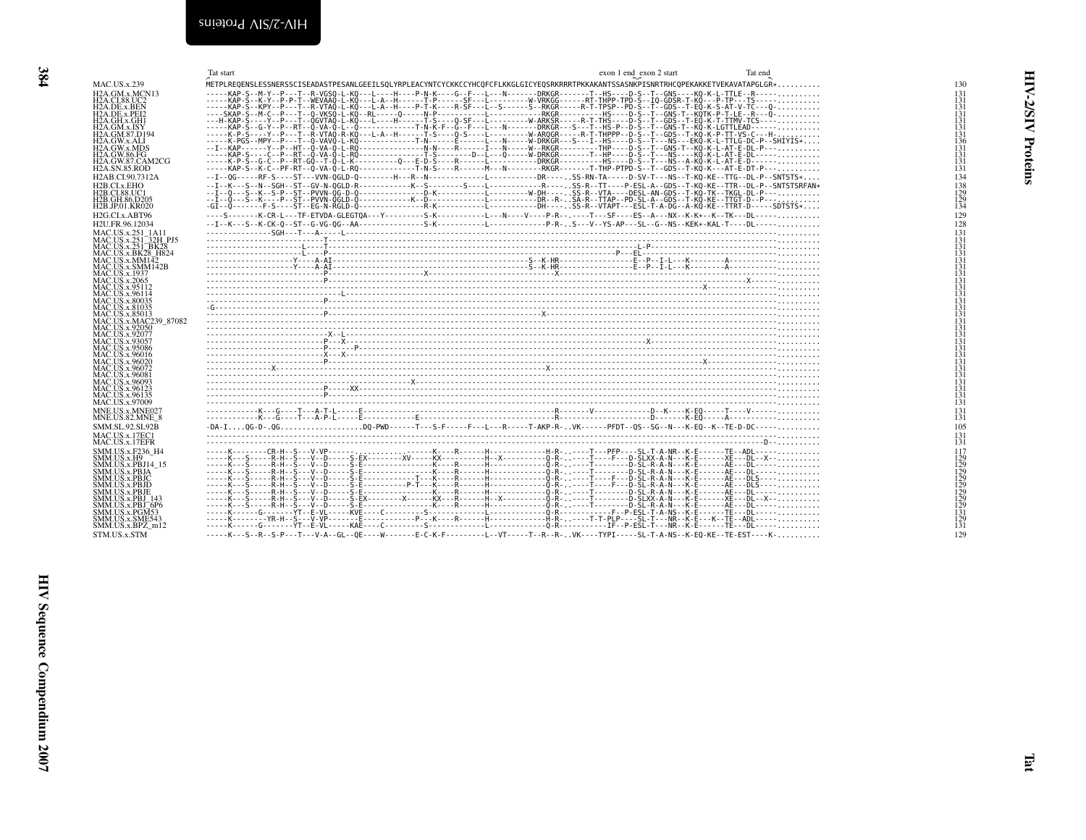<span id="page-23-1"></span><span id="page-23-0"></span>

|                                                                                                                                                                                                                                                                                                                                                                                                                                                                                                                                       | Tat start                                                                                                                           | exon 1 end_exon 2 start | Tat end |
|---------------------------------------------------------------------------------------------------------------------------------------------------------------------------------------------------------------------------------------------------------------------------------------------------------------------------------------------------------------------------------------------------------------------------------------------------------------------------------------------------------------------------------------|-------------------------------------------------------------------------------------------------------------------------------------|-------------------------|---------|
| <b>MAC.US.x.239</b>                                                                                                                                                                                                                                                                                                                                                                                                                                                                                                                   | METPLREQENSLESSNERSSCISEADASTPESANLGEEILSQLYRPLEACYNTCYCKKCCYHCQFCFLKKGLGICYEQSRKRRRTPKKAKANTSSASNKPISNRTRHCQPEKAKKETVEKAVATAPGLGR* |                         |         |
| H <sub>2</sub> A.GM.x.MCN <sub>13</sub><br>H <sub>2</sub> A.CI.88.UC <sub>2</sub><br>H <sub>2</sub> A.DE.x.BEN<br>H <sub>2</sub> A, DE.x.PEI <sub>2</sub><br>H <sub>2</sub> A.GH.x.GH <sub>1</sub><br>H <sub>2</sub> A.GM.x.ISY<br>H <sub>2</sub> A.GM.87.D <sub>194</sub><br>H2A.GW.x.ALI<br>H <sub>2</sub> A.GW.x.MDS<br><b>H2A.GW.86.FG</b><br>H2A.GW.87.CAM2CG<br><b>H2A.SN.85.ROD</b>                                                                                                                                            | -----KAP-S--M-Y--P---T--R-VGSO-L-KO---L----H----P-N-K----G--F---L---N-------DRKGR------T--HS----D-S--T--GNS----KO-K-L-TTLE--R-----  |                         |         |
| H <sub>2</sub> AB.CI.90.7312A                                                                                                                                                                                                                                                                                                                                                                                                                                                                                                         | --I--0G-----RF-S----ST---VVN-0GLD-0--------H---R--N-----------L---------DR----SS-RN-TA-----D-SV-T---NS--T-KQ-KE--TTG--DL-P--SNTSTS* |                         |         |
| H2B.CI.x.EHO<br>H2B.CI.88.UC1<br>H2B.GH.86.D205<br>H <sub>2</sub> B.JP.01.KR020<br>H <sub>2G</sub> .CL <sub>x</sub> .ABT96                                                                                                                                                                                                                                                                                                                                                                                                            | ----S-------K-CR-L---TF-ETVDA-GLEGTOA---Y---------S-K----------L---N----V----P-R--,----T---SF----ES--A---NX--K-K-K---TK---DL------  |                         |         |
| H <sub>2</sub> U.FR.96.12034                                                                                                                                                                                                                                                                                                                                                                                                                                                                                                          |                                                                                                                                     |                         |         |
| MAC.US.x.251_1A11<br>MAC.US.x.251_32H_PJ5<br>MAC.US.x.251 <sup>-</sup> BK28<br>$MAC. US.x.BK28$ H824<br>MAC.US.x.MM142<br>MAC.US.x.SMM142B<br><b>MAC.US.x.1937</b><br><b>MAC.US.x.2065</b><br>MAC.US.x.95112<br>MAC.US.x.96114<br>MAC.US.x.80035<br>MAC.US.x.81035<br>MAC.US.x.85013<br>MAC.US.x.MAC239 87082<br>MAC.US.x.92050<br>MAC.US.x.92077<br>MAC.US.x.93057<br>MAC.US.x.95086<br>MAC.US.x.96016<br>MAC.US.x.96020<br>MAC.US.x.96072<br>MAC.US.x.96081<br>MAC.US.x.96093<br>MAC.US.x.96123<br>MAC.US.x.96135<br>MAC.US.x.97009 |                                                                                                                                     |                         |         |
| MNE.US.x.MNE027                                                                                                                                                                                                                                                                                                                                                                                                                                                                                                                       |                                                                                                                                     |                         |         |
| <b>MNE.US.82.MNE_8</b><br><b>SMM.SL.92.SL92B</b>                                                                                                                                                                                                                                                                                                                                                                                                                                                                                      | -DA-IOG-D-.OGDO-PWD------T---S-F-----F---L---R-----T-AKP-R-VK------PFDT--0S--SG--N---K-EQ--K--TE-D-DC-----                          |                         |         |
| MAC.US.x.17EC1<br>MAC.US.x.17EFR                                                                                                                                                                                                                                                                                                                                                                                                                                                                                                      |                                                                                                                                     |                         |         |
| SMM.US.x.F236 H4<br>SMM.US.x.H9<br>SMM.US.x.PBJ14 15<br>SMM.US.x.PBJA<br>SMM.US.x.PBJC<br>SMM.US.x.PBJD<br>SMM.US.x.PBJE<br>SMM.US.x.PBJ 143<br>$SMM. US.x.PBJ-6P6$<br>SMM.US.x.PGM53<br>SMM.US.x.SME543<br>SMM.US.x.BPZ m12<br>STM.US.x.STM                                                                                                                                                                                                                                                                                          | -----K---S--R--S-P---T---V-A--GL--OE----W-------E-C-K-F---------L--VT-----T--R--R-VK----TYPI-----SL-T-A-NS--K-EO-KE--TE-EST----K-   |                         |         |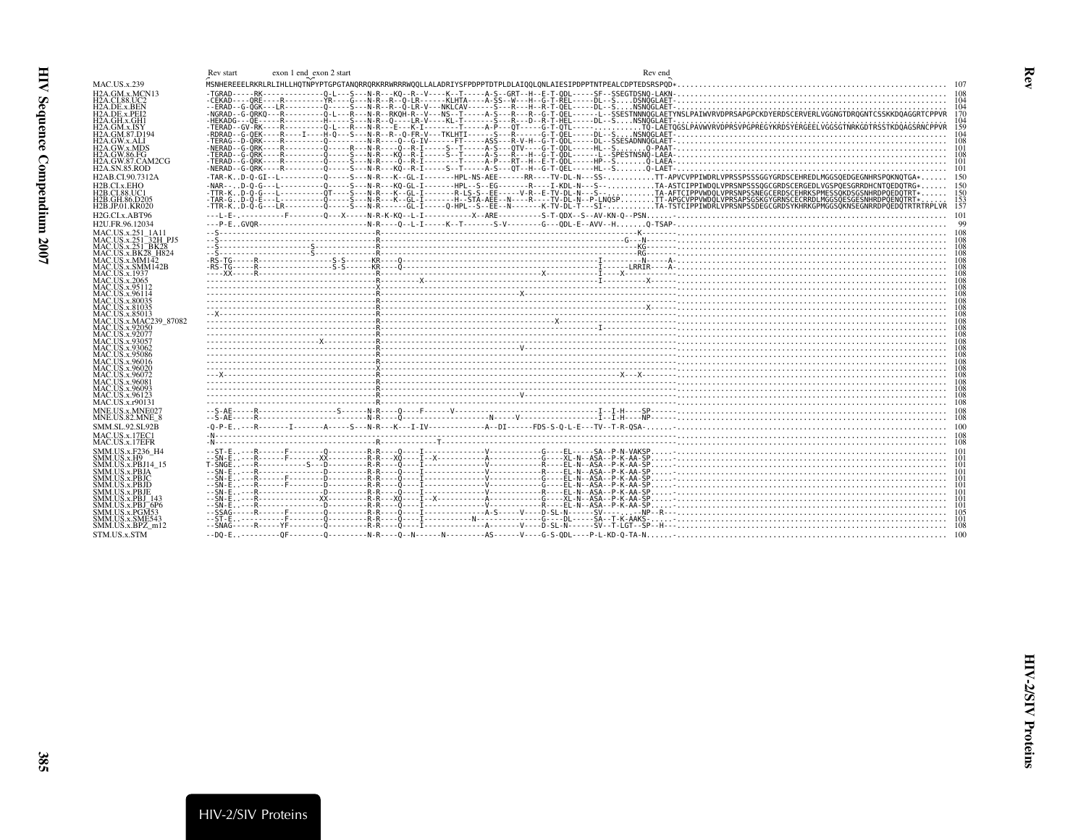<span id="page-24-1"></span><span id="page-24-0"></span>

| <b>MAC.US.x.239</b><br>H <sub>2</sub> A.GM.x.MCN <sub>13</sub><br><b>H2A.CI.88.UC2</b><br>H <sub>2</sub> A.DE.x.BEN<br>-NGRAD--G-ORKO---R---------O-L---R---R--RKOH-R--V---NS--T-----A-S---R--G-T-OEL------L--SSESTNNNOGLAETYNSLPAIWVRVDPRSAPGPCKDYERDSCERVERLVGGNGTDROGNTCSSKKDOAGGRTCPPVR<br>H <sub>2</sub> A.DE.x.PEI <sub>2</sub><br>H2A.GH.x.GH1<br>H2A.GM.x.ISY<br>H <sub>2</sub> A.GM.87.D <sub>194</sub><br>H2A.GW.x.ALI<br>H2A.GW.x.MDS<br>H2A.GW.86.FG<br>H2A.GW.87.CAM2CG<br><b>H2A.SN.85.ROD</b><br>-TAR-KD-0-GI--L---------0----S---N-R---K--GL-I-------HPL-NS-AEE------RR----TV-DL-N---SS-TT-APVCVPPIWDRLVPRSSPSSSGGYGRDSCEHREDLMGGSOEDGEGNHRSPOKNOTGA* 150<br>H <sub>2</sub> AB.CI.90.7312A<br>-NAR--D-0-G---L----------0----S---N-R---KO-GL-I--------HPL--S--EG-------R----I-KDL-N---S--TA-ASTCIPPIWDOLVPRSNPSSSOGCGRDSCERGEDLVGSPOESGRRDHCNTOEDOTRG*<br>H <sub>2</sub> B.CI.x.EHO<br>-TTR-KD-Q-G---[----------QT----S---N-R---K--GL-I--------R-LS-S--EE-----V-R--E-TV-DL-N---S--TA-AFTCIPPVWDQLVPRSNPSSNPGCERDSCEHRKSPMESSQKDSGSNHRDPQEDQTRT*<br>H2B.CI.88.UC1<br>-TAR-GD-O-E---L------------O-----S---N-R---K--GL-I-------H--STA-AEE--N----R----TV-DL-N--P-LNOSPTT-APGCVPPVWDOLVPRSAPSGSKGYGRNSCECRRDLMGGSOESGESNHRDPOENOTRT*<br>H2B.GH.86.D205<br>153<br>TTR-KD-0-G---LR-----------O-----S---N-R------GL-I------0-HPL-S--EE--N-------K-TV-DL-T---SI-I-----TI-----TA-TSTCIPPIWDRLVPRSNPSSDEGCGRDSYRHRKGPMGGSOKNSEGNRRDPOEDOTRTRTRPLVR<br>15'<br>H <sub>2</sub> B.JP.01.KR020<br>H2G.CLx.ABT96<br>-101<br>H2U.FR.96.12034<br>MAC.US.x.251 1A11<br>MAC.US.x.251 <sup>-32H</sup> PJ5<br>MAC.US.x.251_BK28<br>MAC.US.x.BK28 H824<br>MAC. US.x.MM142<br>$R_{\text{R}}$ . The contract of the contract of the contract of the contract of the contract of the contract of the contract of the contract of the contract of the contract of the contract of the contract of the contract of t<br>MAC.US.x.SMM142B<br><b>MAC.US.x.1937</b><br><b>MAC.US.x.2065</b><br>MAC.US.x.95112<br>MAC.US.x.96114<br><b>MAC.US.x.80035</b><br>MAC.US.x.81035<br>MAC.US.x.85013<br>MAC.US.x.MAC239 87082<br>MAC.US.x.92050<br>MAC.US.x.92077<br>MAC.US.x.93057<br>MAC.US.x.93062<br>MAC.US.x.95086<br>MAC.US.x.96016<br>MAC.US.x.96020<br>MAC.US.x.96072<br>MAC.US.x.96081<br>MAC.US.x.96093<br>MAC.US.x.96123<br>MAC.US.x.r90131<br>MNE.US.x.MNE022<br>MNE.US.82.MNE 8<br>SMM.SL.92.SL92B<br>MAC.US.x.17EC1<br>MAC.US.x.17EFR<br>SMM.US.x.F236 H4<br>SMM.US.x.H9<br>SMM.US.x.PBJA<br>SMM.US.x.PBJC<br><b>SMM.US.x.PBJD</b><br>SMM.US.x.PBJE<br>SMM.US.x.PBJ 143<br>SMM.US.x.PBJ_6P6<br>SMM.US.x.PGM53<br>SMM.US.x.SME543<br>SMM.US.x.BPZ m12<br>STM.US.x.STM | $exon 1 end\_exon 2 start$<br>Rev start | Rev end |  |
|------------------------------------------------------------------------------------------------------------------------------------------------------------------------------------------------------------------------------------------------------------------------------------------------------------------------------------------------------------------------------------------------------------------------------------------------------------------------------------------------------------------------------------------------------------------------------------------------------------------------------------------------------------------------------------------------------------------------------------------------------------------------------------------------------------------------------------------------------------------------------------------------------------------------------------------------------------------------------------------------------------------------------------------------------------------------------------------------------------------------------------------------------------------------------------------------------------------------------------------------------------------------------------------------------------------------------------------------------------------------------------------------------------------------------------------------------------------------------------------------------------------------------------------------------------------------------------------------------------------------------------------------------------------------------------------------------------------------------------------------------------------------------------------------------------------------------------------------------------------------------------------------------------------------------------------------------------------------------------------------------------------------------------------------------------------------------------------------------------------------------------------------------------------------------------------------------------------------------------------------------------------------------------------------------------------------------------------------------------------------------------------------------------------------------------------------------------------------------------------------------------------------------------------------------------------------------------------------------------------------------------------------------------|-----------------------------------------|---------|--|
|                                                                                                                                                                                                                                                                                                                                                                                                                                                                                                                                                                                                                                                                                                                                                                                                                                                                                                                                                                                                                                                                                                                                                                                                                                                                                                                                                                                                                                                                                                                                                                                                                                                                                                                                                                                                                                                                                                                                                                                                                                                                                                                                                                                                                                                                                                                                                                                                                                                                                                                                                                                                                                                            |                                         |         |  |
|                                                                                                                                                                                                                                                                                                                                                                                                                                                                                                                                                                                                                                                                                                                                                                                                                                                                                                                                                                                                                                                                                                                                                                                                                                                                                                                                                                                                                                                                                                                                                                                                                                                                                                                                                                                                                                                                                                                                                                                                                                                                                                                                                                                                                                                                                                                                                                                                                                                                                                                                                                                                                                                            |                                         |         |  |
|                                                                                                                                                                                                                                                                                                                                                                                                                                                                                                                                                                                                                                                                                                                                                                                                                                                                                                                                                                                                                                                                                                                                                                                                                                                                                                                                                                                                                                                                                                                                                                                                                                                                                                                                                                                                                                                                                                                                                                                                                                                                                                                                                                                                                                                                                                                                                                                                                                                                                                                                                                                                                                                            |                                         |         |  |
|                                                                                                                                                                                                                                                                                                                                                                                                                                                                                                                                                                                                                                                                                                                                                                                                                                                                                                                                                                                                                                                                                                                                                                                                                                                                                                                                                                                                                                                                                                                                                                                                                                                                                                                                                                                                                                                                                                                                                                                                                                                                                                                                                                                                                                                                                                                                                                                                                                                                                                                                                                                                                                                            |                                         |         |  |
|                                                                                                                                                                                                                                                                                                                                                                                                                                                                                                                                                                                                                                                                                                                                                                                                                                                                                                                                                                                                                                                                                                                                                                                                                                                                                                                                                                                                                                                                                                                                                                                                                                                                                                                                                                                                                                                                                                                                                                                                                                                                                                                                                                                                                                                                                                                                                                                                                                                                                                                                                                                                                                                            |                                         |         |  |
|                                                                                                                                                                                                                                                                                                                                                                                                                                                                                                                                                                                                                                                                                                                                                                                                                                                                                                                                                                                                                                                                                                                                                                                                                                                                                                                                                                                                                                                                                                                                                                                                                                                                                                                                                                                                                                                                                                                                                                                                                                                                                                                                                                                                                                                                                                                                                                                                                                                                                                                                                                                                                                                            |                                         |         |  |
|                                                                                                                                                                                                                                                                                                                                                                                                                                                                                                                                                                                                                                                                                                                                                                                                                                                                                                                                                                                                                                                                                                                                                                                                                                                                                                                                                                                                                                                                                                                                                                                                                                                                                                                                                                                                                                                                                                                                                                                                                                                                                                                                                                                                                                                                                                                                                                                                                                                                                                                                                                                                                                                            |                                         |         |  |
|                                                                                                                                                                                                                                                                                                                                                                                                                                                                                                                                                                                                                                                                                                                                                                                                                                                                                                                                                                                                                                                                                                                                                                                                                                                                                                                                                                                                                                                                                                                                                                                                                                                                                                                                                                                                                                                                                                                                                                                                                                                                                                                                                                                                                                                                                                                                                                                                                                                                                                                                                                                                                                                            |                                         |         |  |
|                                                                                                                                                                                                                                                                                                                                                                                                                                                                                                                                                                                                                                                                                                                                                                                                                                                                                                                                                                                                                                                                                                                                                                                                                                                                                                                                                                                                                                                                                                                                                                                                                                                                                                                                                                                                                                                                                                                                                                                                                                                                                                                                                                                                                                                                                                                                                                                                                                                                                                                                                                                                                                                            |                                         |         |  |
|                                                                                                                                                                                                                                                                                                                                                                                                                                                                                                                                                                                                                                                                                                                                                                                                                                                                                                                                                                                                                                                                                                                                                                                                                                                                                                                                                                                                                                                                                                                                                                                                                                                                                                                                                                                                                                                                                                                                                                                                                                                                                                                                                                                                                                                                                                                                                                                                                                                                                                                                                                                                                                                            |                                         |         |  |
|                                                                                                                                                                                                                                                                                                                                                                                                                                                                                                                                                                                                                                                                                                                                                                                                                                                                                                                                                                                                                                                                                                                                                                                                                                                                                                                                                                                                                                                                                                                                                                                                                                                                                                                                                                                                                                                                                                                                                                                                                                                                                                                                                                                                                                                                                                                                                                                                                                                                                                                                                                                                                                                            |                                         |         |  |
|                                                                                                                                                                                                                                                                                                                                                                                                                                                                                                                                                                                                                                                                                                                                                                                                                                                                                                                                                                                                                                                                                                                                                                                                                                                                                                                                                                                                                                                                                                                                                                                                                                                                                                                                                                                                                                                                                                                                                                                                                                                                                                                                                                                                                                                                                                                                                                                                                                                                                                                                                                                                                                                            |                                         |         |  |
|                                                                                                                                                                                                                                                                                                                                                                                                                                                                                                                                                                                                                                                                                                                                                                                                                                                                                                                                                                                                                                                                                                                                                                                                                                                                                                                                                                                                                                                                                                                                                                                                                                                                                                                                                                                                                                                                                                                                                                                                                                                                                                                                                                                                                                                                                                                                                                                                                                                                                                                                                                                                                                                            |                                         |         |  |
|                                                                                                                                                                                                                                                                                                                                                                                                                                                                                                                                                                                                                                                                                                                                                                                                                                                                                                                                                                                                                                                                                                                                                                                                                                                                                                                                                                                                                                                                                                                                                                                                                                                                                                                                                                                                                                                                                                                                                                                                                                                                                                                                                                                                                                                                                                                                                                                                                                                                                                                                                                                                                                                            |                                         |         |  |
|                                                                                                                                                                                                                                                                                                                                                                                                                                                                                                                                                                                                                                                                                                                                                                                                                                                                                                                                                                                                                                                                                                                                                                                                                                                                                                                                                                                                                                                                                                                                                                                                                                                                                                                                                                                                                                                                                                                                                                                                                                                                                                                                                                                                                                                                                                                                                                                                                                                                                                                                                                                                                                                            |                                         |         |  |
|                                                                                                                                                                                                                                                                                                                                                                                                                                                                                                                                                                                                                                                                                                                                                                                                                                                                                                                                                                                                                                                                                                                                                                                                                                                                                                                                                                                                                                                                                                                                                                                                                                                                                                                                                                                                                                                                                                                                                                                                                                                                                                                                                                                                                                                                                                                                                                                                                                                                                                                                                                                                                                                            |                                         |         |  |
|                                                                                                                                                                                                                                                                                                                                                                                                                                                                                                                                                                                                                                                                                                                                                                                                                                                                                                                                                                                                                                                                                                                                                                                                                                                                                                                                                                                                                                                                                                                                                                                                                                                                                                                                                                                                                                                                                                                                                                                                                                                                                                                                                                                                                                                                                                                                                                                                                                                                                                                                                                                                                                                            |                                         |         |  |
|                                                                                                                                                                                                                                                                                                                                                                                                                                                                                                                                                                                                                                                                                                                                                                                                                                                                                                                                                                                                                                                                                                                                                                                                                                                                                                                                                                                                                                                                                                                                                                                                                                                                                                                                                                                                                                                                                                                                                                                                                                                                                                                                                                                                                                                                                                                                                                                                                                                                                                                                                                                                                                                            |                                         |         |  |
|                                                                                                                                                                                                                                                                                                                                                                                                                                                                                                                                                                                                                                                                                                                                                                                                                                                                                                                                                                                                                                                                                                                                                                                                                                                                                                                                                                                                                                                                                                                                                                                                                                                                                                                                                                                                                                                                                                                                                                                                                                                                                                                                                                                                                                                                                                                                                                                                                                                                                                                                                                                                                                                            |                                         |         |  |
|                                                                                                                                                                                                                                                                                                                                                                                                                                                                                                                                                                                                                                                                                                                                                                                                                                                                                                                                                                                                                                                                                                                                                                                                                                                                                                                                                                                                                                                                                                                                                                                                                                                                                                                                                                                                                                                                                                                                                                                                                                                                                                                                                                                                                                                                                                                                                                                                                                                                                                                                                                                                                                                            |                                         |         |  |
|                                                                                                                                                                                                                                                                                                                                                                                                                                                                                                                                                                                                                                                                                                                                                                                                                                                                                                                                                                                                                                                                                                                                                                                                                                                                                                                                                                                                                                                                                                                                                                                                                                                                                                                                                                                                                                                                                                                                                                                                                                                                                                                                                                                                                                                                                                                                                                                                                                                                                                                                                                                                                                                            |                                         |         |  |
|                                                                                                                                                                                                                                                                                                                                                                                                                                                                                                                                                                                                                                                                                                                                                                                                                                                                                                                                                                                                                                                                                                                                                                                                                                                                                                                                                                                                                                                                                                                                                                                                                                                                                                                                                                                                                                                                                                                                                                                                                                                                                                                                                                                                                                                                                                                                                                                                                                                                                                                                                                                                                                                            |                                         |         |  |
|                                                                                                                                                                                                                                                                                                                                                                                                                                                                                                                                                                                                                                                                                                                                                                                                                                                                                                                                                                                                                                                                                                                                                                                                                                                                                                                                                                                                                                                                                                                                                                                                                                                                                                                                                                                                                                                                                                                                                                                                                                                                                                                                                                                                                                                                                                                                                                                                                                                                                                                                                                                                                                                            |                                         |         |  |
|                                                                                                                                                                                                                                                                                                                                                                                                                                                                                                                                                                                                                                                                                                                                                                                                                                                                                                                                                                                                                                                                                                                                                                                                                                                                                                                                                                                                                                                                                                                                                                                                                                                                                                                                                                                                                                                                                                                                                                                                                                                                                                                                                                                                                                                                                                                                                                                                                                                                                                                                                                                                                                                            |                                         |         |  |
|                                                                                                                                                                                                                                                                                                                                                                                                                                                                                                                                                                                                                                                                                                                                                                                                                                                                                                                                                                                                                                                                                                                                                                                                                                                                                                                                                                                                                                                                                                                                                                                                                                                                                                                                                                                                                                                                                                                                                                                                                                                                                                                                                                                                                                                                                                                                                                                                                                                                                                                                                                                                                                                            |                                         |         |  |
|                                                                                                                                                                                                                                                                                                                                                                                                                                                                                                                                                                                                                                                                                                                                                                                                                                                                                                                                                                                                                                                                                                                                                                                                                                                                                                                                                                                                                                                                                                                                                                                                                                                                                                                                                                                                                                                                                                                                                                                                                                                                                                                                                                                                                                                                                                                                                                                                                                                                                                                                                                                                                                                            |                                         |         |  |
|                                                                                                                                                                                                                                                                                                                                                                                                                                                                                                                                                                                                                                                                                                                                                                                                                                                                                                                                                                                                                                                                                                                                                                                                                                                                                                                                                                                                                                                                                                                                                                                                                                                                                                                                                                                                                                                                                                                                                                                                                                                                                                                                                                                                                                                                                                                                                                                                                                                                                                                                                                                                                                                            |                                         |         |  |
|                                                                                                                                                                                                                                                                                                                                                                                                                                                                                                                                                                                                                                                                                                                                                                                                                                                                                                                                                                                                                                                                                                                                                                                                                                                                                                                                                                                                                                                                                                                                                                                                                                                                                                                                                                                                                                                                                                                                                                                                                                                                                                                                                                                                                                                                                                                                                                                                                                                                                                                                                                                                                                                            |                                         |         |  |
|                                                                                                                                                                                                                                                                                                                                                                                                                                                                                                                                                                                                                                                                                                                                                                                                                                                                                                                                                                                                                                                                                                                                                                                                                                                                                                                                                                                                                                                                                                                                                                                                                                                                                                                                                                                                                                                                                                                                                                                                                                                                                                                                                                                                                                                                                                                                                                                                                                                                                                                                                                                                                                                            |                                         |         |  |
|                                                                                                                                                                                                                                                                                                                                                                                                                                                                                                                                                                                                                                                                                                                                                                                                                                                                                                                                                                                                                                                                                                                                                                                                                                                                                                                                                                                                                                                                                                                                                                                                                                                                                                                                                                                                                                                                                                                                                                                                                                                                                                                                                                                                                                                                                                                                                                                                                                                                                                                                                                                                                                                            |                                         |         |  |
|                                                                                                                                                                                                                                                                                                                                                                                                                                                                                                                                                                                                                                                                                                                                                                                                                                                                                                                                                                                                                                                                                                                                                                                                                                                                                                                                                                                                                                                                                                                                                                                                                                                                                                                                                                                                                                                                                                                                                                                                                                                                                                                                                                                                                                                                                                                                                                                                                                                                                                                                                                                                                                                            |                                         |         |  |
|                                                                                                                                                                                                                                                                                                                                                                                                                                                                                                                                                                                                                                                                                                                                                                                                                                                                                                                                                                                                                                                                                                                                                                                                                                                                                                                                                                                                                                                                                                                                                                                                                                                                                                                                                                                                                                                                                                                                                                                                                                                                                                                                                                                                                                                                                                                                                                                                                                                                                                                                                                                                                                                            |                                         |         |  |
|                                                                                                                                                                                                                                                                                                                                                                                                                                                                                                                                                                                                                                                                                                                                                                                                                                                                                                                                                                                                                                                                                                                                                                                                                                                                                                                                                                                                                                                                                                                                                                                                                                                                                                                                                                                                                                                                                                                                                                                                                                                                                                                                                                                                                                                                                                                                                                                                                                                                                                                                                                                                                                                            |                                         |         |  |
|                                                                                                                                                                                                                                                                                                                                                                                                                                                                                                                                                                                                                                                                                                                                                                                                                                                                                                                                                                                                                                                                                                                                                                                                                                                                                                                                                                                                                                                                                                                                                                                                                                                                                                                                                                                                                                                                                                                                                                                                                                                                                                                                                                                                                                                                                                                                                                                                                                                                                                                                                                                                                                                            |                                         |         |  |
|                                                                                                                                                                                                                                                                                                                                                                                                                                                                                                                                                                                                                                                                                                                                                                                                                                                                                                                                                                                                                                                                                                                                                                                                                                                                                                                                                                                                                                                                                                                                                                                                                                                                                                                                                                                                                                                                                                                                                                                                                                                                                                                                                                                                                                                                                                                                                                                                                                                                                                                                                                                                                                                            |                                         |         |  |
|                                                                                                                                                                                                                                                                                                                                                                                                                                                                                                                                                                                                                                                                                                                                                                                                                                                                                                                                                                                                                                                                                                                                                                                                                                                                                                                                                                                                                                                                                                                                                                                                                                                                                                                                                                                                                                                                                                                                                                                                                                                                                                                                                                                                                                                                                                                                                                                                                                                                                                                                                                                                                                                            |                                         |         |  |
|                                                                                                                                                                                                                                                                                                                                                                                                                                                                                                                                                                                                                                                                                                                                                                                                                                                                                                                                                                                                                                                                                                                                                                                                                                                                                                                                                                                                                                                                                                                                                                                                                                                                                                                                                                                                                                                                                                                                                                                                                                                                                                                                                                                                                                                                                                                                                                                                                                                                                                                                                                                                                                                            |                                         |         |  |
|                                                                                                                                                                                                                                                                                                                                                                                                                                                                                                                                                                                                                                                                                                                                                                                                                                                                                                                                                                                                                                                                                                                                                                                                                                                                                                                                                                                                                                                                                                                                                                                                                                                                                                                                                                                                                                                                                                                                                                                                                                                                                                                                                                                                                                                                                                                                                                                                                                                                                                                                                                                                                                                            |                                         |         |  |
|                                                                                                                                                                                                                                                                                                                                                                                                                                                                                                                                                                                                                                                                                                                                                                                                                                                                                                                                                                                                                                                                                                                                                                                                                                                                                                                                                                                                                                                                                                                                                                                                                                                                                                                                                                                                                                                                                                                                                                                                                                                                                                                                                                                                                                                                                                                                                                                                                                                                                                                                                                                                                                                            |                                         |         |  |
|                                                                                                                                                                                                                                                                                                                                                                                                                                                                                                                                                                                                                                                                                                                                                                                                                                                                                                                                                                                                                                                                                                                                                                                                                                                                                                                                                                                                                                                                                                                                                                                                                                                                                                                                                                                                                                                                                                                                                                                                                                                                                                                                                                                                                                                                                                                                                                                                                                                                                                                                                                                                                                                            |                                         |         |  |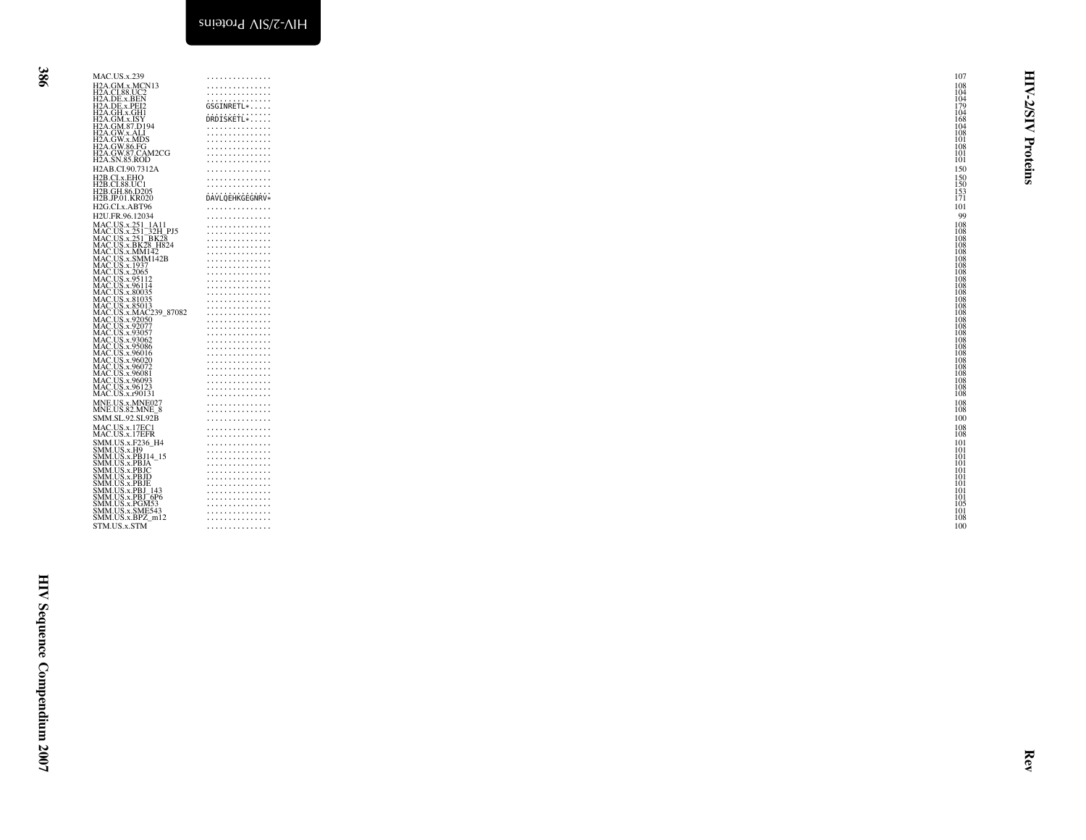| MAC.US.x.239<br>MAC.US.x.239<br>H2A.GM.x.MCN13<br>H2A.DE.x.BEN<br>H2A.DE.x.BEN<br>H2A.DE.x.BEN<br>H2A.GM.x.ACH1<br>H2A.GW.x.ALI<br>H2A.GW.x.ALIDS<br>H2A.GW.x.ALIDS<br>H2A.GW.x.ALIDS<br>H2A.GW.x.ALIDS<br>H2A.GW.x.ALIDS<br>H2A.GW.x.ALIDS<br>H2A.GW.87.CAM2CG<br>H2A.GW.87.CAM2CG<br>H2A.<br>H2AB.CI.90.7312A<br>H2B.CI.x.EHO<br>H2B.CI.x.EHO<br>H2B.CI.88.UC1<br>H2B.GH.86.D205<br>H2B.JP.01.KR020<br>H2G.CLx.ABT96<br>H2U.FR.96.12034<br>H2U.FK.96.12034<br>MAC.US.x.251_32H_PJ5<br>MAC.US.x.251_32H_PJ5<br>MAC.US.x.251_BK28<br>MAC.US.x.BK28_H824<br>MAC.US.x.SMM142<br>MAC.US.x.3005<br>MAC.US.x.295112<br>MAC.US.x.295112<br>MAC.US.x.30035<br>MAC.US.x.80035<br>MAC.US.x.80035<br>MAC.US.x.80035<br>MAC.U<br>MAC.US.x.8103<br>MAC.US.x.85013<br>MAC.US.x.MAC239_87082<br>MAC.US.x.92057<br>MAC.US.x.93057<br>MAC.US.x.93062<br>MAC.US.x.93062<br>MAC.US.x.93062<br>MAC.US.x.96016<br>MAC.US.x.96016<br>MAC.US.x.96020<br>MAC.US.x.90020<br>MAC.US.x.96072<br>MAC.US.x.96081<br>MAC.US.x.96123<br>MAC.US.x.r90131<br>MNE.US.x.MNE027<br>MNE.US.82.MNE_8<br>SMM.SL.92.SL92B<br>MAC.US.x.17EC1<br>MAC.US.x.17EFR<br>MAC.US.x.1/EFR<br>SMM.US.x.F236_H4<br>SMM.US.x.FB9114_15<br>SMM.US.x.PB114_15<br>SMM.US.x.PB1C<br>SMM.US.x.PB1D<br>SMM.US.x.PB1<br>SMM.US.x.PB1_6P6<br>SMM.US.x.PB1_6P6<br>SMM.US.x.PGM5143<br>SMM.US.x.PGM533<br>SMM.US.x.SME543<br>SMM.US.x.BPZ_m12<br>STM.US.x.STM | .<br>.<br>.<br>GSGINRETL*<br>DRDISKETL*<br>.<br>.<br>.<br>.<br>.<br>.<br>.<br>.<br>.<br>DAVLQEHKGEGNRV*<br>.<br>.<br>.<br>.<br>.<br>.<br>.<br>.<br>.<br>.<br>.<br>.<br>.<br>.<br>.<br>.<br>.<br>.<br>.<br>.<br>.<br>.<br>.<br>.<br>.<br>.<br>.<br>.<br>.<br>.<br>.<br>.<br>.<br>.<br>.<br>.<br>.<br>.<br>.<br>.<br>.<br>. | 107<br>$\begin{array}{c} 108 \\ 104 \\ 104 \\ 179 \end{array}$<br>≺<br>Ń<br><b>NISI</b><br>$\begin{array}{c} 104 \\ 168 \\ 104 \\ 108 \\ 108 \\ 101 \end{array}$<br>Proteins<br>108<br>101<br>101<br>150<br>$\frac{150}{150}$<br>$\frac{153}{171}$<br>101<br>99<br>$\begin{array}{c} 108 \\ 108 \\ 108 \\ 108 \\ 108 \\ 108 \\ 108 \\ 109 \end{array}$<br>$\frac{108}{108}$<br>$\frac{108}{108}$<br>$\frac{108}{108}$<br>108<br>$\begin{array}{c} 108 \\ 108 \\ 108 \\ 108 \\ 108 \\ 108 \\ 108 \\ 108 \end{array}$<br>108<br>108<br>108<br>108<br>108<br>108<br>108<br>108<br>$\substack{108 \\ 108}$<br>100<br>108<br>108<br>$\frac{101}{101}$<br>iŏi<br>101<br>iŏi<br>101<br>101<br>101<br>101<br>105<br>101<br>108<br>100 |
|-------------------------------------------------------------------------------------------------------------------------------------------------------------------------------------------------------------------------------------------------------------------------------------------------------------------------------------------------------------------------------------------------------------------------------------------------------------------------------------------------------------------------------------------------------------------------------------------------------------------------------------------------------------------------------------------------------------------------------------------------------------------------------------------------------------------------------------------------------------------------------------------------------------------------------------------------------------------------------------------------------------------------------------------------------------------------------------------------------------------------------------------------------------------------------------------------------------------------------------------------------------------------------------------------------------------------------------------------------------------------------------------------|---------------------------------------------------------------------------------------------------------------------------------------------------------------------------------------------------------------------------------------------------------------------------------------------------------------------------|-------------------------------------------------------------------------------------------------------------------------------------------------------------------------------------------------------------------------------------------------------------------------------------------------------------------------------------------------------------------------------------------------------------------------------------------------------------------------------------------------------------------------------------------------------------------------------------------------------------------------------------------------------------------------------------------------------------------------------|
|                                                                                                                                                                                                                                                                                                                                                                                                                                                                                                                                                                                                                                                                                                                                                                                                                                                                                                                                                                                                                                                                                                                                                                                                                                                                                                                                                                                                 |                                                                                                                                                                                                                                                                                                                           | Rev                                                                                                                                                                                                                                                                                                                                                                                                                                                                                                                                                                                                                                                                                                                           |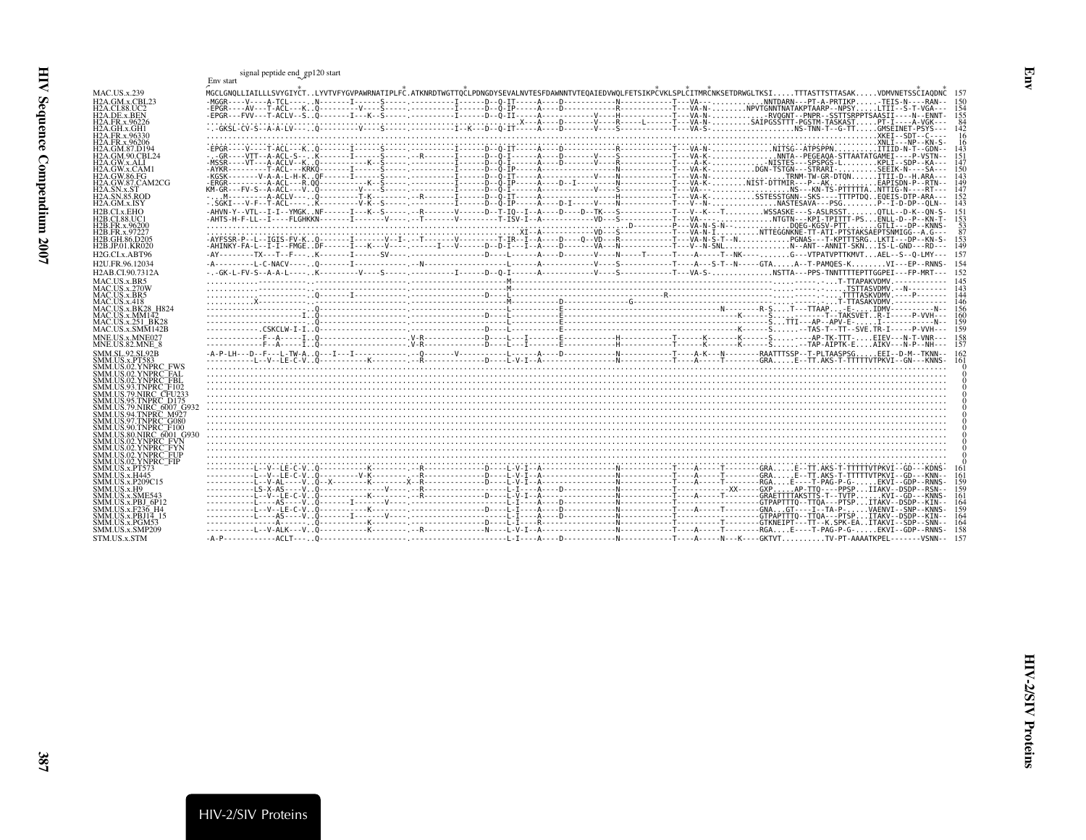<span id="page-26-0"></span>

|                                                            | signal peptide end_gp120 start                                                                                                                                                                                                                     |
|------------------------------------------------------------|----------------------------------------------------------------------------------------------------------------------------------------------------------------------------------------------------------------------------------------------------|
|                                                            | Env start                                                                                                                                                                                                                                          |
| <b>MAC.US.x.239</b>                                        | MGCLGNOLLIAILLLSVYGIYČTLYVTVFYGVPAWRNATIPLFČ.ATKNRDTWGTTOČLPDNGDYSEVALNVTESFDAWNNTVTEOAIEDVWOLFETSIKPČVKLSPLČITMRČNKSETDRWGLTKSITTTASTTSTTASAKVDMVNETSSČIAODNČ 157                                                                                 |
| H <sub>2</sub> A.GM.x.CBL <sub>23</sub>                    | -MGGR----V----A-TCL----, N-------I------S-----,------------I-----D--0-IT-----A----D------------N----------T---VA---,NNTDARN---PT-A-PRTIKP-TEIS-N----RAN-- 150                                                                                      |
| <b>H2A.CI.88.UC2</b><br>H <sub>2</sub> A.DE.x.BEN          | -EPGR----AV---T-ACL---KO---------V----S----- ------------I-----D--Q-IP-----A---D-------------R-----------T---VA-N-NPVTGNNTNATAKPTAARP--NPSYLTII--S-T-VGA--- 154<br>155                                                                             |
| H <sub>2</sub> A.FR.x.96226                                |                                                                                                                                                                                                                                                    |
| H2A.GH.x.GH1<br>H <sub>2</sub> A.FR.x.96330                | 142<br>-16                                                                                                                                                                                                                                         |
| H2A.FR.x.96206                                             | 16                                                                                                                                                                                                                                                 |
| H2A.GM.87.D194                                             | 143                                                                                                                                                                                                                                                |
| <b>H2A.GM.90.CBL24</b><br>H2A.GW.x.ALI                     | 151<br>147                                                                                                                                                                                                                                         |
| H <sub>2</sub> A.GW.x.CAM1                                 | 150                                                                                                                                                                                                                                                |
| H2A.GW.86.FG<br>H <sub>2</sub> A.GW.87.CAM <sub>2</sub> CG | 143<br>149                                                                                                                                                                                                                                         |
| H <sub>2</sub> A.SN.x.ST                                   | 147                                                                                                                                                                                                                                                |
| <b>H2A.SN.85.ROD</b>                                       | 152                                                                                                                                                                                                                                                |
| H <sub>2</sub> A.GM.x.ISY                                  | 143                                                                                                                                                                                                                                                |
| H <sub>2</sub> B.CI.x.EHO<br><b>H2B.CL88.UC1</b>           | -AHVN-Y--VTL--I-I--YMGKNF------I---K--S----- .-R-------V-----D--TI-A---D---D--TK---S------------T---V--K--T---V--KSASKE---S-ASLRSSTOTLL--D-K--QN-S-<br>-AHTS-H-F-LL--I----FLGHKKN------I-------V------V--------V-------T<br>15 <sup>1</sup><br>153 |
| H2B.FR.x.96200                                             | $\frac{53}{87}$                                                                                                                                                                                                                                    |
| H2B.FR.x.97227<br>H2B.GH.86.D205                           | -AYFSSR-P--L--IGIS-FV-K0-------I-------V--I-.--T--------V--------T-IR--I--A----D---VD---R-----------T---VA-N-S-T--NPGNAS---T-KPTTTSRGLKTI---DP--KN-S-<br>153                                                                                       |
| H <sub>2</sub> B.JP.01.KR020                               | -AHINKY-FA-L--I-I--FMGEDF------I---K---V----- -----I---V------D--D-I--I--A----D--------XA---N-----------T---V--N-SNLNNT--ANNIT-SKNIS-L-GND---RD---<br>149                                                                                          |
| H <sub>2G.CLx</sub> , ABT96                                |                                                                                                                                                                                                                                                    |
| H2U.FR.96.12034                                            | -154                                                                                                                                                                                                                                               |
| H <sub>2</sub> AB.CI.90.7312A                              |                                                                                                                                                                                                                                                    |
| MAC.US.x.BR5                                               | 145<br>143                                                                                                                                                                                                                                         |
| <b>MAC.US.x.270W</b><br>MAC.US.x.BR5                       |                                                                                                                                                                                                                                                    |
| <b>MAC.US.x.418</b>                                        |                                                                                                                                                                                                                                                    |
| <b>MAC.US.x.BK28 H824</b>                                  |                                                                                                                                                                                                                                                    |
| MAC.US.x.MM142<br>MAC.US.x.251_BK28                        | 159                                                                                                                                                                                                                                                |
| MAC.US.x.SMM142B                                           |                                                                                                                                                                                                                                                    |
| MNE.US.x.MNE027<br>MNE.US.82.MNE 8                         | 158                                                                                                                                                                                                                                                |
| <b>SMM.SL.92.SL92B</b>                                     |                                                                                                                                                                                                                                                    |
| SMM.US.x.PT583                                             | 161                                                                                                                                                                                                                                                |
| SMM.US.02.YNPRC FWS<br>SMM.US.02.YNPRC_FAL                 |                                                                                                                                                                                                                                                    |
| SMM.US.02.YNPRC_FBL                                        |                                                                                                                                                                                                                                                    |
| SMM.US.93.TNPRC_F102                                       |                                                                                                                                                                                                                                                    |
| SMM.US.79.NIRC CFU233<br>SMM.US.95.TNPRC D175              |                                                                                                                                                                                                                                                    |
| SMM.US.79.NIRC 6007 G932                                   |                                                                                                                                                                                                                                                    |
| SMM.US.94.TNPRC_M927<br>SMM.US.97.TNPRC G080               |                                                                                                                                                                                                                                                    |
| SMM.US.90.TNPRC_F100                                       |                                                                                                                                                                                                                                                    |
| SMM.US.80.NIRC 6001 G930                                   |                                                                                                                                                                                                                                                    |
| SMM.US.02.YNPRC_FVN<br>SMM.US.02.YNPRC <sup>-</sup> FYN    |                                                                                                                                                                                                                                                    |
| SMM.US.02.YNPRC_FUP                                        |                                                                                                                                                                                                                                                    |
| SMM.US.02.YNPRC <sup>FIP</sup><br>SMM.US.x.PT573           |                                                                                                                                                                                                                                                    |
| <b>SMM.US.x.H445</b>                                       | 161                                                                                                                                                                                                                                                |
| SMM.US.x.P209C15                                           | 159                                                                                                                                                                                                                                                |
| SMM.US.x.H9<br>SMM.US.x.SME543                             | 159<br>161                                                                                                                                                                                                                                         |
| SMM.US.x.PBJ 6P12                                          | 164                                                                                                                                                                                                                                                |
| SMM.US.x.F236 H4<br>$SMM. US.x.PBJ1\overline{4}$ 15        | 159<br>164                                                                                                                                                                                                                                         |
| SMM.US.x.PGM53                                             | 164                                                                                                                                                                                                                                                |
| SMM.US.x.SMP209                                            | 158                                                                                                                                                                                                                                                |
| STM.US.x.STM                                               | - 157                                                                                                                                                                                                                                              |

<span id="page-26-1"></span>Env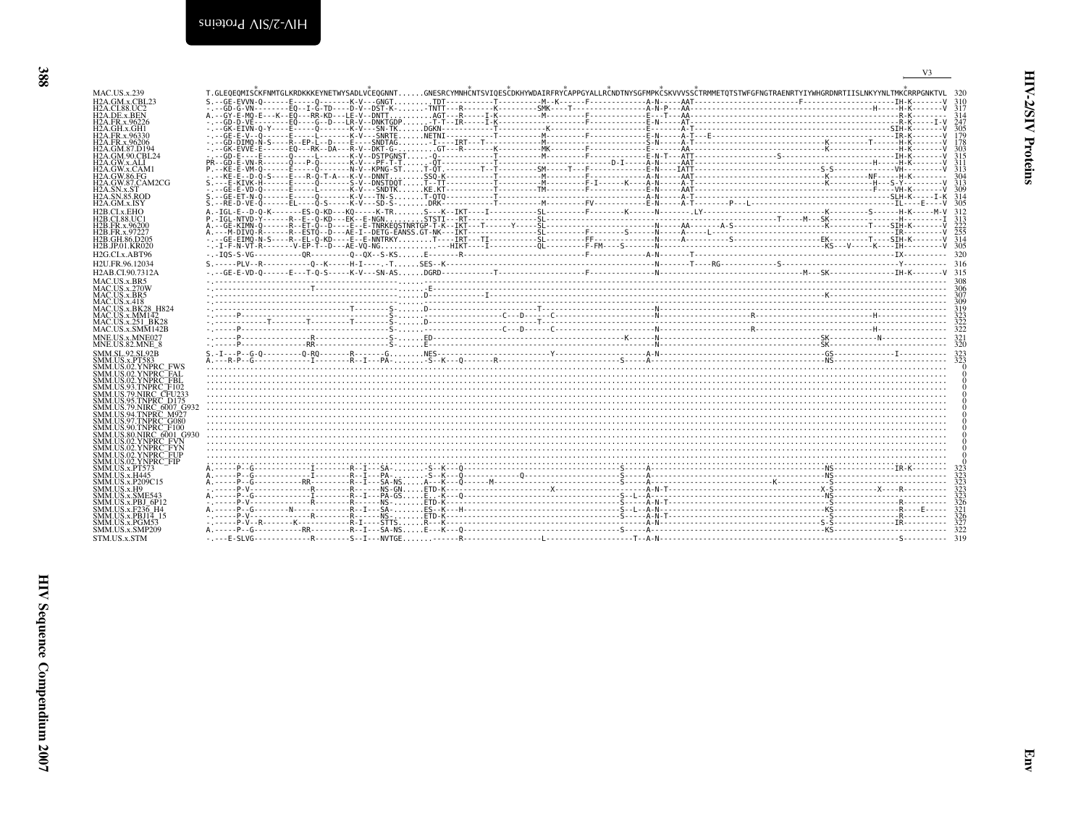<span id="page-27-0"></span>

| T.GLEOEOMISČKFNMTGLKRDKKKEYNETWYSADLVČEOGNNTGNESRCYMNHČNTSVIOESČDKHYWDAIRFRYČAPPGYALLRČNDTNYSGFMPKČSKVVVSSČTRMMETOTSTWFGFNGTRAENRTYIYWHGRDNRTIISLNKYYNLTMKČRRPGNKTVL_32<br><b>MAC.US.x.239</b><br>H <sub>2</sub> A.GM.x.CBL <sub>23</sub><br>H <sub>2</sub> A.CI.88.UC <sub>2</sub><br>H <sub>2</sub> A.DE.x.BEN<br>H <sub>2</sub> A.FR.x.96226<br>H <sub>2</sub> A.GH.x.GH <sub>1</sub><br>H <sub>2</sub> A.FR.x.96330<br>H <sub>2</sub> A.FR.x.96206<br>H <sub>2</sub> A.GM.87.D <sub>194</sub><br>H <sub>2</sub> A.GM.90.CBL <sub>24</sub><br>H <sub>2</sub> A.GW.x.ALI<br>H <sub>2</sub> A.GW.x.CAM <sub>1</sub><br><b>H2A.GW.86.FG</b><br>H <sub>2</sub> A.GW.87.CAM <sub>2</sub> CG<br>H <sub>2</sub> A.SN.x.ST<br><b>H2A.SN.85.ROD</b><br>H <sub>2</sub> A.GM.x.ISY<br>H <sub>2</sub> B.CI.x.EHO<br><b>H2B.CL88.UC1</b><br>H <sub>2</sub> B.FR.x.96200<br>H <sub>2</sub> B.FR.x.97227<br>H2B.GH.86.D205<br>H <sub>2</sub> B.JP.01.KR020<br>H <sub>2G.CLx</sub> ,ABT96<br>H <sub>2U</sub> .FR.96.12034<br>H <sub>2</sub> AB.CI.90.7312A |
|-----------------------------------------------------------------------------------------------------------------------------------------------------------------------------------------------------------------------------------------------------------------------------------------------------------------------------------------------------------------------------------------------------------------------------------------------------------------------------------------------------------------------------------------------------------------------------------------------------------------------------------------------------------------------------------------------------------------------------------------------------------------------------------------------------------------------------------------------------------------------------------------------------------------------------------------------------------------------------------------------------------------------------------------------|
|                                                                                                                                                                                                                                                                                                                                                                                                                                                                                                                                                                                                                                                                                                                                                                                                                                                                                                                                                                                                                                               |
|                                                                                                                                                                                                                                                                                                                                                                                                                                                                                                                                                                                                                                                                                                                                                                                                                                                                                                                                                                                                                                               |
|                                                                                                                                                                                                                                                                                                                                                                                                                                                                                                                                                                                                                                                                                                                                                                                                                                                                                                                                                                                                                                               |
|                                                                                                                                                                                                                                                                                                                                                                                                                                                                                                                                                                                                                                                                                                                                                                                                                                                                                                                                                                                                                                               |
|                                                                                                                                                                                                                                                                                                                                                                                                                                                                                                                                                                                                                                                                                                                                                                                                                                                                                                                                                                                                                                               |
|                                                                                                                                                                                                                                                                                                                                                                                                                                                                                                                                                                                                                                                                                                                                                                                                                                                                                                                                                                                                                                               |
|                                                                                                                                                                                                                                                                                                                                                                                                                                                                                                                                                                                                                                                                                                                                                                                                                                                                                                                                                                                                                                               |
|                                                                                                                                                                                                                                                                                                                                                                                                                                                                                                                                                                                                                                                                                                                                                                                                                                                                                                                                                                                                                                               |
|                                                                                                                                                                                                                                                                                                                                                                                                                                                                                                                                                                                                                                                                                                                                                                                                                                                                                                                                                                                                                                               |
|                                                                                                                                                                                                                                                                                                                                                                                                                                                                                                                                                                                                                                                                                                                                                                                                                                                                                                                                                                                                                                               |
|                                                                                                                                                                                                                                                                                                                                                                                                                                                                                                                                                                                                                                                                                                                                                                                                                                                                                                                                                                                                                                               |
|                                                                                                                                                                                                                                                                                                                                                                                                                                                                                                                                                                                                                                                                                                                                                                                                                                                                                                                                                                                                                                               |
|                                                                                                                                                                                                                                                                                                                                                                                                                                                                                                                                                                                                                                                                                                                                                                                                                                                                                                                                                                                                                                               |
|                                                                                                                                                                                                                                                                                                                                                                                                                                                                                                                                                                                                                                                                                                                                                                                                                                                                                                                                                                                                                                               |
|                                                                                                                                                                                                                                                                                                                                                                                                                                                                                                                                                                                                                                                                                                                                                                                                                                                                                                                                                                                                                                               |
|                                                                                                                                                                                                                                                                                                                                                                                                                                                                                                                                                                                                                                                                                                                                                                                                                                                                                                                                                                                                                                               |
|                                                                                                                                                                                                                                                                                                                                                                                                                                                                                                                                                                                                                                                                                                                                                                                                                                                                                                                                                                                                                                               |
|                                                                                                                                                                                                                                                                                                                                                                                                                                                                                                                                                                                                                                                                                                                                                                                                                                                                                                                                                                                                                                               |
|                                                                                                                                                                                                                                                                                                                                                                                                                                                                                                                                                                                                                                                                                                                                                                                                                                                                                                                                                                                                                                               |
|                                                                                                                                                                                                                                                                                                                                                                                                                                                                                                                                                                                                                                                                                                                                                                                                                                                                                                                                                                                                                                               |
| MAC.US.x.BR5<br>MAC.US.x.270W                                                                                                                                                                                                                                                                                                                                                                                                                                                                                                                                                                                                                                                                                                                                                                                                                                                                                                                                                                                                                 |
| MAC.US.x.BR5<br>MAC <sub>U</sub> S <sub>x</sub> 418                                                                                                                                                                                                                                                                                                                                                                                                                                                                                                                                                                                                                                                                                                                                                                                                                                                                                                                                                                                           |
| <b>MAC.US.x.BK28 H824</b>                                                                                                                                                                                                                                                                                                                                                                                                                                                                                                                                                                                                                                                                                                                                                                                                                                                                                                                                                                                                                     |
| MAC. US.x.MM142<br>MAC.US.x.251 BK28                                                                                                                                                                                                                                                                                                                                                                                                                                                                                                                                                                                                                                                                                                                                                                                                                                                                                                                                                                                                          |
| MAC.US.x.SMM142B                                                                                                                                                                                                                                                                                                                                                                                                                                                                                                                                                                                                                                                                                                                                                                                                                                                                                                                                                                                                                              |
| MNE.US.x.MNE027                                                                                                                                                                                                                                                                                                                                                                                                                                                                                                                                                                                                                                                                                                                                                                                                                                                                                                                                                                                                                               |
| MNE.US.82.MNE 8<br><b>SMM.SL.92.SL92B</b>                                                                                                                                                                                                                                                                                                                                                                                                                                                                                                                                                                                                                                                                                                                                                                                                                                                                                                                                                                                                     |
| SMM.US.x.PT583                                                                                                                                                                                                                                                                                                                                                                                                                                                                                                                                                                                                                                                                                                                                                                                                                                                                                                                                                                                                                                |
| SMM.US.02.YNPRC FWS                                                                                                                                                                                                                                                                                                                                                                                                                                                                                                                                                                                                                                                                                                                                                                                                                                                                                                                                                                                                                           |
| SMM.US.02.YNPRC_FAL<br>SMM.US.02.YNPRC_FBL                                                                                                                                                                                                                                                                                                                                                                                                                                                                                                                                                                                                                                                                                                                                                                                                                                                                                                                                                                                                    |
| SMM.US.93.TNPRC <sup>T</sup> F102                                                                                                                                                                                                                                                                                                                                                                                                                                                                                                                                                                                                                                                                                                                                                                                                                                                                                                                                                                                                             |
| SMM.US.79.NIRC CFU233<br>SMM.US.95.TNPRC: D175                                                                                                                                                                                                                                                                                                                                                                                                                                                                                                                                                                                                                                                                                                                                                                                                                                                                                                                                                                                                |
| SMM.US.79.NIRC 6007 G93                                                                                                                                                                                                                                                                                                                                                                                                                                                                                                                                                                                                                                                                                                                                                                                                                                                                                                                                                                                                                       |
| SMM.US.94.TNPRC_M927<br>SMM.US.97.TNPRC G080                                                                                                                                                                                                                                                                                                                                                                                                                                                                                                                                                                                                                                                                                                                                                                                                                                                                                                                                                                                                  |
| SMM.US.90.TNPRC <sup>-</sup> F100                                                                                                                                                                                                                                                                                                                                                                                                                                                                                                                                                                                                                                                                                                                                                                                                                                                                                                                                                                                                             |
| SMM.US.80.NIRC 6001 G93<br>SMM.US.02.YNPRC_FVN                                                                                                                                                                                                                                                                                                                                                                                                                                                                                                                                                                                                                                                                                                                                                                                                                                                                                                                                                                                                |
| SMM.US.02.YNPRC <sup>-</sup> FYN                                                                                                                                                                                                                                                                                                                                                                                                                                                                                                                                                                                                                                                                                                                                                                                                                                                                                                                                                                                                              |
| SMM.US.02.YNPRC <sup>--</sup> FUP<br>SMM.US.02.YNPRC <sup>-</sup> FIP                                                                                                                                                                                                                                                                                                                                                                                                                                                                                                                                                                                                                                                                                                                                                                                                                                                                                                                                                                         |
| SMM.US.x.PT573                                                                                                                                                                                                                                                                                                                                                                                                                                                                                                                                                                                                                                                                                                                                                                                                                                                                                                                                                                                                                                |
| SMM.US.x.H445                                                                                                                                                                                                                                                                                                                                                                                                                                                                                                                                                                                                                                                                                                                                                                                                                                                                                                                                                                                                                                 |
| SMM.US.x.P209C15<br>SMM.US.x.H9                                                                                                                                                                                                                                                                                                                                                                                                                                                                                                                                                                                                                                                                                                                                                                                                                                                                                                                                                                                                               |
| SMM.US.x.SME543                                                                                                                                                                                                                                                                                                                                                                                                                                                                                                                                                                                                                                                                                                                                                                                                                                                                                                                                                                                                                               |
| SMM.US.x.PBJ 6P12<br>SMM.US.x.F236 H4                                                                                                                                                                                                                                                                                                                                                                                                                                                                                                                                                                                                                                                                                                                                                                                                                                                                                                                                                                                                         |
| <b>SMM.US.x.PBJ14 15</b>                                                                                                                                                                                                                                                                                                                                                                                                                                                                                                                                                                                                                                                                                                                                                                                                                                                                                                                                                                                                                      |
| SMM.US.x.PGM53<br>SMM.US.x.SMP209                                                                                                                                                                                                                                                                                                                                                                                                                                                                                                                                                                                                                                                                                                                                                                                                                                                                                                                                                                                                             |
| STM.US.x.STM                                                                                                                                                                                                                                                                                                                                                                                                                                                                                                                                                                                                                                                                                                                                                                                                                                                                                                                                                                                                                                  |

Emv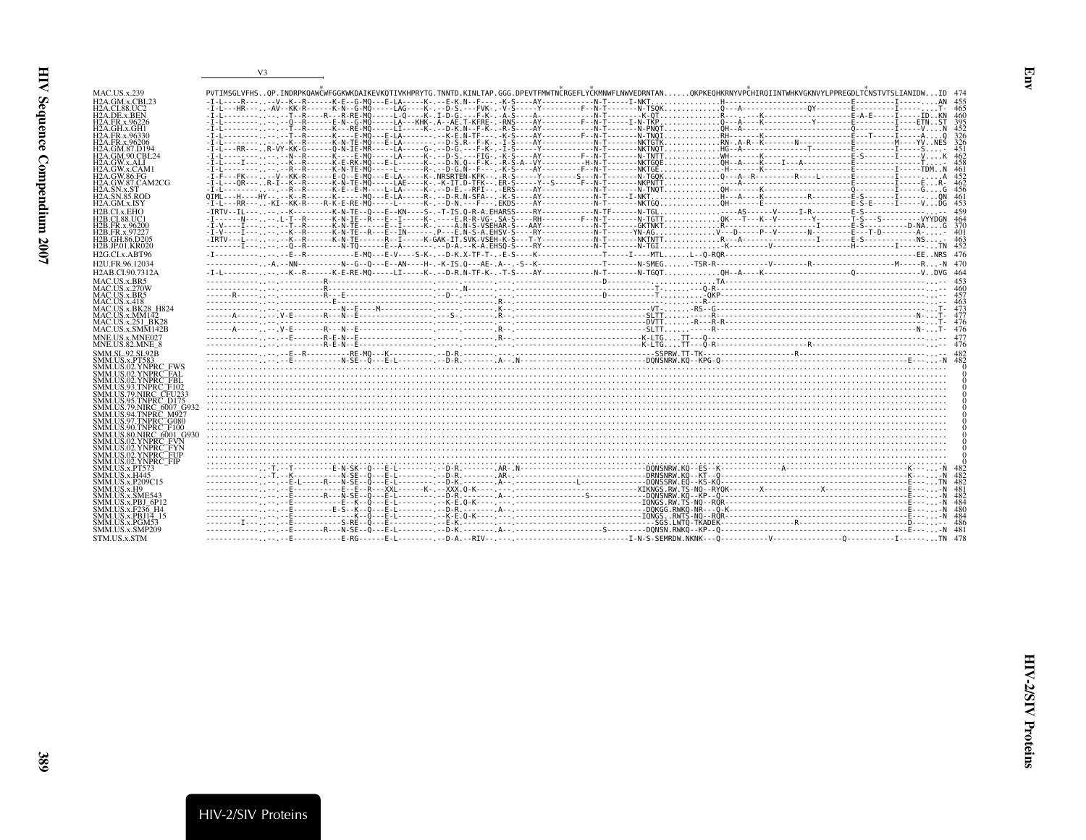| MAC.US.x.239                                                         | PVTIMSGLVFHSQP.INDRPKQAWČWFGGKWKDAIKEVKQTIVKHPRYTG.TNNTD.KINLTAP.GGG.DPEVTFMWTNČRGEFLYČKMNWFLNWVEDRNTANQKPKEQHKRNYVPČHIRQIINTWHKVGKNVYLPPREGDLTČNSTVTSLIANIDWID 474 |  |  |
|----------------------------------------------------------------------|---------------------------------------------------------------------------------------------------------------------------------------------------------------------|--|--|
| $H2A$ . GM. x. CBL $23$                                              |                                                                                                                                                                     |  |  |
| <b>H2A.CL88.UC2</b>                                                  |                                                                                                                                                                     |  |  |
| H <sub>2</sub> A.DE.x.BEN<br>H <sub>2</sub> A.FR.x.96226             |                                                                                                                                                                     |  |  |
| H2A.GH.x.GH1                                                         |                                                                                                                                                                     |  |  |
| H2A.FR.x.96330                                                       |                                                                                                                                                                     |  |  |
| H2A.FR.x.96206                                                       |                                                                                                                                                                     |  |  |
| H2A.GM.87.D194<br>H2A.GM.90.CBL24                                    |                                                                                                                                                                     |  |  |
| H2A.GW.x.ALI                                                         |                                                                                                                                                                     |  |  |
| H2A GW x CAM1                                                        |                                                                                                                                                                     |  |  |
| <b>H2A.GW.86.FG</b>                                                  |                                                                                                                                                                     |  |  |
| H <sub>2</sub> A.GW.87.CAM <sub>2</sub> CG<br>H2A.SN.x.ST            |                                                                                                                                                                     |  |  |
| <b>H2A.SN.85.ROD</b>                                                 |                                                                                                                                                                     |  |  |
| H <sub>2</sub> A.GM.x.ISY                                            |                                                                                                                                                                     |  |  |
| H2B.CI.x.EHO                                                         |                                                                                                                                                                     |  |  |
| H2B.CI.88.UC1                                                        |                                                                                                                                                                     |  |  |
| H2B.FR.x.96200<br>H <sub>2</sub> B.FR.x.97227                        |                                                                                                                                                                     |  |  |
| H2B.GH.86.D205                                                       |                                                                                                                                                                     |  |  |
| H <sub>2</sub> B.JP.01.KR020                                         |                                                                                                                                                                     |  |  |
| H <sub>2G</sub> CL <sub>x</sub> ABT96                                |                                                                                                                                                                     |  |  |
| H2U.FR.96.12034                                                      |                                                                                                                                                                     |  |  |
| H <sub>2</sub> AB.CI.90.7312A                                        |                                                                                                                                                                     |  |  |
| MAC.US.x.BR5                                                         |                                                                                                                                                                     |  |  |
| <b>MAC.US.x.270W</b>                                                 |                                                                                                                                                                     |  |  |
| MAC.US.x.BR5                                                         |                                                                                                                                                                     |  |  |
| <b>MAC.US.x.418</b><br><b>MAC.US.x.BK28 H824</b>                     |                                                                                                                                                                     |  |  |
| MAC.US.x.MM142                                                       |                                                                                                                                                                     |  |  |
| MAC.US.x.251 BK28                                                    |                                                                                                                                                                     |  |  |
| $MAC. US.x.SM\overline{M}142B$                                       |                                                                                                                                                                     |  |  |
| MNE.US.x.MNE027<br>MNE.US.82.MNE 8                                   |                                                                                                                                                                     |  |  |
| <b>SMM.SL.92.SL92B</b>                                               |                                                                                                                                                                     |  |  |
| <b>SMM.US.x.PT583</b>                                                |                                                                                                                                                                     |  |  |
| SMM.US.02.YNPRC FWS                                                  |                                                                                                                                                                     |  |  |
| SMM.US.02.YNPRC FAL                                                  |                                                                                                                                                                     |  |  |
| SMM.US.02.YNPRC <sup>-</sup> FBL<br>SMM.US.93.TNPRC_F102             |                                                                                                                                                                     |  |  |
| SMM.US.79.NIRC. CFU233                                               |                                                                                                                                                                     |  |  |
| SMM.US.95.TNPRC: D175                                                |                                                                                                                                                                     |  |  |
| SMM.US.79.NIRC 6007 G932                                             |                                                                                                                                                                     |  |  |
| SMM.US.94.TNPRC M927<br>SMM US 97 TNPRC G080                         |                                                                                                                                                                     |  |  |
| SMM.US.90.TNPRC <sup>-</sup> F100                                    |                                                                                                                                                                     |  |  |
| SMM.US.80.NIRC 6001 G930                                             |                                                                                                                                                                     |  |  |
| SMM.US.02.YNPRC FVN                                                  |                                                                                                                                                                     |  |  |
| SMM.US.02.YNPRC <sup>-</sup> FYN<br>SMM.US.02.YNPRC <sup>-</sup> FUP |                                                                                                                                                                     |  |  |
| SMM.US.02.YNPRC FIP                                                  |                                                                                                                                                                     |  |  |
| SMM.US.x.PT573                                                       |                                                                                                                                                                     |  |  |
| <b>SMM.US.x.H445</b>                                                 |                                                                                                                                                                     |  |  |
| SMM.US.x.P209C15<br>SMM.US.x.H9                                      |                                                                                                                                                                     |  |  |
| SMM.US.x.SME543                                                      |                                                                                                                                                                     |  |  |
| SMM.US.x.PBJ 6P12                                                    |                                                                                                                                                                     |  |  |
| SMM.US.x.F236 H4<br><b>SMM.US.x.PBJ14 15</b>                         |                                                                                                                                                                     |  |  |
| SMM.US.x.PGM53                                                       |                                                                                                                                                                     |  |  |
| SMM.US.x.SMP209                                                      |                                                                                                                                                                     |  |  |
| STM.US.x.STM                                                         |                                                                                                                                                                     |  |  |

Env

 $V3$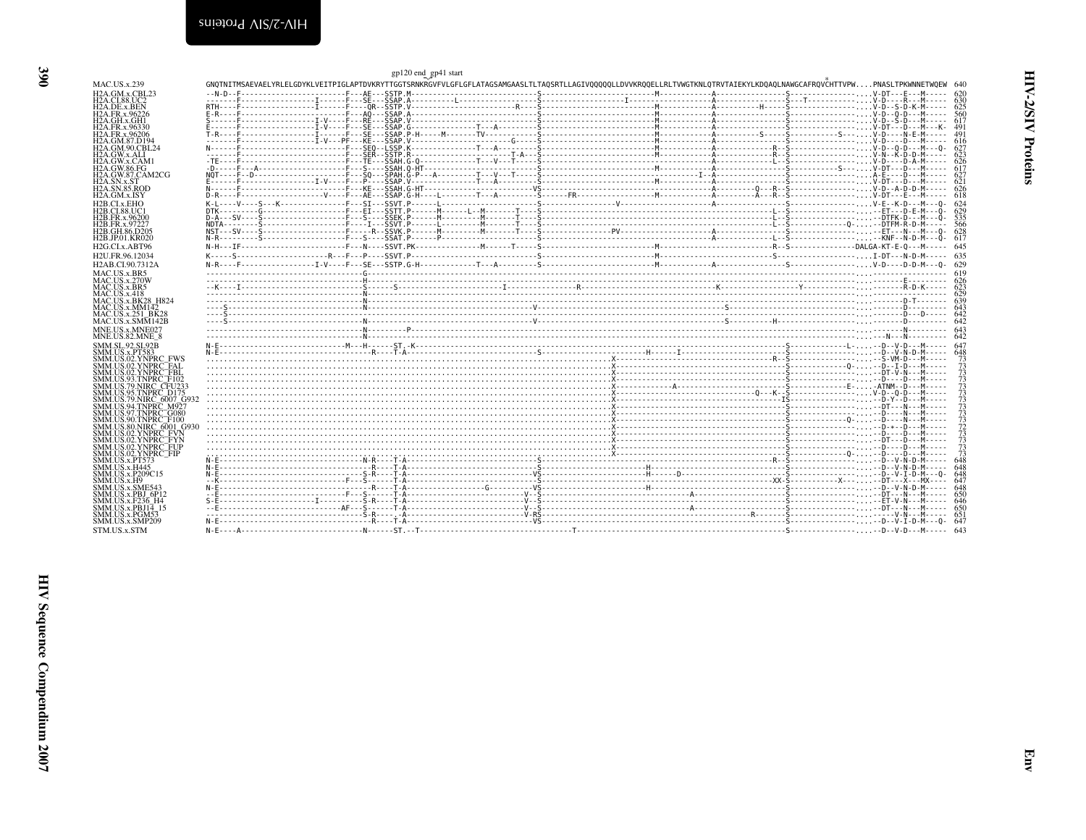<span id="page-29-0"></span>

|                                                                         | gp120 end_gp41 start                                                                                                                                                       |  |                                  |
|-------------------------------------------------------------------------|----------------------------------------------------------------------------------------------------------------------------------------------------------------------------|--|----------------------------------|
| <b>MAC.US.x.239</b>                                                     | GNQTNITMSAEVAELYRLELGDYKLVEITPIGLAPTDVKRYTTGGTSRNKRGVFVLGFLGFLATAGSAMGAASLTLTAQSRTLLAGIVQQQQQLLDVVKRQQELLRLTVWGTKNLQTRVTAIEKYLKDQAQLNAWGCAFRQVČHTTVPWPNASLTPKWNNETWQEW 640 |  |                                  |
| H <sub>2</sub> A.GM.x.CBL <sub>23</sub><br><b>H2A.CL88.UC2</b>          |                                                                                                                                                                            |  |                                  |
| H <sub>2</sub> A.DE.x.BEN                                               |                                                                                                                                                                            |  |                                  |
| H <sub>2</sub> A.FR.x.96226                                             |                                                                                                                                                                            |  |                                  |
| H2A.GH.x.GH1<br>H <sub>2</sub> A.FR.x.96330                             |                                                                                                                                                                            |  |                                  |
| H <sub>2</sub> A.FR.x.96206                                             |                                                                                                                                                                            |  |                                  |
| H <sub>2</sub> A.GM.87.D <sub>194</sub><br><b>H2A.GM.90.CBL24</b>       |                                                                                                                                                                            |  | -627                             |
| H <sub>2</sub> A.GW.x.ALI                                               |                                                                                                                                                                            |  | 623                              |
| H2A.GW.x.CAM1<br><b>H2A.GW.86.FG</b>                                    |                                                                                                                                                                            |  |                                  |
| H <sub>2</sub> A.GW.87.CAM <sub>2</sub> CG                              |                                                                                                                                                                            |  | 627                              |
| H <sub>2</sub> A.SN.x.ST<br><b>H2A.SN.85.ROD</b>                        |                                                                                                                                                                            |  |                                  |
| H <sub>2</sub> A.GM.x.ISY                                               |                                                                                                                                                                            |  |                                  |
| H2B.CLx.EHO                                                             |                                                                                                                                                                            |  |                                  |
| <b>H2B.CI.88.UC1</b><br>H <sub>2</sub> B.FR.x.96200                     |                                                                                                                                                                            |  | 629                              |
| H <sub>2</sub> B.FR.x.97227                                             |                                                                                                                                                                            |  |                                  |
| H <sub>2</sub> B.GH.86.D <sub>205</sub><br>H <sub>2</sub> B.JP.01.KR020 |                                                                                                                                                                            |  |                                  |
| H <sub>2G.CL</sub> x.ABT96                                              |                                                                                                                                                                            |  |                                  |
| H <sub>2U</sub> .FR.96.12034                                            |                                                                                                                                                                            |  |                                  |
| H <sub>2</sub> AB.CI.90.7312A                                           |                                                                                                                                                                            |  |                                  |
| MAC.US.x.BR5                                                            |                                                                                                                                                                            |  |                                  |
| MAC.US.x.270W<br>MAC.US.x.BR5                                           |                                                                                                                                                                            |  |                                  |
| MAC <sub>U</sub> S <sub>x</sub> .418                                    |                                                                                                                                                                            |  |                                  |
| <b>MAC.US.x.BK28 H824</b><br>MAC.US.x.MM142                             |                                                                                                                                                                            |  |                                  |
| MAC.US.x.251 BK28                                                       |                                                                                                                                                                            |  |                                  |
| $MAC. US.x.SM\overline{M}142B$                                          |                                                                                                                                                                            |  |                                  |
| MNE.US.x.MNE027<br>MNE.US.82.MNE 8                                      |                                                                                                                                                                            |  |                                  |
| SMM.SL.92.SL92B                                                         |                                                                                                                                                                            |  |                                  |
| <b>SMM.US.x.PT583</b>                                                   |                                                                                                                                                                            |  |                                  |
| SMM.US.02.YNPRC FWS<br>SMM.US.02.YNPRC <sup>-</sup> FAL                 |                                                                                                                                                                            |  | 73<br>73                         |
| SMM.US.02.YNPRC <sup>-</sup> FBL                                        |                                                                                                                                                                            |  |                                  |
| SMM.US.93.TNPRC F102<br>SMM.US.79.NIRC CFU233                           |                                                                                                                                                                            |  | 73<br>73<br>73<br>73<br>73       |
| SMM.US.95.TNPRC D175                                                    |                                                                                                                                                                            |  |                                  |
| SMM.US.79.NIRC 6007 G932                                                |                                                                                                                                                                            |  |                                  |
| SMM.US.94.TNPRC M927<br>SMM.US.97.TNPRC <sup>-</sup> G080               |                                                                                                                                                                            |  | 73<br>73<br>73<br>73<br>73<br>73 |
| SMM.US.90.TNPRC <sup>-</sup> F100                                       |                                                                                                                                                                            |  |                                  |
| SMM.US.80.NIRC 6001 G930<br>SMM.US.02.YNPRC FVN                         |                                                                                                                                                                            |  |                                  |
| SMM.US.02.YNPRC FYN                                                     |                                                                                                                                                                            |  |                                  |
| SMM.US.02.YNPRC FUP<br>SMM.US.02.YNPRC FIP                              |                                                                                                                                                                            |  | $\frac{73}{73}$<br>648           |
| SMM.US.x.PT573                                                          |                                                                                                                                                                            |  |                                  |
| SMM.US.x.H445<br>SMM.US.x.P209C15                                       |                                                                                                                                                                            |  | 648<br>648                       |
| SMM.US.x.H9                                                             |                                                                                                                                                                            |  | 647                              |
| SMM.US.x.SME543<br>SMM.US.x.PBJ 6P12                                    |                                                                                                                                                                            |  |                                  |
| SMM.US.x.F236 H4                                                        |                                                                                                                                                                            |  |                                  |
| SMM.US.x.PBJ14 15                                                       |                                                                                                                                                                            |  |                                  |
| SMM.US.x.PGM53                                                          |                                                                                                                                                                            |  |                                  |
| SMM.US.x.SMP209                                                         |                                                                                                                                                                            |  |                                  |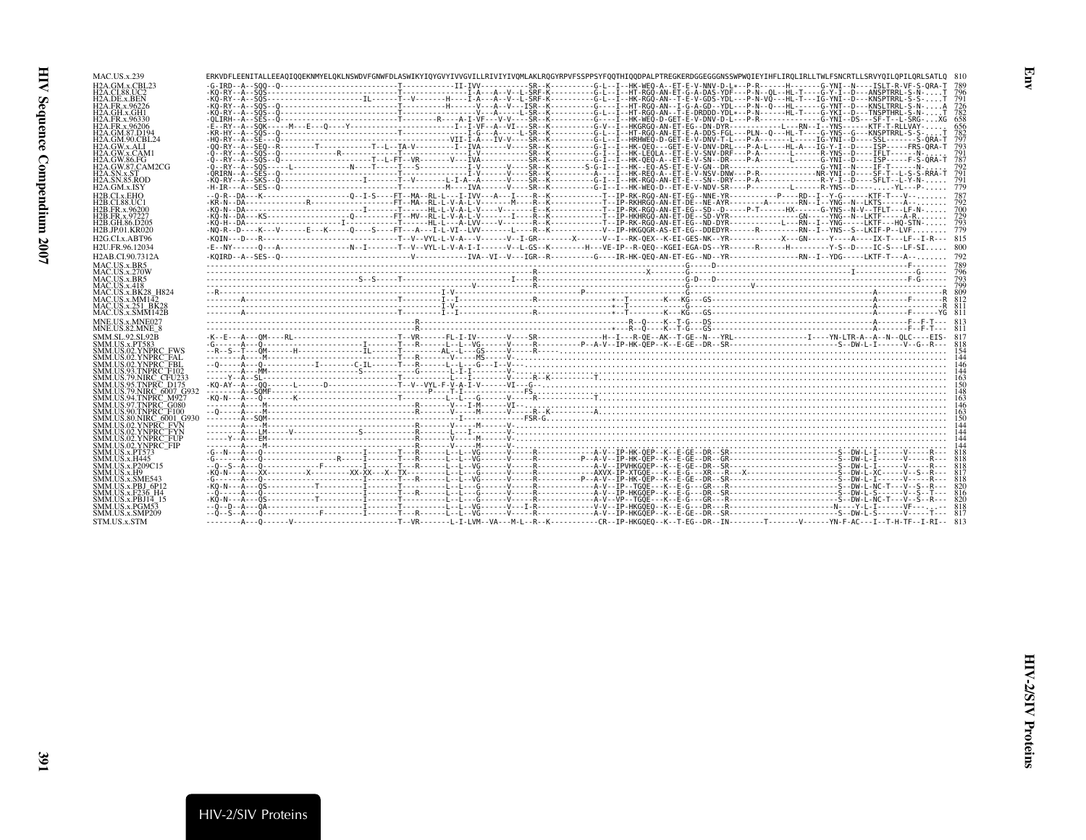| <b>MAC.US.x.239</b>                     |  |                                                                                                                                                                                                                                                                                                                                                                                                                                                                                                  |                   |
|-----------------------------------------|--|--------------------------------------------------------------------------------------------------------------------------------------------------------------------------------------------------------------------------------------------------------------------------------------------------------------------------------------------------------------------------------------------------------------------------------------------------------------------------------------------------|-------------------|
|                                         |  | ERKVDFLEENITALLEEA0IOOEKNMYELOKLNSWDVFGNWFDLASWIKYIQYGVYIVVGVILLRIVIYIVQMLAKLRQGYRPVFSSPPSYFQQTHIQQDPALPTREGKERDGGEGGGNSSWPWQIEYIHFLIRQLIRLLTWLFSNCRTLLSRVYQILQPILQRLSATLQ 810                                                                                                                                                                                                                                                                                                                   |                   |
| H <sub>2</sub> A.GM.x.CBL <sub>23</sub> |  |                                                                                                                                                                                                                                                                                                                                                                                                                                                                                                  |                   |
|                                         |  |                                                                                                                                                                                                                                                                                                                                                                                                                                                                                                  |                   |
| H2A.CI.88.UC2                           |  |                                                                                                                                                                                                                                                                                                                                                                                                                                                                                                  |                   |
| H2A.DE.x.BEN                            |  |                                                                                                                                                                                                                                                                                                                                                                                                                                                                                                  | 791               |
| H2A.FR.x.96226                          |  |                                                                                                                                                                                                                                                                                                                                                                                                                                                                                                  | 726               |
| H2A.GH.x.GH1                            |  |                                                                                                                                                                                                                                                                                                                                                                                                                                                                                                  | 782               |
| H <sub>2</sub> A.FR.x.96330             |  |                                                                                                                                                                                                                                                                                                                                                                                                                                                                                                  | 658               |
| H <sub>2</sub> A.FR.x.96206             |  |                                                                                                                                                                                                                                                                                                                                                                                                                                                                                                  | 656               |
| H2A.GM.87.D194                          |  |                                                                                                                                                                                                                                                                                                                                                                                                                                                                                                  |                   |
| H2A.GM.90.CBL24                         |  |                                                                                                                                                                                                                                                                                                                                                                                                                                                                                                  | $\frac{782}{797}$ |
| H2A.GW.x.ALI                            |  |                                                                                                                                                                                                                                                                                                                                                                                                                                                                                                  | 793               |
| H <sub>2</sub> A.GW.x.CAM <sub>1</sub>  |  |                                                                                                                                                                                                                                                                                                                                                                                                                                                                                                  | 791               |
| H2A.GW.86.FG                            |  |                                                                                                                                                                                                                                                                                                                                                                                                                                                                                                  | 787               |
| H2A.GW.87.CAM2CG                        |  |                                                                                                                                                                                                                                                                                                                                                                                                                                                                                                  |                   |
| H2A.SN.x.ST                             |  |                                                                                                                                                                                                                                                                                                                                                                                                                                                                                                  |                   |
| <b>H2A.SN.85.ROD</b>                    |  |                                                                                                                                                                                                                                                                                                                                                                                                                                                                                                  |                   |
| H <sub>2</sub> A.GM.x.ISY               |  |                                                                                                                                                                                                                                                                                                                                                                                                                                                                                                  |                   |
|                                         |  |                                                                                                                                                                                                                                                                                                                                                                                                                                                                                                  |                   |
| H <sub>2</sub> B.CI.x.EHO               |  |                                                                                                                                                                                                                                                                                                                                                                                                                                                                                                  | 787               |
| H2B.CI.88.UC1                           |  |                                                                                                                                                                                                                                                                                                                                                                                                                                                                                                  |                   |
| H2B.FR.x.96200                          |  |                                                                                                                                                                                                                                                                                                                                                                                                                                                                                                  | 700               |
| H <sub>2</sub> B.FR.x.97227             |  |                                                                                                                                                                                                                                                                                                                                                                                                                                                                                                  | 729               |
| H <sub>2</sub> B.GH.86.D <sub>205</sub> |  |                                                                                                                                                                                                                                                                                                                                                                                                                                                                                                  | 793               |
| <b>H2B.JP.01.KR020</b>                  |  | -NÔ-R--D----K---V------E---K----O----S----FT---A---I-L-VI--LVV-------L---R--K-----------V--IP-HKGOGR-AS-ET-EG--DDEDYR------R---------RN--I--YNS--S--LKIF-P--LVF                                                                                                                                                                                                                                                                                                                                  | 779               |
| H <sub>2G</sub> .CI.x.ABT96             |  |                                                                                                                                                                                                                                                                                                                                                                                                                                                                                                  |                   |
|                                         |  |                                                                                                                                                                                                                                                                                                                                                                                                                                                                                                  |                   |
| H2U.FR.96.12034                         |  | -E--NY------0---A----------------N--I-------T--V--VYL-L-V-A-I-I-------V--L-GS--K--------H---VE-IP--R-OEO--KGEI-EGA-DS--YR-------R------H----------Y-S--D----IC-S---LF-SI 800                                                                                                                                                                                                                                                                                                                     |                   |
| H2AB.CI.90.7312A                        |  |                                                                                                                                                                                                                                                                                                                                                                                                                                                                                                  |                   |
|                                         |  |                                                                                                                                                                                                                                                                                                                                                                                                                                                                                                  |                   |
| MAC.US.x.BR5                            |  |                                                                                                                                                                                                                                                                                                                                                                                                                                                                                                  |                   |
| <b>MAC.US.x.270W</b>                    |  |                                                                                                                                                                                                                                                                                                                                                                                                                                                                                                  |                   |
| MAC.US.x.BR5                            |  |                                                                                                                                                                                                                                                                                                                                                                                                                                                                                                  |                   |
| MAC <sub>U</sub> S <sub>x</sub> 418     |  |                                                                                                                                                                                                                                                                                                                                                                                                                                                                                                  |                   |
| <b>MAC.US.x.BK28 H824</b>               |  |                                                                                                                                                                                                                                                                                                                                                                                                                                                                                                  |                   |
| MAC. US.x.MM142                         |  |                                                                                                                                                                                                                                                                                                                                                                                                                                                                                                  |                   |
| MAC.US.x.251 BK28                       |  |                                                                                                                                                                                                                                                                                                                                                                                                                                                                                                  |                   |
| MAC.US.x.SMM142B                        |  |                                                                                                                                                                                                                                                                                                                                                                                                                                                                                                  |                   |
| MNE.US.x.MNE027                         |  |                                                                                                                                                                                                                                                                                                                                                                                                                                                                                                  |                   |
| MNE.US.82.MNE 8                         |  |                                                                                                                                                                                                                                                                                                                                                                                                                                                                                                  |                   |
| <b>SMM.SL.92.SL92B</b>                  |  |                                                                                                                                                                                                                                                                                                                                                                                                                                                                                                  |                   |
| SMM.US.x.PT583                          |  |                                                                                                                                                                                                                                                                                                                                                                                                                                                                                                  |                   |
| SMM.US.02.YNPRC FWS                     |  |                                                                                                                                                                                                                                                                                                                                                                                                                                                                                                  |                   |
| SMM.US.02.YNPRC <sup>--</sup> FAL       |  |                                                                                                                                                                                                                                                                                                                                                                                                                                                                                                  |                   |
|                                         |  |                                                                                                                                                                                                                                                                                                                                                                                                                                                                                                  |                   |
|                                         |  |                                                                                                                                                                                                                                                                                                                                                                                                                                                                                                  |                   |
| SMM.US.02.YNPRC <sup>-</sup> FBL        |  |                                                                                                                                                                                                                                                                                                                                                                                                                                                                                                  |                   |
| SMM.US.93.TNPRC_F102                    |  |                                                                                                                                                                                                                                                                                                                                                                                                                                                                                                  | 144               |
| SMM.US.79.NIRC. CFU233                  |  |                                                                                                                                                                                                                                                                                                                                                                                                                                                                                                  | 163               |
| SMM.US.95.TNPRC D175                    |  | $K0 - AY - A0 - 50 - \cdots - 1 - \cdots - \cdots - \cdots - \cdots$                                                                                                                                                                                                                                                                                                                                                                                                                             |                   |
| SMM.US.79.NIRC 6007 G932                |  |                                                                                                                                                                                                                                                                                                                                                                                                                                                                                                  | 148               |
| SMM.US.94.TNPRC M927                    |  |                                                                                                                                                                                                                                                                                                                                                                                                                                                                                                  | 163               |
| SMM.US.97.TNPRC <sup>-</sup> G080       |  |                                                                                                                                                                                                                                                                                                                                                                                                                                                                                                  |                   |
| SMM.US.90.TNPRC <sup>-</sup> F100       |  |                                                                                                                                                                                                                                                                                                                                                                                                                                                                                                  |                   |
| SMM.US.80.NIRC_6001_G930                |  |                                                                                                                                                                                                                                                                                                                                                                                                                                                                                                  |                   |
| SMM.US.02.YNPRC FVN                     |  |                                                                                                                                                                                                                                                                                                                                                                                                                                                                                                  |                   |
| SMM.US.02.YNPRC FYN                     |  |                                                                                                                                                                                                                                                                                                                                                                                                                                                                                                  |                   |
| SMM.US.02.YNPRC <sup>-</sup> FUP        |  |                                                                                                                                                                                                                                                                                                                                                                                                                                                                                                  |                   |
| SMM.US.02.YNPRC <sup>-</sup> FIP        |  |                                                                                                                                                                                                                                                                                                                                                                                                                                                                                                  |                   |
| <b>SMM.US.x.PT573</b>                   |  |                                                                                                                                                                                                                                                                                                                                                                                                                                                                                                  |                   |
| <b>SMM.US.x.H445</b>                    |  |                                                                                                                                                                                                                                                                                                                                                                                                                                                                                                  |                   |
| SMM.US.x.P209C15                        |  |                                                                                                                                                                                                                                                                                                                                                                                                                                                                                                  |                   |
| SMM.US.x.H9                             |  |                                                                                                                                                                                                                                                                                                                                                                                                                                                                                                  |                   |
| SMM.US.x.SME543                         |  | $\begin{minipage}[t]{.05\textwidth} \begin{minipage}[t]{.05\textwidth} \begin{minipage}[t]{.05\textwidth} \begin{minipage}[t]{.05\textwidth} \begin{minipage}[t]{.05\textwidth} \begin{minipage}[t]{.05\textwidth} \begin{minipage}[t]{.05\textwidth} \begin{minipage}[t]{.05\textwidth} \begin{minipage}[t]{.05\textwidth} \begin{minipage}[t]{.05\textwidth} \begin{minipage}[t]{.05\textwidth} \begin{minipage}[t]{.05\textwidth} \begin{minipage}[t]{.05\textwidth} \begin{minipage}[t]{.05$ | 818               |
| SMM.US.x.PBJ 6P12                       |  |                                                                                                                                                                                                                                                                                                                                                                                                                                                                                                  |                   |
| SMM.US.x.F236 H4                        |  |                                                                                                                                                                                                                                                                                                                                                                                                                                                                                                  |                   |
| SMM.US.x.PBJ14 15                       |  |                                                                                                                                                                                                                                                                                                                                                                                                                                                                                                  | 820               |
|                                         |  |                                                                                                                                                                                                                                                                                                                                                                                                                                                                                                  |                   |
| SMM.US.x.PGM53                          |  |                                                                                                                                                                                                                                                                                                                                                                                                                                                                                                  |                   |
| SMM.US.x.SMP209<br>STM.US.x.STM         |  |                                                                                                                                                                                                                                                                                                                                                                                                                                                                                                  |                   |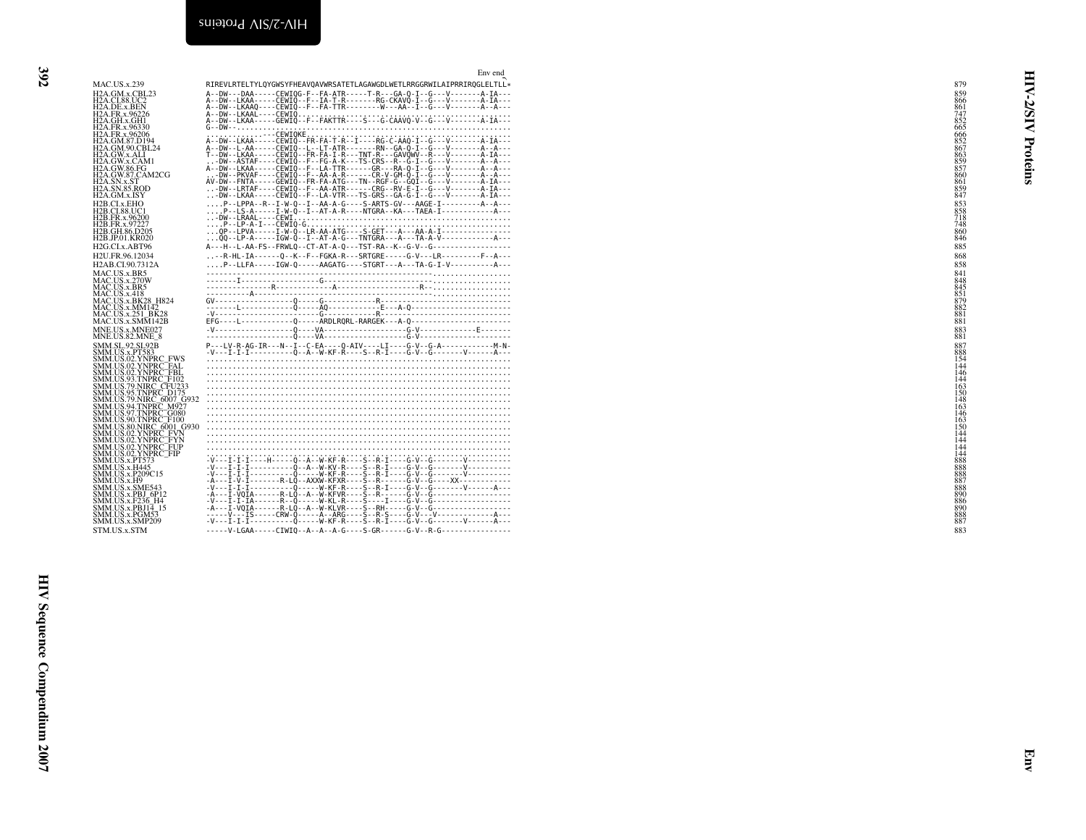<span id="page-31-0"></span>

|    | SATE |  |
|----|------|--|
|    | ،TR  |  |
| -- | $-R$ |  |
|    |      |  |

|                                                                                                                                                                                                                                                                              | Env end                                                                                                                                                                                                                                                                                                                                                                                                                     |                                                                    |          |
|------------------------------------------------------------------------------------------------------------------------------------------------------------------------------------------------------------------------------------------------------------------------------|-----------------------------------------------------------------------------------------------------------------------------------------------------------------------------------------------------------------------------------------------------------------------------------------------------------------------------------------------------------------------------------------------------------------------------|--------------------------------------------------------------------|----------|
| <b>MAC.US.x.239</b><br>H <sub>2</sub> A.GM.x.CBL <sub>23</sub>                                                                                                                                                                                                               | RIREVLRTELTYLQYGWSYFHEAVQAVWRSATETLAGAWGDLWETLRRGGRWILAIPRRIRQGLELTLL*                                                                                                                                                                                                                                                                                                                                                      | 879<br>859                                                         | ₹        |
| Н2А GM×. CBL23<br>Н2А GM×. CBC<br>Н2А DE x B6226<br>Н2А FR x 96226<br>Н2А FR x 96236<br>Н2А FR x 96339<br>Н2А CM % CFL24<br>Н2А GW×. CAM<br>Н2А GW×. CAM<br>Н2А GW×. CAM<br>Н2А GW×. CAM<br>Н2А GW×. CAM<br>Н2А GW×. CAM<br>Н2А GW×. CAM<br>Н2А GW×. CAM<br>Н2А SN x ST<br>H |                                                                                                                                                                                                                                                                                                                                                                                                                             | 866                                                                | 5/5      |
|                                                                                                                                                                                                                                                                              |                                                                                                                                                                                                                                                                                                                                                                                                                             | 861<br>747<br>852<br>665<br>666<br>852<br>867<br>863<br>857<br>857 |          |
|                                                                                                                                                                                                                                                                              |                                                                                                                                                                                                                                                                                                                                                                                                                             |                                                                    | ₹        |
|                                                                                                                                                                                                                                                                              |                                                                                                                                                                                                                                                                                                                                                                                                                             |                                                                    | Proteins |
|                                                                                                                                                                                                                                                                              |                                                                                                                                                                                                                                                                                                                                                                                                                             |                                                                    |          |
|                                                                                                                                                                                                                                                                              |                                                                                                                                                                                                                                                                                                                                                                                                                             |                                                                    |          |
|                                                                                                                                                                                                                                                                              |                                                                                                                                                                                                                                                                                                                                                                                                                             | 861<br>859<br>847                                                  |          |
| H2B.CI.x.EHO<br>H2B.CI.88.UC1                                                                                                                                                                                                                                                | P--LPPA--R--I-W-Q--I--AA-A-G----S-ARTS-GV---AAGE-I---------A--A---<br>P--LS-A-----I-W-Q--I--AT-A-R----NTGRA--KA---TAEA-I----------------A---                                                                                                                                                                                                                                                                                |                                                                    |          |
| H2B.FR.x.96200<br>H2B.FR.x.97227                                                                                                                                                                                                                                             |                                                                                                                                                                                                                                                                                                                                                                                                                             |                                                                    |          |
| H2B.GH.86.D205<br>H2B.JP.01.KR020                                                                                                                                                                                                                                            |                                                                                                                                                                                                                                                                                                                                                                                                                             | 853<br>858<br>718<br>748<br>748<br>860<br>846                      |          |
| H2G.CI.x.ABT96                                                                                                                                                                                                                                                               | A---H--L-AA-FS--FRWLQ--CT-AT-A-Q---TST-RA--K--G-V--G------------------                                                                                                                                                                                                                                                                                                                                                      | 885                                                                |          |
| H2U.FR.96.12034<br>H2AB.CI.90.7312A                                                                                                                                                                                                                                          | -R-HL-IA------Q--K--F--FGKA-R---SRTGRE-----G-V---LR---------F--A---<br>P--LLFA-----IGW-Q-----AAGATG----STGRT---A---TA-G-I-V-----------A---                                                                                                                                                                                                                                                                                  | 868<br>858                                                         |          |
| MAC.US.x.BR5                                                                                                                                                                                                                                                                 | $\xbrace{\mathbf{y} \mathbf{y} \mathbf{y} \mathbf{y} \mathbf{y} \mathbf{y} \mathbf{y} \mathbf{y} \mathbf{y} \mathbf{y} \mathbf{y} \mathbf{y} \mathbf{y} \mathbf{y} \mathbf{y} \mathbf{y} \mathbf{y} \mathbf{y} \mathbf{y} \mathbf{y} \mathbf{y} \mathbf{y} \mathbf{y} \mathbf{y} \mathbf{y} \mathbf{y} \mathbf{y} \mathbf{y} \mathbf{y} \mathbf{y} \mathbf{y} \mathbf{y} \mathbf{y} \mathbf{y} \mathbf{y} \mathbf{y} \math$ | 841                                                                |          |
| MAC.US.x.BK5<br>MAC.US.x.270W<br>MAC.US.x.BR5<br>MAC.US.x.BK28_H824<br>MAC.US.x.MM142<br>MAC.US.x.MM142<br>MAC.US.x.251_BK28                                                                                                                                                 |                                                                                                                                                                                                                                                                                                                                                                                                                             | 848<br>845<br>851<br>879<br>882                                    |          |
|                                                                                                                                                                                                                                                                              |                                                                                                                                                                                                                                                                                                                                                                                                                             |                                                                    |          |
| MAC.US.x.SMM142B                                                                                                                                                                                                                                                             |                                                                                                                                                                                                                                                                                                                                                                                                                             | $\frac{881}{881}$                                                  |          |
| MNE.US.x.MNE027<br>MNE.US.82.MNE_8                                                                                                                                                                                                                                           |                                                                                                                                                                                                                                                                                                                                                                                                                             | $\substack{883 \\ 881}$                                            |          |
|                                                                                                                                                                                                                                                                              |                                                                                                                                                                                                                                                                                                                                                                                                                             |                                                                    |          |
|                                                                                                                                                                                                                                                                              |                                                                                                                                                                                                                                                                                                                                                                                                                             |                                                                    |          |
| MNEUS 82.MNE 38<br>SMM US x PSP<br>SMM US x PSP<br>SMM US 02 YNPRC FWS<br>SMM US 02 YNPRC FWS<br>SMM US 02 YNPRC FBL<br>SMM US 32 YNPRC FBL<br>SMM US 39 TNPRC FU0233<br>SMM US 79 NIRC 6007 G932<br>SMM US 39 TNPRC F030<br>SMM US 30 TNPRC F00<br>SMM US 30 T              |                                                                                                                                                                                                                                                                                                                                                                                                                             |                                                                    |          |
|                                                                                                                                                                                                                                                                              |                                                                                                                                                                                                                                                                                                                                                                                                                             |                                                                    |          |
|                                                                                                                                                                                                                                                                              |                                                                                                                                                                                                                                                                                                                                                                                                                             |                                                                    |          |
|                                                                                                                                                                                                                                                                              |                                                                                                                                                                                                                                                                                                                                                                                                                             |                                                                    |          |
|                                                                                                                                                                                                                                                                              |                                                                                                                                                                                                                                                                                                                                                                                                                             |                                                                    |          |
|                                                                                                                                                                                                                                                                              |                                                                                                                                                                                                                                                                                                                                                                                                                             | $144$<br>$144$<br>$888$<br>$888$<br>$888$<br>$887$<br>$888$        |          |
| SMM.US.02.YNPRC_FUP<br>SMM.US.02.YNPRC_FIP<br>SMM.US.x.PT573<br>SMM.US.x.P209C15<br>SMM.US.x.F19<br>SMM.US.x.SME543<br>SMM.US.x.SME543<br>SMM.US.x.FBJ 6P12<br>SMM.US.x.F236                                                                                                 |                                                                                                                                                                                                                                                                                                                                                                                                                             |                                                                    |          |
|                                                                                                                                                                                                                                                                              |                                                                                                                                                                                                                                                                                                                                                                                                                             |                                                                    |          |
| SMM.US.x.F236_H4<br>SMM.US.x.P236_H4_<br>SMM.US.x.PBJ14_15                                                                                                                                                                                                                   |                                                                                                                                                                                                                                                                                                                                                                                                                             |                                                                    |          |
| SMM.US.x.PGM53                                                                                                                                                                                                                                                               |                                                                                                                                                                                                                                                                                                                                                                                                                             | 890<br>890<br>886<br>890<br>888<br>887                             |          |
| SMM.US.x.SMP209<br>STM.US.x.STM                                                                                                                                                                                                                                              |                                                                                                                                                                                                                                                                                                                                                                                                                             | 883                                                                |          |
|                                                                                                                                                                                                                                                                              |                                                                                                                                                                                                                                                                                                                                                                                                                             |                                                                    |          |
|                                                                                                                                                                                                                                                                              |                                                                                                                                                                                                                                                                                                                                                                                                                             |                                                                    |          |
|                                                                                                                                                                                                                                                                              |                                                                                                                                                                                                                                                                                                                                                                                                                             |                                                                    |          |
|                                                                                                                                                                                                                                                                              |                                                                                                                                                                                                                                                                                                                                                                                                                             |                                                                    |          |
|                                                                                                                                                                                                                                                                              |                                                                                                                                                                                                                                                                                                                                                                                                                             |                                                                    |          |
|                                                                                                                                                                                                                                                                              |                                                                                                                                                                                                                                                                                                                                                                                                                             |                                                                    |          |
|                                                                                                                                                                                                                                                                              |                                                                                                                                                                                                                                                                                                                                                                                                                             |                                                                    |          |
|                                                                                                                                                                                                                                                                              |                                                                                                                                                                                                                                                                                                                                                                                                                             |                                                                    |          |
|                                                                                                                                                                                                                                                                              |                                                                                                                                                                                                                                                                                                                                                                                                                             |                                                                    |          |
|                                                                                                                                                                                                                                                                              |                                                                                                                                                                                                                                                                                                                                                                                                                             |                                                                    |          |
|                                                                                                                                                                                                                                                                              |                                                                                                                                                                                                                                                                                                                                                                                                                             |                                                                    |          |
|                                                                                                                                                                                                                                                                              |                                                                                                                                                                                                                                                                                                                                                                                                                             |                                                                    |          |
|                                                                                                                                                                                                                                                                              |                                                                                                                                                                                                                                                                                                                                                                                                                             |                                                                    |          |
|                                                                                                                                                                                                                                                                              |                                                                                                                                                                                                                                                                                                                                                                                                                             |                                                                    |          |
|                                                                                                                                                                                                                                                                              |                                                                                                                                                                                                                                                                                                                                                                                                                             |                                                                    |          |
|                                                                                                                                                                                                                                                                              |                                                                                                                                                                                                                                                                                                                                                                                                                             |                                                                    |          |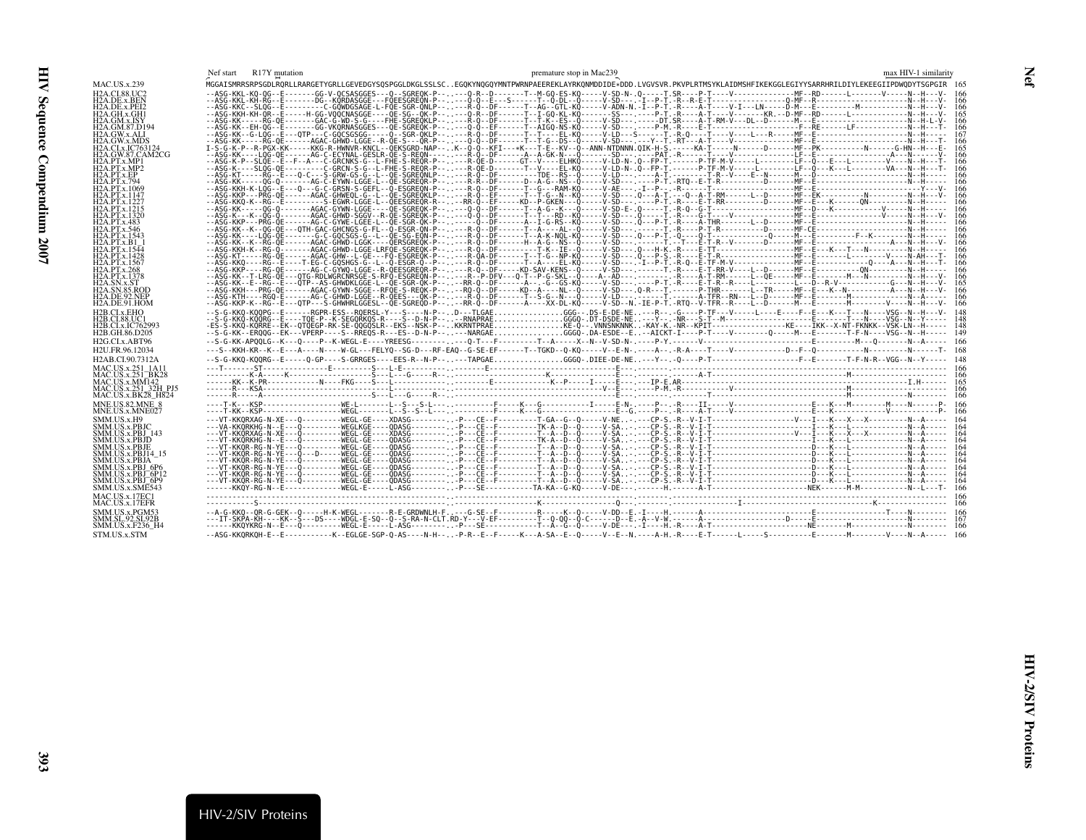<span id="page-32-1"></span><span id="page-32-0"></span>

|                                             | Nef start | R17Y mutation |                                                                                                                                                                              |  |  | premature stop in Mac239 |  |  |  | max HIV-1 similarity |       |
|---------------------------------------------|-----------|---------------|------------------------------------------------------------------------------------------------------------------------------------------------------------------------------|--|--|--------------------------|--|--|--|----------------------|-------|
| MAC.US.x.239                                |           |               | MGGAISMRRSRPSGDLRQRLLRARGETYGRLLGEVEDGYSQSPGGLDKGLSSLSCEGQKYNQGQYMNTPWRNPAEEREKLAYRKQNMDDIDE*DDD.LVGVSVR.PKVPLRTMSYKLAIDMSHFIKEKGGLEGIYYSARRHRILDIYLEKEEGIIPDWQDYTSGPGIR 165 |  |  |                          |  |  |  |                      |       |
| H2A.CL88.UC2                                |           |               |                                                                                                                                                                              |  |  |                          |  |  |  |                      |       |
| H2A.DE.x.BEN<br>H2A.DE.x.PEI2               |           |               |                                                                                                                                                                              |  |  |                          |  |  |  |                      |       |
| H2A.GH.x.GH1                                |           |               |                                                                                                                                                                              |  |  |                          |  |  |  |                      |       |
| H2A.GM.x.ISY                                |           |               |                                                                                                                                                                              |  |  |                          |  |  |  |                      |       |
| H2A.GM.87.D194<br>H2A.GW.x.ALI              |           |               |                                                                                                                                                                              |  |  |                          |  |  |  |                      |       |
| H2A.GW.x.MDS                                |           |               |                                                                                                                                                                              |  |  |                          |  |  |  |                      |       |
| H2A.CI.x.IC763124                           |           |               |                                                                                                                                                                              |  |  |                          |  |  |  |                      |       |
| H2A.GW.87.CAM2CG<br>H2A.PT.x.MP1            |           |               |                                                                                                                                                                              |  |  |                          |  |  |  |                      |       |
| H2A.PT.x.MP2                                |           |               |                                                                                                                                                                              |  |  |                          |  |  |  |                      |       |
| H2A.PT.x.EP                                 |           |               |                                                                                                                                                                              |  |  |                          |  |  |  |                      |       |
| H2A.PT.x.794<br>H2A.PT.x.1069               |           |               |                                                                                                                                                                              |  |  |                          |  |  |  |                      |       |
| H2A.PT.x.1147                               |           |               |                                                                                                                                                                              |  |  |                          |  |  |  |                      |       |
| H <sub>2</sub> A.PT.x.1227                  |           |               |                                                                                                                                                                              |  |  |                          |  |  |  |                      |       |
| H2A.PT.x.1215<br>H2A.PT.x.1320              |           |               |                                                                                                                                                                              |  |  |                          |  |  |  |                      |       |
| H2A.PT.x.483                                |           |               |                                                                                                                                                                              |  |  |                          |  |  |  |                      |       |
| H <sub>2</sub> A.PT.x.546                   |           |               |                                                                                                                                                                              |  |  |                          |  |  |  |                      |       |
| H2A.PT.x.1543<br>H2A.PT.x.B1                |           |               |                                                                                                                                                                              |  |  |                          |  |  |  |                      |       |
| H2A.PT.x.1544                               |           |               |                                                                                                                                                                              |  |  |                          |  |  |  |                      |       |
| H <sub>2</sub> A.PT.x.1428<br>H2A.PT.x.1567 |           |               |                                                                                                                                                                              |  |  |                          |  |  |  |                      |       |
| H2A.PT.x.268                                |           |               |                                                                                                                                                                              |  |  |                          |  |  |  |                      |       |
| H2A.PT.x.1378                               |           |               |                                                                                                                                                                              |  |  |                          |  |  |  |                      |       |
| H2A.SN.x.ST<br>H2A.SN.85.ROD                |           |               |                                                                                                                                                                              |  |  |                          |  |  |  |                      |       |
| H <sub>2</sub> A.DE.92.NEP                  |           |               |                                                                                                                                                                              |  |  |                          |  |  |  |                      | 166   |
| H2A.DE.91.HOM                               |           |               |                                                                                                                                                                              |  |  |                          |  |  |  |                      | 166   |
| H2B.CI.x.EHO                                |           |               | --S-G-KKQ-KQQPG--E------RGPR-ESS--RQERSL-Y---S----N-P--D---TLGAEGGG--.DS-E-DE-NE---R--G----P-TF---V-----L----E----F--E---K---T---N----VSG--N--H---V-                         |  |  |                          |  |  |  |                      |       |
| H2B.CI.88.UC1<br>H2B.CI.x.IC762993          |           |               |                                                                                                                                                                              |  |  |                          |  |  |  |                      |       |
| H2B.GH.86.D205                              |           |               |                                                                                                                                                                              |  |  |                          |  |  |  |                      |       |
| H2G.CLx.ABT96                               |           |               |                                                                                                                                                                              |  |  |                          |  |  |  |                      | - 166 |
| H2U.FR.96.12034                             |           |               |                                                                                                                                                                              |  |  |                          |  |  |  |                      |       |
| H2AB.CI.90.7312A                            |           |               |                                                                                                                                                                              |  |  |                          |  |  |  |                      |       |
| MAC.US.x.251 1A11                           |           |               |                                                                                                                                                                              |  |  |                          |  |  |  |                      |       |
| MAC.US.x.251 BK28<br>MAC.US.x.MM142         |           |               |                                                                                                                                                                              |  |  |                          |  |  |  |                      |       |
| MAC.US.x.251 32H PJ5                        |           |               |                                                                                                                                                                              |  |  |                          |  |  |  |                      |       |
| MAC.US.x.BK28_H824                          |           |               |                                                                                                                                                                              |  |  |                          |  |  |  |                      |       |
| MNE.US.82.MNE 8<br>MNE.US.x.MNE027          |           |               |                                                                                                                                                                              |  |  |                          |  |  |  |                      |       |
| SMM.US.x.H9                                 |           |               |                                                                                                                                                                              |  |  |                          |  |  |  |                      |       |
| SMM.US.x.PBJC                               |           |               |                                                                                                                                                                              |  |  |                          |  |  |  |                      |       |
| SMM.US.x.PBJ 143<br>SMM.US.x.PBJD           |           |               |                                                                                                                                                                              |  |  |                          |  |  |  |                      |       |
| SMM.US.x.PBJE                               |           |               |                                                                                                                                                                              |  |  |                          |  |  |  |                      |       |
| SMM.US.x.PBJ14_15                           |           |               |                                                                                                                                                                              |  |  |                          |  |  |  |                      |       |
| SMM.US.x.PBJA<br>SMM.US.x.PBJ_6P6           |           |               |                                                                                                                                                                              |  |  |                          |  |  |  |                      |       |
| SMM.US.x.PBJ <sup>-</sup> 6P12              |           |               |                                                                                                                                                                              |  |  |                          |  |  |  |                      |       |
| SMM.US.x.PBJ <sup>-6</sup> P9               |           |               |                                                                                                                                                                              |  |  |                          |  |  |  |                      |       |
| SMM.US.x.SMĒ543                             |           |               |                                                                                                                                                                              |  |  |                          |  |  |  |                      |       |
| MAC.US.x.17EC1<br>MAC.US.x.17EFR            |           |               |                                                                                                                                                                              |  |  |                          |  |  |  |                      |       |
| SMM.US.x.PGM53                              |           |               |                                                                                                                                                                              |  |  |                          |  |  |  |                      |       |
| SMM.SL.92.SL92B                             |           |               |                                                                                                                                                                              |  |  |                          |  |  |  |                      |       |
| SMM.US.x.F236 H4                            |           |               |                                                                                                                                                                              |  |  |                          |  |  |  |                      |       |
| STM.US.x.STM                                |           |               |                                                                                                                                                                              |  |  |                          |  |  |  |                      |       |